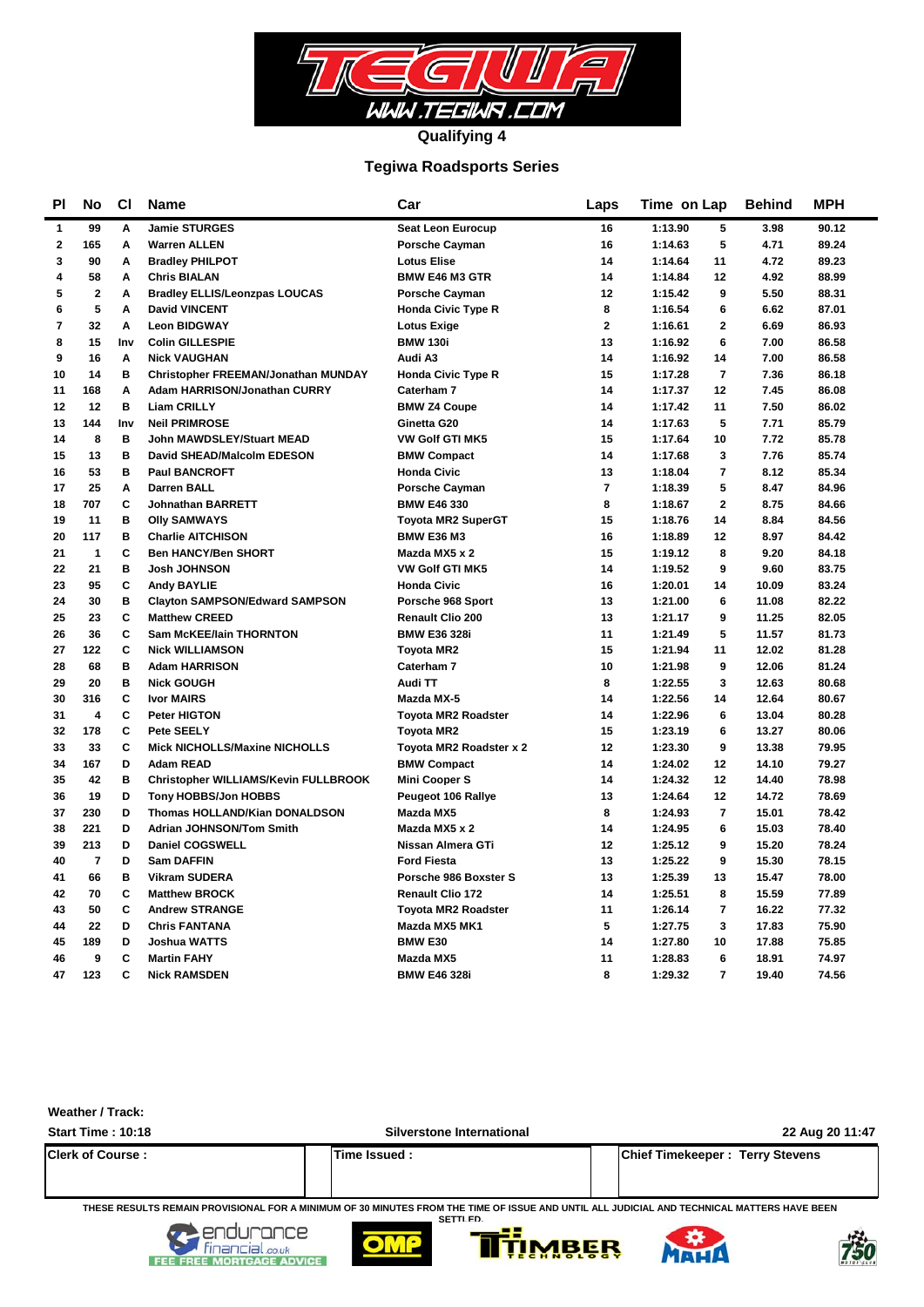

## **Tegiwa Roadsports Series**

| <b>PI</b>      | No                      | <b>CI</b> | <b>Name</b>                           | Car                        | Laps           | Time on Lap               | <b>Behind</b> | <b>MPH</b> |
|----------------|-------------------------|-----------|---------------------------------------|----------------------------|----------------|---------------------------|---------------|------------|
| $\mathbf{1}$   | 99                      | A         | <b>Jamie STURGES</b>                  | <b>Seat Leon Eurocup</b>   | 16             | 1:13.90<br>5              | 3.98          | 90.12      |
| $\bf 2$        | 165                     | A         | <b>Warren ALLEN</b>                   | <b>Porsche Cayman</b>      | 16             | 5<br>1:14.63              | 4.71          | 89.24      |
| 3              | 90                      | A         | <b>Bradley PHILPOT</b>                | <b>Lotus Elise</b>         | 14             | 1:14.64<br>11             | 4.72          | 89.23      |
| 4              | 58                      | Α         | <b>Chris BIALAN</b>                   | <b>BMW E46 M3 GTR</b>      | 14             | 1:14.84<br>12             | 4.92          | 88.99      |
| 5              | $\bf 2$                 | Α         | <b>Bradley ELLIS/Leonzpas LOUCAS</b>  | <b>Porsche Cayman</b>      | 12             | 9<br>1:15.42              | 5.50          | 88.31      |
| 6              | 5                       | A         | <b>David VINCENT</b>                  | <b>Honda Civic Type R</b>  | 8              | 6<br>1:16.54              | 6.62          | 87.01      |
| $\overline{7}$ | 32                      | A         | <b>Leon BIDGWAY</b>                   | <b>Lotus Exige</b>         | $\overline{2}$ | $\overline{2}$<br>1:16.61 | 6.69          | 86.93      |
| 8              | 15                      | Inv       | <b>Colin GILLESPIE</b>                | <b>BMW 130i</b>            | 13             | 1:16.92<br>6              | 7.00          | 86.58      |
| 9              | 16                      | Α         | <b>Nick VAUGHAN</b>                   | Audi A3                    | 14             | 14<br>1:16.92             | 7.00          | 86.58      |
| 10             | 14                      | в         | Christopher FREEMAN/Jonathan MUNDAY   | <b>Honda Civic Type R</b>  | 15             | $\overline{7}$<br>1:17.28 | 7.36          | 86.18      |
| 11             | 168                     | A         | Adam HARRISON/Jonathan CURRY          | Caterham 7                 | 14             | 12<br>1:17.37             | 7.45          | 86.08      |
| 12             | 12                      | B         | <b>Liam CRILLY</b>                    | <b>BMW Z4 Coupe</b>        | 14             | 11<br>1:17.42             | 7.50          | 86.02      |
| 13             | 144                     | Inv       | <b>Neil PRIMROSE</b>                  | Ginetta G20                | 14             | 5<br>1:17.63              | 7.71          | 85.79      |
| 14             | 8                       | B         | John MAWDSLEY/Stuart MEAD             | <b>VW Golf GTI MK5</b>     | 15             | 1:17.64<br>10             | 7.72          | 85.78      |
| 15             | 13                      | B         | David SHEAD/Malcolm EDESON            | <b>BMW Compact</b>         | 14             | 1:17.68<br>3              | 7.76          | 85.74      |
| 16             | 53                      | B         | <b>Paul BANCROFT</b>                  | <b>Honda Civic</b>         | 13             | 1:18.04<br>7              | 8.12          | 85.34      |
| 17             | 25                      | Α         | <b>Darren BALL</b>                    | <b>Porsche Cayman</b>      | $\overline{7}$ | 5<br>1:18.39              | 8.47          | 84.96      |
| 18             | 707                     | C         | <b>Johnathan BARRETT</b>              | <b>BMW E46 330</b>         | 8              | $\mathbf{2}$<br>1:18.67   | 8.75          | 84.66      |
| 19             | 11                      | B         | <b>Olly SAMWAYS</b>                   | <b>Toyota MR2 SuperGT</b>  | 15             | 1:18.76<br>14             | 8.84          | 84.56      |
| 20             | 117                     | B         | <b>Charlie AITCHISON</b>              | <b>BMW E36 M3</b>          | 16             | 1:18.89<br>12             | 8.97          | 84.42      |
| 21             | $\mathbf{1}$            | C         | <b>Ben HANCY/Ben SHORT</b>            | Mazda MX5 x 2              | 15             | 1:19.12<br>8              | 9.20          | 84.18      |
| 22             | 21                      | B         | <b>Josh JOHNSON</b>                   | <b>VW Golf GTI MK5</b>     | 14             | 9<br>1:19.52              | 9.60          | 83.75      |
| 23             | 95                      | C         | <b>Andy BAYLIE</b>                    | <b>Honda Civic</b>         | 16             | 1:20.01<br>14             | 10.09         | 83.24      |
| 24             | 30                      | в         | <b>Clayton SAMPSON/Edward SAMPSON</b> | Porsche 968 Sport          | 13             | 1:21.00<br>6              | 11.08         | 82.22      |
| 25             | 23                      | C         | <b>Matthew CREED</b>                  | <b>Renault Clio 200</b>    | 13             | 1:21.17<br>9              | 11.25         | 82.05      |
| 26             | 36                      | C         | <b>Sam McKEE/lain THORNTON</b>        | <b>BMW E36 328i</b>        | 11             | 5<br>1:21.49              | 11.57         | 81.73      |
| 27             | 122                     | C         | <b>Nick WILLIAMSON</b>                | <b>Toyota MR2</b>          | 15             | 1:21.94<br>11             | 12.02         | 81.28      |
| 28             | 68                      | B         | <b>Adam HARRISON</b>                  | Caterham 7                 | 10             | 1:21.98<br>9              | 12.06         | 81.24      |
| 29             | 20                      | в         | <b>Nick GOUGH</b>                     | Audi TT                    | 8              | 1:22.55<br>3              | 12.63         | 80.68      |
| 30             | 316                     | C         | <b>Ivor MAIRS</b>                     | Mazda MX-5                 | 14             | 1:22.56<br>14             | 12.64         | 80.67      |
| 31             | $\overline{\mathbf{4}}$ | C         | <b>Peter HIGTON</b>                   | <b>Toyota MR2 Roadster</b> | 14             | 6<br>1:22.96              | 13.04         | 80.28      |
| 32             | 178                     | C         | Pete SEELY                            | <b>Tovota MR2</b>          | 15             | 6<br>1:23.19              | 13.27         | 80.06      |
| 33             | 33                      | C         | <b>Mick NICHOLLS/Maxine NICHOLLS</b>  | Toyota MR2 Roadster x 2    | 12             | 1:23.30<br>9              | 13.38         | 79.95      |
| 34             | 167                     | D         | <b>Adam READ</b>                      | <b>BMW Compact</b>         | 14             | 1:24.02<br>12             | 14.10         | 79.27      |
| 35             | 42                      | B         | Christopher WILLIAMS/Kevin FULLBROOK  | <b>Mini Cooper S</b>       | 14             | 12<br>1:24.32             | 14.40         | 78.98      |
| 36             | 19                      | D         | <b>Tony HOBBS/Jon HOBBS</b>           | <b>Peugeot 106 Rallye</b>  | 13             | 1:24.64<br>12             | 14.72         | 78.69      |
| 37             | 230                     | D         | <b>Thomas HOLLAND/Kian DONALDSON</b>  | Mazda MX5                  | 8              | $\overline{7}$<br>1:24.93 | 15.01         | 78.42      |
| 38             | 221                     | D         | <b>Adrian JOHNSON/Tom Smith</b>       | Mazda MX5 x 2              | 14             | 1:24.95<br>6              | 15.03         | 78.40      |
| 39             | 213                     | D         | <b>Daniel COGSWELL</b>                | Nissan Almera GTi          | 12             | 9<br>1:25.12              | 15.20         | 78.24      |
| 40             | $\overline{7}$          | D         | <b>Sam DAFFIN</b>                     | <b>Ford Fiesta</b>         | 13             | 1:25.22<br>9              | 15.30         | 78.15      |
| 41             | 66                      | в         | <b>Vikram SUDERA</b>                  | Porsche 986 Boxster S      | 13             | 1:25.39<br>13             | 15.47         | 78.00      |
| 42             | 70                      | C         | <b>Matthew BROCK</b>                  | <b>Renault Clio 172</b>    | 14             | 1:25.51<br>8              | 15.59         | 77.89      |
| 43             | 50                      | C         | <b>Andrew STRANGE</b>                 | <b>Toyota MR2 Roadster</b> | 11             | $\overline{7}$<br>1:26.14 | 16.22         | 77.32      |
| 44             | 22                      | D         | <b>Chris FANTANA</b>                  | Mazda MX5 MK1              | 5              | 3<br>1:27.75              | 17.83         | 75.90      |
| 45             | 189                     | D         | <b>Joshua WATTS</b>                   | <b>BMW E30</b>             | 14             | 1:27.80<br>10             | 17.88         | 75.85      |
| 46             | 9                       | C         | <b>Martin FAHY</b>                    | Mazda MX5                  | 11             | 1:28.83<br>6              | 18.91         | 74.97      |
| 47             | 123                     | C         | <b>Nick RAMSDEN</b>                   | <b>BMW E46 328i</b>        | 8              | $\overline{7}$<br>1:29.32 | 19.40         | 74.56      |

**Weather / Track:** 

**Start Time : 10:18 Silverstone International 22 Aug 20 11:47 Clerk of Course : Time Issued : Chief Timekeeper : Terry Stevens**

**THESE RESULTS REMAIN PROVISIONAL FOR A MINIMUM OF 30 MINUTES FROM THE TIME OF ISSUE AND UNTIL ALL JUDICIAL AND TECHNICAL MATTERS HAVE BEEN SETTLED.**









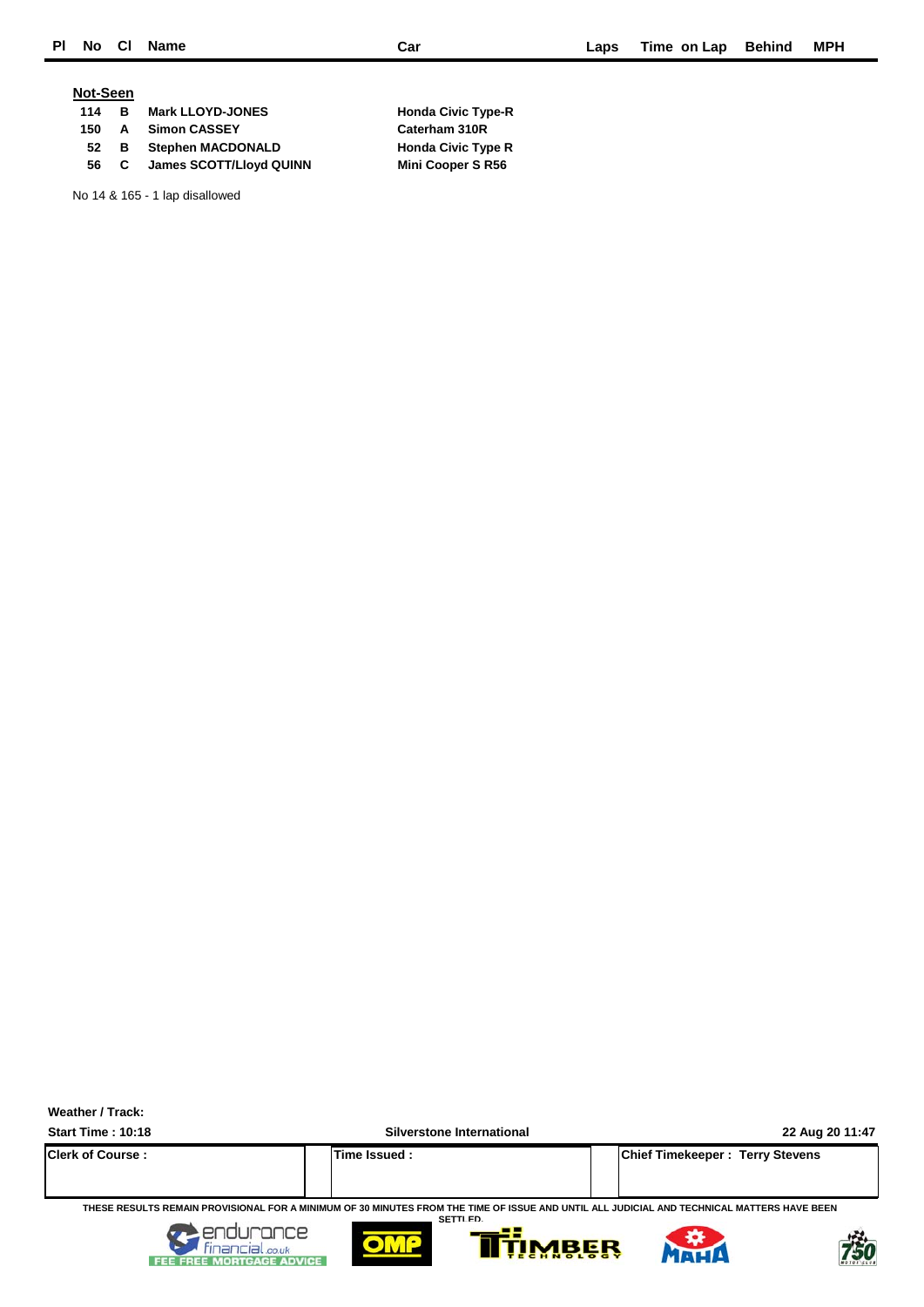### **Not-Seen**

| 114 | в.   | <b>Mark LLOYD-JONES</b> |  |
|-----|------|-------------------------|--|
| 150 |      | A Simon CASSEY          |  |
|     |      | 52 B Stephen MACDONALD  |  |
|     | 56 C | James SCOTT/Lloyd QUINN |  |

No 14 & 165 - 1 lap disallowed

**114 Mark Civic Type-R Caterham 310R 52 Bread Adders** Civic Type R **Mini Cooper S R56** 



**Start Time : 10:18 Silverstone International 22 Aug 20 11:47**

|                         | .                   | --                                     |
|-------------------------|---------------------|----------------------------------------|
| <b>Clerk of Course:</b> | <b>Time Issued:</b> | <b>Chief Timekeeper: Terry Stevens</b> |
|                         |                     |                                        |
|                         |                     |                                        |

**THESE RESULTS REMAIN PROVISIONAL FOR A MINIMUM OF 30 MINUTES FROM THE TIME OF ISSUE AND UNTIL ALL JUDICIAL AND TECHNICAL MATTERS HAVE BEEN SETTLED.**









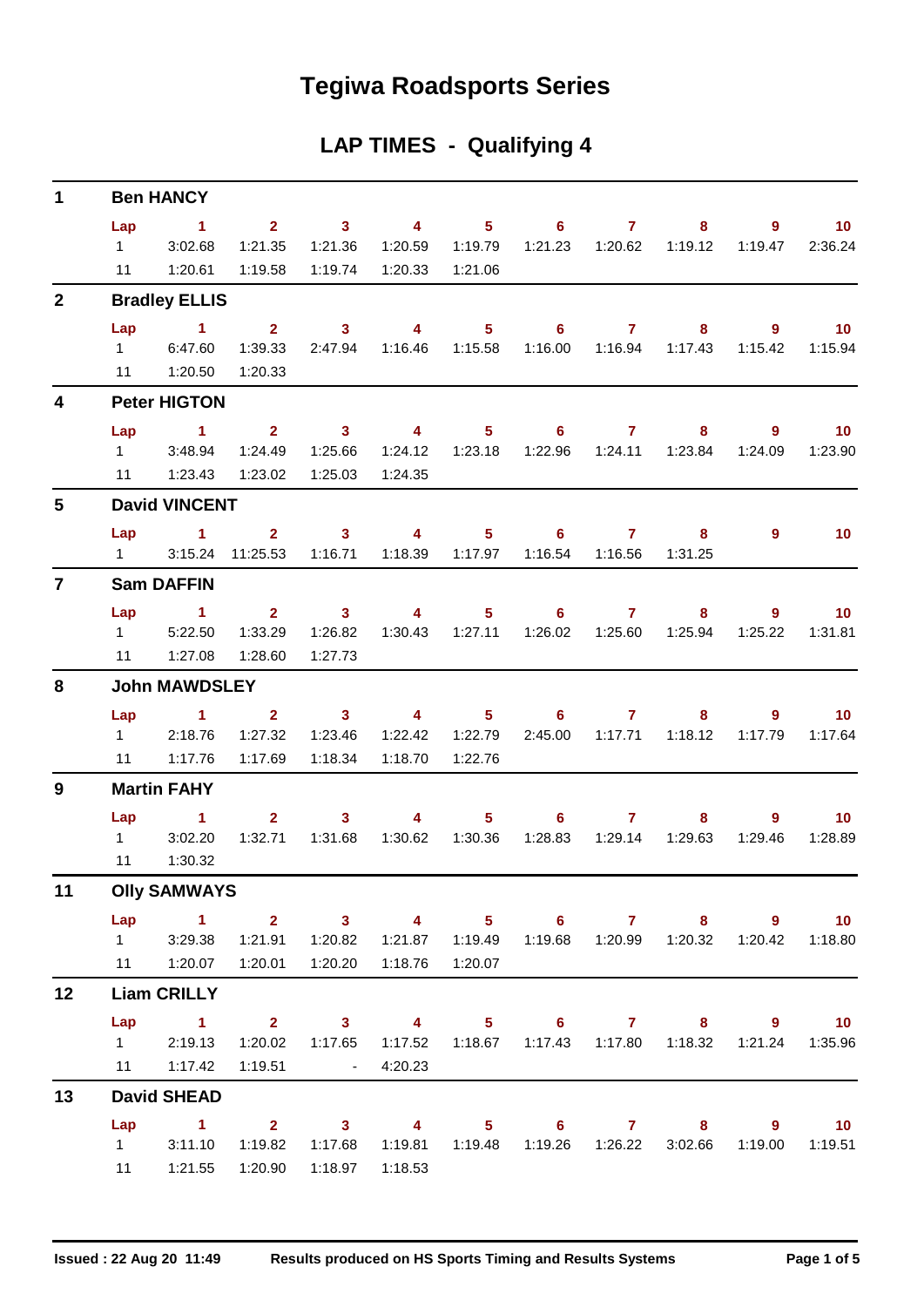## **Tegiwa Roadsports Series**

| <b>LAP TIMES - Qualifying 4</b> |  |  |
|---------------------------------|--|--|
|---------------------------------|--|--|

| $\mathbf 1$             | <b>Ben HANCY</b>            |                                    |                                            |                                                                                                                                                                                                                                                                                                                                                                                                                         |                                             |                  |                            |                                                                                                                                                                                                                                                                                                                                    |                                                      |              |                            |  |  |
|-------------------------|-----------------------------|------------------------------------|--------------------------------------------|-------------------------------------------------------------------------------------------------------------------------------------------------------------------------------------------------------------------------------------------------------------------------------------------------------------------------------------------------------------------------------------------------------------------------|---------------------------------------------|------------------|----------------------------|------------------------------------------------------------------------------------------------------------------------------------------------------------------------------------------------------------------------------------------------------------------------------------------------------------------------------------|------------------------------------------------------|--------------|----------------------------|--|--|
|                         | Lap<br>$1 \quad \Box$<br>11 | $\sim$ 1<br>3:02.68<br>1:20.61     | $2^{\circ}$<br>1:21.35                     | $\sim$ 3<br>1:21.36<br>1:19.58  1:19.74                                                                                                                                                                                                                                                                                                                                                                                 | $\overline{\mathbf{4}}$<br>1:20.33  1:21.06 | $5 -$            | 6                          | $\overline{7}$                                                                                                                                                                                                                                                                                                                     | 8 <sup>°</sup><br>1:19.12                            | 9<br>1:19.47 | 10 <sup>°</sup><br>2:36.24 |  |  |
| $\overline{2}$          |                             | <b>Bradley ELLIS</b>               |                                            |                                                                                                                                                                                                                                                                                                                                                                                                                         |                                             |                  |                            |                                                                                                                                                                                                                                                                                                                                    |                                                      |              |                            |  |  |
|                         | Lap                         | $\sim$ 1 $\sim$ 2                  |                                            | $\overline{\mathbf{3}}$                                                                                                                                                                                                                                                                                                                                                                                                 | $\overline{\mathbf{4}}$                     | 5 <sub>5</sub>   | 6 <sup>1</sup>             | $\overline{7}$                                                                                                                                                                                                                                                                                                                     | $\sim$ 8 $\sim$                                      | $9^{\circ}$  | $\overline{10}$            |  |  |
|                         | $1 \quad \Box$              | 6:47.60                            | 1:39.33                                    |                                                                                                                                                                                                                                                                                                                                                                                                                         | 2:47.94  1:16.46  1:15.58                   |                  |                            | 1:16.00  1:16.94                                                                                                                                                                                                                                                                                                                   | 1:17.43                                              | 1:15.42      | 1:15.94                    |  |  |
|                         |                             | 11  1:20.50                        | 1:20.33                                    |                                                                                                                                                                                                                                                                                                                                                                                                                         |                                             |                  |                            |                                                                                                                                                                                                                                                                                                                                    |                                                      |              |                            |  |  |
| $\overline{\mathbf{4}}$ |                             | <b>Peter HIGTON</b>                |                                            |                                                                                                                                                                                                                                                                                                                                                                                                                         |                                             |                  |                            |                                                                                                                                                                                                                                                                                                                                    |                                                      |              |                            |  |  |
|                         | Lap                         | $\sim$ $-1$                        | $\overline{\mathbf{2}}$                    | $\overline{\mathbf{3}}$                                                                                                                                                                                                                                                                                                                                                                                                 | $\overline{\mathbf{4}}$                     | 5 <sub>1</sub>   |                            | $6 \overline{7}$                                                                                                                                                                                                                                                                                                                   | $\sim$ 8                                             | 9            | 10                         |  |  |
|                         |                             | 1 3:48.94                          | 1:24.49                                    | 1:25.66                                                                                                                                                                                                                                                                                                                                                                                                                 | 1:24.12                                     | 1:23.18          |                            |                                                                                                                                                                                                                                                                                                                                    | 1:22.96  1:24.11  1:23.84                            | 1:24.09      | 1:23.90                    |  |  |
|                         | 11                          | 1:23.43                            | 1:23.02                                    | 1:25.03                                                                                                                                                                                                                                                                                                                                                                                                                 | 1:24.35                                     |                  |                            |                                                                                                                                                                                                                                                                                                                                    |                                                      |              |                            |  |  |
| 5                       | <b>David VINCENT</b>        |                                    |                                            |                                                                                                                                                                                                                                                                                                                                                                                                                         |                                             |                  |                            |                                                                                                                                                                                                                                                                                                                                    |                                                      |              |                            |  |  |
|                         |                             | Lap 1                              | $\mathbf{2}$                               | $\sim$ 3                                                                                                                                                                                                                                                                                                                                                                                                                | $\overline{4}$                              |                  | $5 - 5$<br>6               | $\overline{7}$                                                                                                                                                                                                                                                                                                                     | 8                                                    | 9            | 10 <sup>°</sup>            |  |  |
|                         |                             |                                    | 1 3:15.24 11:25.53 1:16.71 1:18.39 1:17.97 |                                                                                                                                                                                                                                                                                                                                                                                                                         |                                             |                  |                            |                                                                                                                                                                                                                                                                                                                                    | 1:31.25                                              |              |                            |  |  |
| $\overline{7}$          |                             | <b>Sam DAFFIN</b>                  |                                            |                                                                                                                                                                                                                                                                                                                                                                                                                         |                                             |                  |                            |                                                                                                                                                                                                                                                                                                                                    |                                                      |              |                            |  |  |
|                         | Lap                         | $\sim$ $\sim$ 1                    |                                            | 3 <sup>7</sup><br>$\overline{\mathbf{2}}$ and $\overline{\mathbf{2}}$ and $\overline{\mathbf{2}}$ and $\overline{\mathbf{2}}$ and $\overline{\mathbf{2}}$ and $\overline{\mathbf{2}}$ and $\overline{\mathbf{2}}$ and $\overline{\mathbf{2}}$ and $\overline{\mathbf{2}}$ and $\overline{\mathbf{2}}$ and $\overline{\mathbf{2}}$ and $\overline{\mathbf{2}}$ and $\overline{\mathbf{2}}$ and $\overline{\mathbf{2}}$ a | $\overline{4}$                              |                  | $5 - 5$<br>$6 -$           | $\overline{7}$ and $\overline{7}$ and $\overline{7}$ and $\overline{7}$ and $\overline{7}$ and $\overline{7}$ and $\overline{7}$ and $\overline{7}$ and $\overline{7}$ and $\overline{7}$ and $\overline{7}$ and $\overline{7}$ and $\overline{7}$ and $\overline{7}$ and $\overline{7}$ and $\overline{7}$ and $\overline{7}$ and | 8                                                    | $9^{\circ}$  | 10 <sup>°</sup>            |  |  |
|                         |                             | 1 5:22.50                          | 1:33.29                                    | 1:26.82                                                                                                                                                                                                                                                                                                                                                                                                                 |                                             |                  |                            |                                                                                                                                                                                                                                                                                                                                    | 1:30.43  1:27.11  1:26.02  1:25.60  1:25.94  1:25.22 |              | 1:31.81                    |  |  |
|                         |                             | 11  1:27.08                        | 1:28.60                                    | 1:27.73                                                                                                                                                                                                                                                                                                                                                                                                                 |                                             |                  |                            |                                                                                                                                                                                                                                                                                                                                    |                                                      |              |                            |  |  |
| 8                       |                             | <b>John MAWDSLEY</b>               |                                            |                                                                                                                                                                                                                                                                                                                                                                                                                         |                                             |                  |                            |                                                                                                                                                                                                                                                                                                                                    |                                                      |              |                            |  |  |
|                         | Lap                         | $\sim$ $\sim$ $\sim$ $\sim$ $\sim$ | $2^{\circ}$                                | $\overline{\mathbf{3}}$                                                                                                                                                                                                                                                                                                                                                                                                 | $\sim$ 4 $\sim$ 4                           |                  | $5 \t\t 6$                 | $\overline{7}$                                                                                                                                                                                                                                                                                                                     | 8                                                    | 9            | $-10$                      |  |  |
|                         |                             | 12:18.76                           | 1:27.32                                    | 1:23.46                                                                                                                                                                                                                                                                                                                                                                                                                 |                                             | 1:22.42  1:22.79 |                            |                                                                                                                                                                                                                                                                                                                                    | 2:45.00  1:17.71  1:18.12                            | 1:17.79      | 1:17.64                    |  |  |
|                         | 11                          | 1:17.76                            | 1:17.69                                    | 1:18.34                                                                                                                                                                                                                                                                                                                                                                                                                 |                                             | 1:18.70  1:22.76 |                            |                                                                                                                                                                                                                                                                                                                                    |                                                      |              |                            |  |  |
| 9                       |                             | <b>Martin FAHY</b>                 |                                            |                                                                                                                                                                                                                                                                                                                                                                                                                         |                                             |                  |                            |                                                                                                                                                                                                                                                                                                                                    |                                                      |              |                            |  |  |
|                         | Lap                         | $\sim$ $\sim$ 1                    | $2^{\circ}$                                | 3 <sub>1</sub>                                                                                                                                                                                                                                                                                                                                                                                                          | 4 <sup>1</sup>                              | 5 <sub>1</sub>   | 6 <sup>1</sup>             | $\overline{7}$                                                                                                                                                                                                                                                                                                                     | 8.                                                   | 9            | 10                         |  |  |
|                         |                             | 1 3:02.20                          | 1:32.71                                    | 1:31.68                                                                                                                                                                                                                                                                                                                                                                                                                 |                                             | 1:30.62  1:30.36 |                            |                                                                                                                                                                                                                                                                                                                                    | 1:28.83  1:29.14  1:29.63                            | 1:29.46      | 1:28.89                    |  |  |
|                         | 11                          | 1:30.32                            |                                            |                                                                                                                                                                                                                                                                                                                                                                                                                         |                                             |                  |                            |                                                                                                                                                                                                                                                                                                                                    |                                                      |              |                            |  |  |
| 11                      |                             | <b>Olly SAMWAYS</b>                |                                            |                                                                                                                                                                                                                                                                                                                                                                                                                         |                                             |                  |                            |                                                                                                                                                                                                                                                                                                                                    |                                                      |              |                            |  |  |
|                         | Lap                         | $\sim$ $\sim$ 1                    | $2 \t 3$                                   |                                                                                                                                                                                                                                                                                                                                                                                                                         | $\overline{\mathbf{4}}$                     | $5 -$            | $\overline{\phantom{a}}$ 6 | $\overline{7}$                                                                                                                                                                                                                                                                                                                     | $\sim$ 8 $\sim$                                      | $9^{\circ}$  | 10                         |  |  |
|                         |                             |                                    | 1 3:29.38 1:21.91 1:20.82                  |                                                                                                                                                                                                                                                                                                                                                                                                                         |                                             |                  |                            |                                                                                                                                                                                                                                                                                                                                    | 1:19.68  1:20.99  1:20.32  1:20.42                   |              | 1:18.80                    |  |  |
|                         |                             | 11  1:20.07  1:20.01               |                                            | 1:20.20                                                                                                                                                                                                                                                                                                                                                                                                                 | 1:18.76                                     | 1:20.07          |                            |                                                                                                                                                                                                                                                                                                                                    |                                                      |              |                            |  |  |
| 12                      |                             | <b>Liam CRILLY</b>                 |                                            |                                                                                                                                                                                                                                                                                                                                                                                                                         |                                             |                  |                            |                                                                                                                                                                                                                                                                                                                                    |                                                      |              |                            |  |  |
|                         |                             | $Lap$ 1                            |                                            | 2 3 4 5 6 7 8 9 10                                                                                                                                                                                                                                                                                                                                                                                                      |                                             |                  |                            |                                                                                                                                                                                                                                                                                                                                    |                                                      |              |                            |  |  |
|                         |                             | 1 2:19.13                          | 1:20.02                                    | 1:17.65                                                                                                                                                                                                                                                                                                                                                                                                                 |                                             |                  |                            |                                                                                                                                                                                                                                                                                                                                    |                                                      |              | 1:35.96                    |  |  |
|                         |                             | 11   1:17.42                       | 1:19.51                                    | <b>Contract Contract</b>                                                                                                                                                                                                                                                                                                                                                                                                | 4:20.23                                     |                  |                            |                                                                                                                                                                                                                                                                                                                                    |                                                      |              |                            |  |  |
| 13                      | Lap                         | <b>David SHEAD</b><br>$\sim$ 1.    | $\overline{\mathbf{2}}$                    | $\sim$ 3                                                                                                                                                                                                                                                                                                                                                                                                                | $\overline{\mathbf{4}}$                     |                  | $5 \t\t 6 \t\t 7$          |                                                                                                                                                                                                                                                                                                                                    | $8 -$                                                |              |                            |  |  |
|                         | $1 \qquad \qquad$           | 3:11.10                            | 1:19.82                                    | 1:17.68                                                                                                                                                                                                                                                                                                                                                                                                                 |                                             |                  |                            |                                                                                                                                                                                                                                                                                                                                    | 1:19.81  1:19.48  1:19.26  1:26.22  3:02.66  1:19.00 | $9^{\circ}$  | $\overline{10}$<br>1:19.51 |  |  |
|                         | 11                          | 1:21.55                            | 1:20.90                                    | 1:18.97                                                                                                                                                                                                                                                                                                                                                                                                                 | 1:18.53                                     |                  |                            |                                                                                                                                                                                                                                                                                                                                    |                                                      |              |                            |  |  |
|                         |                             |                                    |                                            |                                                                                                                                                                                                                                                                                                                                                                                                                         |                                             |                  |                            |                                                                                                                                                                                                                                                                                                                                    |                                                      |              |                            |  |  |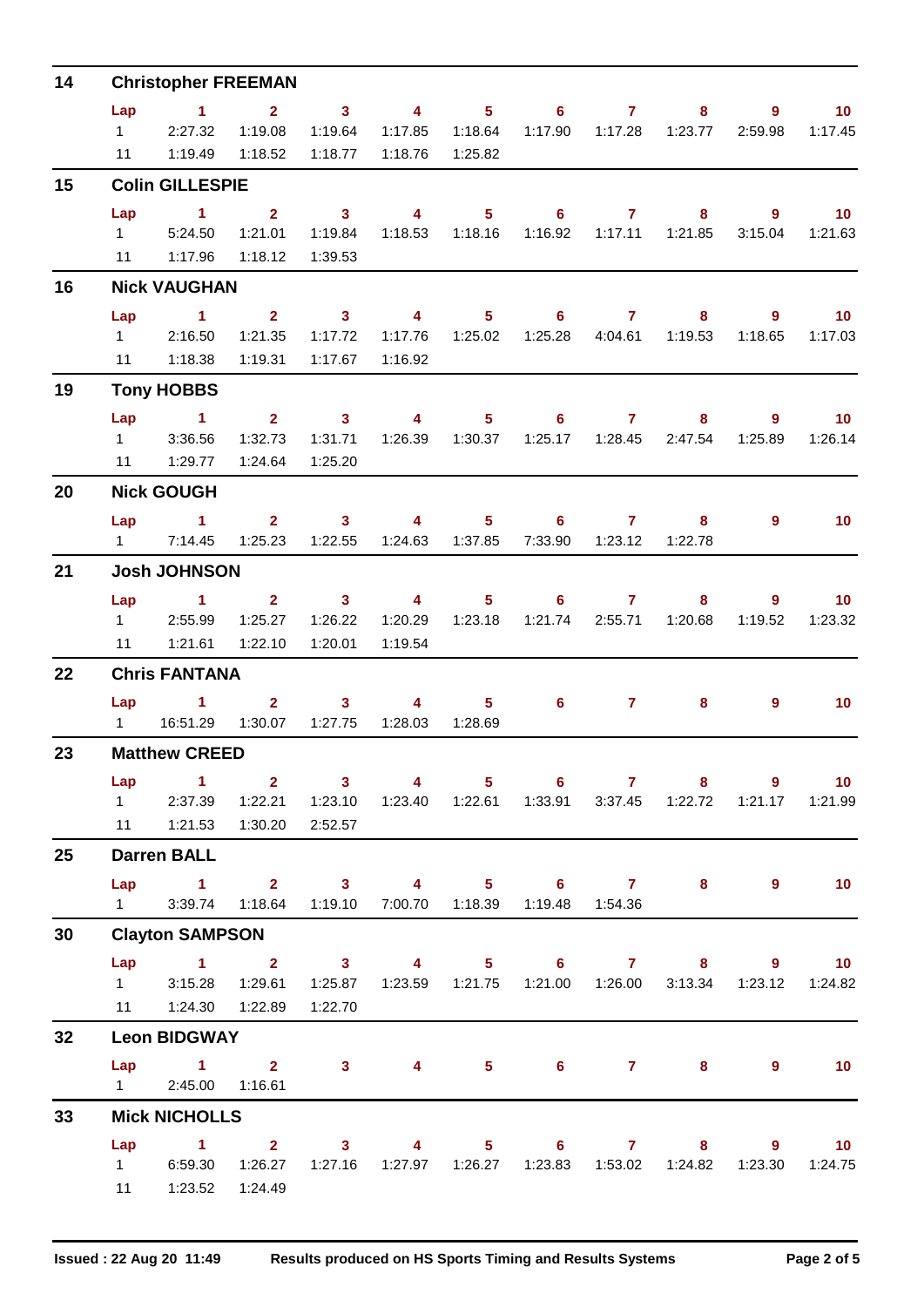| 14 | <b>Christopher FREEMAN</b> |                                                           |                         |              |                                               |                |                   |                  |                          |                                                               |                   |  |
|----|----------------------------|-----------------------------------------------------------|-------------------------|--------------|-----------------------------------------------|----------------|-------------------|------------------|--------------------------|---------------------------------------------------------------|-------------------|--|
|    | Lap                        | $\blacktriangleleft$                                      | $\mathbf{2}$            | $\mathbf{3}$ | $\overline{4}$                                | 5 <sup>5</sup> | $6^{\circ}$       | $\mathbf{7}$     | 8                        | 9                                                             | 10                |  |
|    | $1 \quad$                  | 2:27.32                                                   | 1:19.08                 | 1:19.64      | 1:17.85                                       | 1:18.64        | 1:17.90           | 1:17.28          | 1:23.77                  | 2:59.98                                                       | 1:17.45           |  |
|    | 11                         | 1:19.49                                                   | 1:18.52                 | 1:18.77      | 1:18.76                                       | 1:25.82        |                   |                  |                          |                                                               |                   |  |
| 15 |                            | <b>Colin GILLESPIE</b>                                    |                         |              |                                               |                |                   |                  |                          |                                                               |                   |  |
|    | Lap                        | $\mathbf{1}$                                              | $\overline{2}$          | $\mathbf{3}$ | 4                                             | 5 <sup>5</sup> | $6^{\circ}$       | $\overline{7}$   | 8                        | 9                                                             | 10 <sup>°</sup>   |  |
|    | $1 \quad$                  | 5:24.50                                                   | 1:21.01                 | 1:19.84      | 1:18.53                                       | 1:18.16        | 1:16.92           | 1:17.11          | 1:21.85                  | 3:15.04                                                       | 1:21.63           |  |
|    | 11                         | 1:17.96                                                   | 1:18.12                 | 1:39.53      |                                               |                |                   |                  |                          |                                                               |                   |  |
| 16 |                            | <b>Nick VAUGHAN</b>                                       |                         |              |                                               |                |                   |                  |                          |                                                               |                   |  |
|    | Lap                        | $\sim$ 1                                                  | $\overline{2}$          | $\sim$ 3     | $\overline{4}$                                | 5 <sup>5</sup> | 6                 | $\overline{7}$   | 8                        | 9                                                             | 10 <sup>°</sup>   |  |
|    | $1 \quad$                  | 2:16.50                                                   | 1:21.35                 | 1:17.72      | 1:17.76                                       | 1:25.02        | 1:25.28           | 4:04.61          | 1:19.53                  | 1:18.65                                                       | 1:17.03           |  |
|    | 11                         | 1:18.38                                                   | 1:19.31                 | 1:17.67      | 1:16.92                                       |                |                   |                  |                          |                                                               |                   |  |
| 19 |                            | <b>Tony HOBBS</b>                                         |                         |              |                                               |                |                   |                  |                          |                                                               |                   |  |
|    | Lap                        | $\mathbf{1}$                                              | 2 <sup>1</sup>          | $\mathbf{3}$ | 4                                             | 5 <sup>5</sup> | 6                 | $\mathbf{7}$     | 8                        | 9                                                             | 10 <sup>°</sup>   |  |
|    | $1 \quad$                  | 3:36.56                                                   | 1:32.73                 | 1:31.71      |                                               |                | 1:25.17           | 1:28.45          | 2:47.54                  | 1:25.89                                                       | 1:26.14           |  |
|    | 11                         | 1:29.77                                                   | 1:24.64                 | 1:25.20      |                                               |                |                   |                  |                          |                                                               |                   |  |
| 20 |                            | <b>Nick GOUGH</b>                                         |                         |              |                                               |                |                   |                  |                          |                                                               |                   |  |
|    | Lap                        | $\sim$ 1                                                  | 2 <sup>1</sup>          | $\sim$ 3     | $\overline{4}$                                | 5 <sup>5</sup> | 6                 | 7                | 8                        | 9                                                             | 10 <sup>°</sup>   |  |
|    | $1 \quad \Box$             | 7:14.45                                                   | 1:25.23                 | 1:22.55      | 1:24.63                                       | 1:37.85        | 7:33.90           | 1:23.12          | 1:22.78                  |                                                               |                   |  |
| 21 |                            | <b>Josh JOHNSON</b>                                       |                         |              |                                               |                |                   |                  |                          |                                                               |                   |  |
|    | Lap                        | $\sim$ 1                                                  | $\overline{2}$          | $\mathbf{3}$ | $\overline{\mathbf{4}}$                       | 5 <sup>5</sup> | $6^{\circ}$       | $\mathbf{7}$     | 8                        | 9                                                             | 10 <sub>1</sub>   |  |
|    | $1 \quad$                  | 2:55.99                                                   | 1:25.27                 | 1:26.22      | 1:20.29                                       | 1:23.18        | 1:21.74           | 2:55.71          | 1:20.68                  | 1:19.52                                                       | 1:23.32           |  |
|    | 11                         | 1:21.61                                                   | 1:22.10                 | 1:20.01      | 1:19.54                                       |                |                   |                  |                          |                                                               |                   |  |
| 22 |                            | <b>Chris FANTANA</b>                                      |                         |              |                                               |                |                   |                  |                          |                                                               |                   |  |
|    | Lap                        | $\sim$ 1.                                                 | $\mathbf{2}$            | $\mathbf{3}$ | $\overline{4}$                                | 5 <sup>5</sup> | $6^{\circ}$       | $\mathbf{7}$     | 8                        | 9                                                             | 10 <sup>°</sup>   |  |
|    | $1 \quad$                  | 16:51.29                                                  | 1:30.07                 | 1:27.75      | 1:28.03                                       | 1:28.69        |                   |                  |                          |                                                               |                   |  |
| 23 | <b>Matthew CREED</b>       |                                                           |                         |              |                                               |                |                   |                  |                          |                                                               |                   |  |
|    | Lap                        | $\sim$ 1                                                  | $\overline{\mathbf{2}}$ | $\sim$ 3     | $\overline{4}$                                |                | $5 \t\t 6 \t\t 7$ |                  | 8                        | 9                                                             | 10 <sub>1</sub>   |  |
|    |                            | 1 2:37.39 1:22.21 1:23.10                                 |                         |              |                                               |                |                   |                  |                          | 1:23.40  1:22.61  1:33.91  3:37.45  1:22.72  1:21.17  1:21.99 |                   |  |
|    |                            | 11   1:21.53                                              | 1:30.20                 | 2:52.57      |                                               |                |                   |                  |                          |                                                               |                   |  |
| 25 |                            | <b>Darren BALL</b>                                        |                         |              |                                               |                |                   |                  |                          |                                                               |                   |  |
|    | Lap                        | $1 \qquad 2 \qquad 3 \qquad 4 \qquad 5 \qquad 6 \qquad 7$ |                         |              |                                               |                |                   |                  | 8                        | $9^{\circ}$                                                   | 10                |  |
|    | $1 \qquad \qquad$          | 3:39.74                                                   | 1:18.64                 |              | 1:19.10 7:00.70 1:18.39                       |                |                   | 1:19.48  1:54.36 |                          |                                                               |                   |  |
| 30 |                            | <b>Clayton SAMPSON</b>                                    |                         |              |                                               |                |                   |                  |                          |                                                               |                   |  |
|    |                            | $Lap$ 1 2                                                 |                         |              |                                               |                |                   |                  |                          | 3 4 5 6 7 8 9 10                                              |                   |  |
|    | $1 \quad \Box$             | 3:15.28                                                   | 1:29.61                 | 1:25.87      |                                               |                |                   | 1:21.00  1:26.00 | 3:13.34                  | 1:23.12                                                       | 1:24.82           |  |
|    |                            | 11  1:24.30  1:22.89                                      |                         | 1:22.70      |                                               |                |                   |                  |                          |                                                               |                   |  |
| 32 |                            | <b>Leon BIDGWAY</b>                                       |                         |              |                                               |                |                   |                  |                          |                                                               |                   |  |
|    |                            | $Lap$ 1 2                                                 |                         |              | $3 \qquad \qquad 4 \qquad \qquad$             |                |                   |                  | $5 \t\t 6 \t\t 7 \t\t 8$ | 9                                                             | 10                |  |
|    | $1 \quad \Box$             | 2:45.00                                                   | 1:16.61                 |              |                                               |                |                   |                  |                          |                                                               |                   |  |
| 33 |                            | <b>Mick NICHOLLS</b>                                      |                         |              |                                               |                |                   |                  |                          |                                                               |                   |  |
|    | Lap                        | $1 \t 2 \t 3$                                             |                         |              | $\sim$ 4 and $\sim$ 4 and $\sim$ 4 and $\sim$ |                |                   |                  | $5 \t\t 6 \t\t 7 \t\t 8$ | $9^{\circ}$                                                   | $\blacksquare$ 10 |  |
|    |                            | 1 6:59.30 1:26.27                                         |                         | 1:27.16      |                                               |                |                   |                  |                          | 1:23.30                                                       | 1:24.75           |  |
|    | 11                         | 1:23.52                                                   | 1:24.49                 |              |                                               |                |                   |                  |                          |                                                               |                   |  |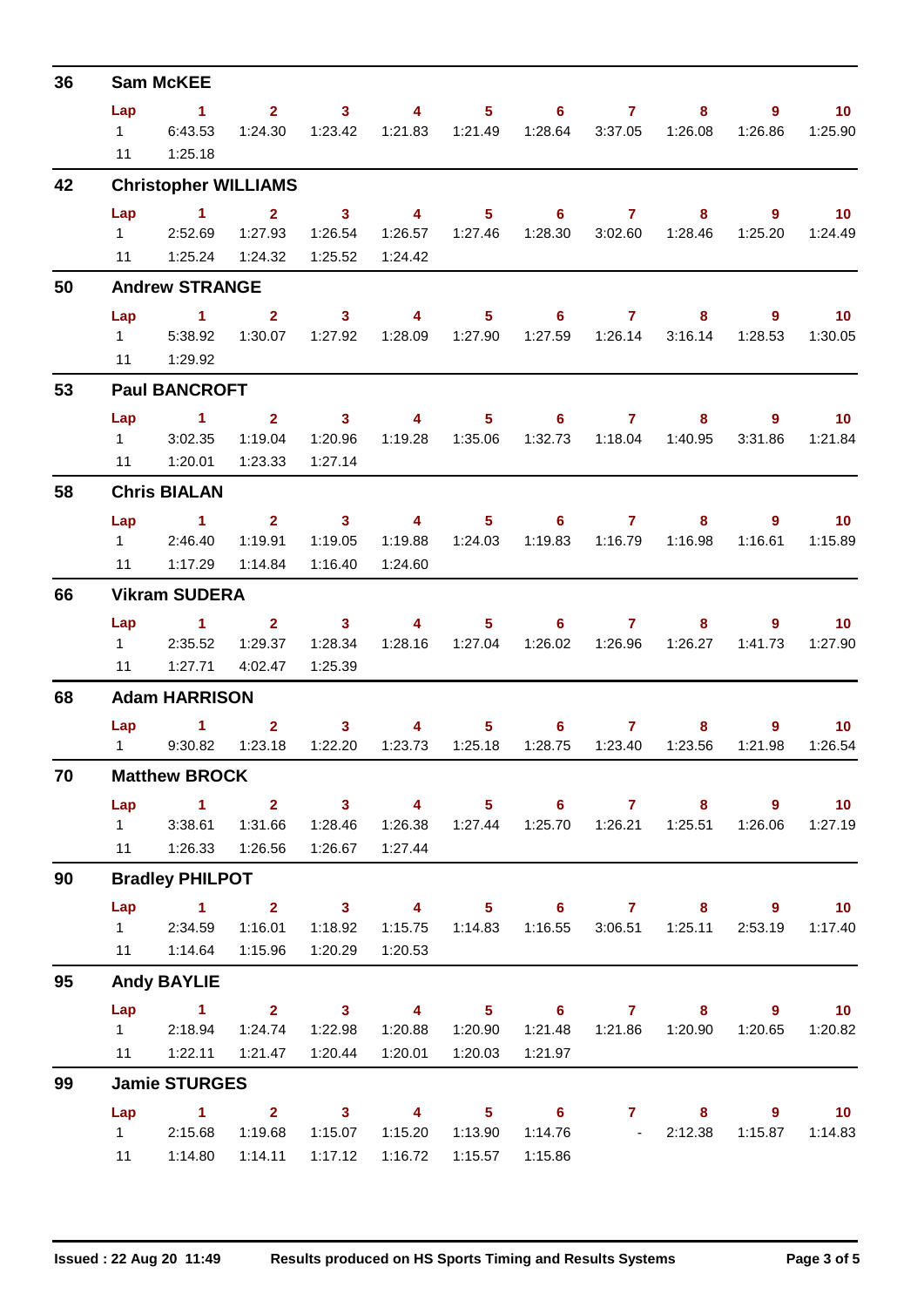| 36 |                        | <b>Sam McKEE</b>                                                                                                      |              |                         |                                  |                  |                   |                |                                                               |                |                   |
|----|------------------------|-----------------------------------------------------------------------------------------------------------------------|--------------|-------------------------|----------------------------------|------------------|-------------------|----------------|---------------------------------------------------------------|----------------|-------------------|
|    | Lap                    | $\sim$ 1                                                                                                              |              | $2 \t 3 \t 4$           |                                  |                  | $5 \t\t 6 \t\t 7$ |                | $8 -$                                                         | $9^{\circ}$    | $\blacksquare$ 10 |
|    |                        | 1 6:43.53                                                                                                             |              |                         |                                  |                  |                   |                | 1:24.30  1:23.42  1:21.83  1:21.49  1:28.64  3:37.05  1:26.08 | 1:26.86        | 1:25.90           |
|    | 11                     | 1:25.18                                                                                                               |              |                         |                                  |                  |                   |                |                                                               |                |                   |
| 42 |                        | <b>Christopher WILLIAMS</b>                                                                                           |              |                         |                                  |                  |                   |                |                                                               |                |                   |
|    | Lap                    | $\overline{1}$ $\overline{2}$                                                                                         |              | $\overline{\mathbf{3}}$ | $\overline{4}$                   |                  |                   |                | $5 \t\t 6 \t\t 7 \t\t 8$                                      | $9^{\circ}$    | $\overline{10}$   |
|    | $1 \quad \Box$         | 2:52.69                                                                                                               | 1:27.93      | 1:26.54                 |                                  |                  |                   |                |                                                               | 1:25.20        | 1:24.49           |
|    |                        | 11   1:25.24   1:24.32                                                                                                |              | 1:25.52                 | 1:24.42                          |                  |                   |                |                                                               |                |                   |
| 50 |                        | <b>Andrew STRANGE</b>                                                                                                 |              |                         |                                  |                  |                   |                |                                                               |                |                   |
|    |                        | Lap 1                                                                                                                 | $\mathbf{2}$ |                         |                                  |                  |                   |                | 3 4 5 6 7 8                                                   | 9              | $\blacksquare$ 10 |
|    |                        | 1 5:38.92                                                                                                             | 1:30.07      | 1:27.92                 |                                  |                  |                   |                | 3:16.14                                                       | 1:28.53        | 1:30.05           |
|    |                        | 11   1:29.92                                                                                                          |              |                         |                                  |                  |                   |                |                                                               |                |                   |
| 53 |                        | <b>Paul BANCROFT</b>                                                                                                  |              |                         |                                  |                  |                   |                |                                                               |                |                   |
|    | Lap                    | <b>Contract 1. In the State of the State</b>                                                                          |              | $2 \qquad \qquad 3$     | $\sim$ 4 and $\sim$ 4 and $\sim$ |                  |                   |                | $5 \t\t 6 \t\t 7 \t\t 8$                                      |                | $9$ 10            |
|    |                        | $1 \t3.02.35$                                                                                                         | 1:19.04      | 1:20.96                 |                                  |                  |                   |                | 1:32.73  1:18.04  1:40.95                                     | 3:31.86        | 1:21.84           |
|    |                        | 11   1:20.01   1:23.33                                                                                                |              | 1:27.14                 |                                  |                  |                   |                |                                                               |                |                   |
| 58 |                        | <b>Chris BIALAN</b>                                                                                                   |              |                         |                                  |                  |                   |                |                                                               |                |                   |
|    |                        | Lap 1                                                                                                                 |              | $2 \qquad 3 \qquad 4$   |                                  |                  |                   |                | $5 \t\t 6 \t\t 7 \t\t 8$                                      | 9              | $\blacksquare$ 10 |
|    |                        | 12:46.40                                                                                                              | 1:19.91      | 1:19.05                 | 1:19.88                          | 1:24.03          | 1:19.83           | 1:16.79        | 1:16.98                                                       | 1:16.61        | 1:15.89           |
|    | 11                     | 1:17.29                                                                                                               | 1:14.84      | 1:16.40                 | 1:24.60                          |                  |                   |                |                                                               |                |                   |
| 66 |                        | <b>Vikram SUDERA</b>                                                                                                  |              |                         |                                  |                  |                   |                |                                                               |                |                   |
|    | Lap                    | <b>Contract Advised Advised Advised Advised Advised Advised Advised Advised Advised Advised Advised Advised Advis</b> |              | $2 \t 3$                | $\overline{4}$                   | $5 -$            | $6 -$             |                | 8                                                             | $9^{\circ}$    | $\blacksquare$ 10 |
|    |                        | 1 2:35.52                                                                                                             | 1:29.37      | 1:28.34                 |                                  | 1:28.16  1:27.04 |                   |                | 1:26.02  1:26.96  1:26.27                                     | 1:41.73        | 1:27.90           |
|    |                        | 11   1:27.71   4:02.47                                                                                                |              | 1:25.39                 |                                  |                  |                   |                |                                                               |                |                   |
| 68 |                        | <b>Adam HARRISON</b>                                                                                                  |              |                         |                                  |                  |                   |                |                                                               |                |                   |
|    |                        | Lap 1                                                                                                                 |              | $2 \t 3$                | $\sim$ 4 and $\sim$ 4 and $\sim$ |                  | $5 \t\t 6 \t\t 7$ |                | 8.                                                            | 9              | $\overline{10}$   |
|    |                        | 1 9:30.82                                                                                                             | 1:23.18      | 1:22.20                 | 1:23.73                          | 1:25.18          | 1:28.75           | 1:23.40        | 1:23.56                                                       | 1:21.98        | 1:26.54           |
| 70 |                        | <b>Matthew BROCK</b>                                                                                                  |              |                         |                                  |                  |                   |                |                                                               |                |                   |
|    | Lap                    | $\sim$ 1                                                                                                              |              | $2 \t 3$                | $\overline{\mathbf{4}}$          | $5 -$            | $6 -$             | $\overline{7}$ | 8                                                             | $9^{\circ}$    | 10 <sub>1</sub>   |
|    |                        | 1 3:38.61 1:31.66 1:28.46                                                                                             |              |                         |                                  |                  |                   |                | 1:26.38  1:27.44  1:25.70  1:26.21  1:25.51  1:26.06          |                | 1:27.19           |
|    | 11                     |                                                                                                                       |              | 1:26.67                 | 1:27.44                          |                  |                   |                |                                                               |                |                   |
| 90 |                        | <b>Bradley PHILPOT</b>                                                                                                |              |                         |                                  |                  |                   |                |                                                               |                |                   |
|    |                        | Lap 1 2 3                                                                                                             |              |                         |                                  |                  |                   |                |                                                               | 4 5 6 7 8 9 10 |                   |
|    |                        | 1 2:34.59                                                                                                             | 1:16.01      | 1:18.92                 | 1:15.75                          |                  |                   |                | 1:14.83  1:16.55  3:06.51  1:25.11                            | 2:53.19        | 1:17.40           |
|    |                        | 11  1:14.64  1:15.96                                                                                                  |              | 1:20.29                 | 1:20.53                          |                  |                   |                |                                                               |                |                   |
| 95 |                        | <b>Andy BAYLIE</b>                                                                                                    |              |                         |                                  |                  |                   |                |                                                               |                |                   |
|    | Lap                    | $\sim$ $-1$                                                                                                           |              | $2 \t 3$                |                                  |                  | 4 5 6 7           |                | $8 -$                                                         | $\overline{9}$ | $\overline{10}$   |
|    |                        | 1 2:18.94 1:24.74                                                                                                     |              | 1:22.98                 |                                  |                  |                   |                | 1:20.88  1:20.90  1:21.48  1:21.86  1:20.90  1:20.65          |                | 1:20.82           |
|    | 11                     |                                                                                                                       |              | 1:20.44                 | 1:20.01                          | 1:20.03          | 1:21.97           |                |                                                               |                |                   |
| 99 |                        | <b>Jamie STURGES</b>                                                                                                  |              |                         |                                  |                  |                   |                |                                                               |                |                   |
|    | Lap                    | $\sim$ 1.000 $\sim$ 1.000 $\sim$                                                                                      | $2^{\circ}$  | $\sim$ 3                | $\overline{\mathbf{4}}$          |                  | $5 \t\t 6$        | 7 <sup>7</sup> | 8                                                             | 9              | $\overline{10}$   |
|    | $1 \quad \blacksquare$ | 2:15.68                                                                                                               | 1:19.68      | 1:15.07                 | 1:15.20                          | 1:13.90          |                   | $1:14.76$ -    | 2:12.38                                                       | 1:15.87        | 1:14.83           |
|    | 11                     | 1:14.80                                                                                                               | 1:14.11      | 1:17.12                 | 1:16.72                          | 1:15.57          | 1:15.86           |                |                                                               |                |                   |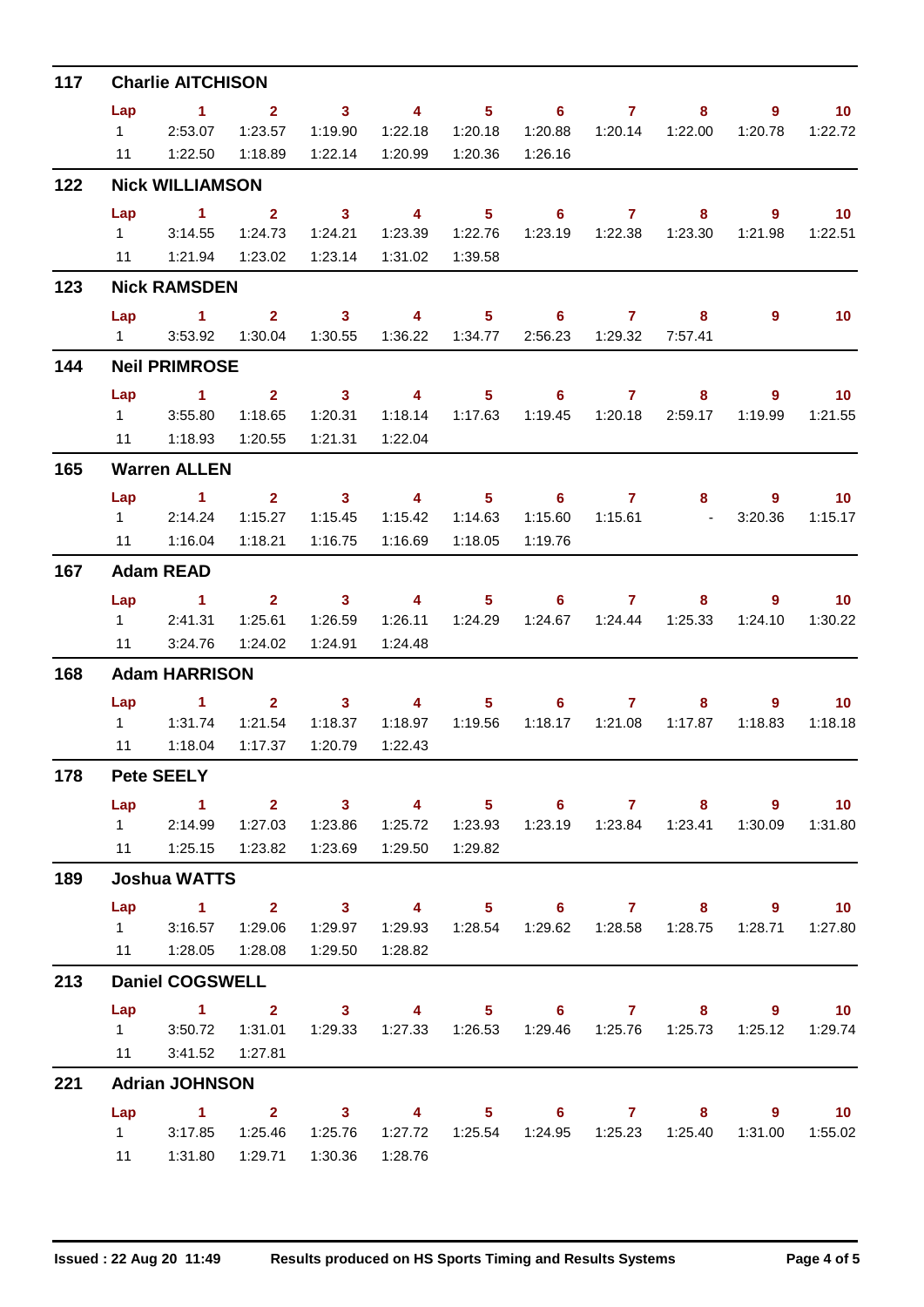| 117 | <b>Charlie AITCHISON</b> |                                                                                   |                         |                         |                         |                  |                                                               |                     |                           |                |                          |  |
|-----|--------------------------|-----------------------------------------------------------------------------------|-------------------------|-------------------------|-------------------------|------------------|---------------------------------------------------------------|---------------------|---------------------------|----------------|--------------------------|--|
|     | Lap                      | $\sim$ $\sim$ 1                                                                   | $\sim$ 2                | $\overline{\mathbf{3}}$ |                         |                  | 4 5 6 7                                                       |                     | 8                         | 9              | $\overline{10}$          |  |
|     |                          | 12:53.07                                                                          | 1:23.57                 | 1:19.90                 | 1:22.18                 | 1:20.18          | 1:20.88                                                       |                     | 1:20.14  1:22.00          | 1:20.78        | 1:22.72                  |  |
|     | 11                       | 1:22.50                                                                           | 1:18.89                 | 1:22.14                 |                         |                  | 1:26.16                                                       |                     |                           |                |                          |  |
| 122 |                          | <b>Nick WILLIAMSON</b>                                                            |                         |                         |                         |                  |                                                               |                     |                           |                |                          |  |
|     | Lap                      | $\sim$ 1                                                                          | $\overline{\mathbf{2}}$ | $\sim$ 3                | $\overline{\mathbf{4}}$ | 5 <sub>5</sub>   |                                                               | $6 \overline{7}$    | 8                         | $\overline{9}$ | $\blacksquare$ 10        |  |
|     |                          | 1 3:14.55                                                                         | 1:24.73                 | 1:24.21                 |                         |                  |                                                               |                     |                           | 1:21.98        | 1:22.51                  |  |
|     |                          | 11   1:21.94                                                                      | 1:23.02                 | 1:23.14                 | 1:31.02                 | 1:39.58          |                                                               |                     |                           |                |                          |  |
| 123 |                          | <b>Nick RAMSDEN</b>                                                               |                         |                         |                         |                  |                                                               |                     |                           |                |                          |  |
|     | Lap                      | $1 \t 2 \t 3 \t 4$                                                                |                         |                         |                         |                  | $5 \t\t 6 \t\t 7$                                             |                     | 8                         | 9              | 10                       |  |
|     |                          | 1 3:53.92                                                                         | 1:30.04                 | 1:30.55                 |                         |                  |                                                               | 2:56.23  1:29.32    | 7:57.41                   |                |                          |  |
| 144 | <b>Neil PRIMROSE</b>     |                                                                                   |                         |                         |                         |                  |                                                               |                     |                           |                |                          |  |
|     | Lap                      | $1 \t2 \t3 \t4$                                                                   |                         |                         |                         | $5 -$            |                                                               | 6 7 8               |                           | $\overline{9}$ | $\overline{\mathbf{10}}$ |  |
|     |                          | 1 3:55.80                                                                         | 1:18.65                 | 1:20.31                 |                         | 1:18.14  1:17.63 |                                                               |                     | 2:59.17                   | 1:19.99        | 1:21.55                  |  |
|     |                          | 11  1:18.93  1:20.55                                                              |                         | 1:21.31                 | 1:22.04                 |                  |                                                               |                     |                           |                |                          |  |
| 165 |                          | <b>Warren ALLEN</b>                                                               |                         |                         |                         |                  |                                                               |                     |                           |                |                          |  |
|     | Lap                      | $1 \qquad 2 \qquad 3 \qquad 4 \qquad 5$                                           |                         |                         |                         |                  |                                                               | $6 \qquad \qquad 7$ | $8 -$                     | $9^{\circ}$    | $\blacksquare$ 10        |  |
|     |                          | 12:14.24                                                                          | 1:15.27                 | 1:15.45                 | 1:15.42                 | 1:14.63          | 1:15.60                                                       |                     | $1:15.61$ - $3:20.36$     |                | 1:15.17                  |  |
|     | 11                       | 1:16.04                                                                           | 1:18.21                 | 1:16.75                 | 1:16.69                 | 1:18.05          | 1:19.76                                                       |                     |                           |                |                          |  |
| 167 |                          | <b>Adam READ</b>                                                                  |                         |                         |                         |                  |                                                               |                     |                           |                |                          |  |
|     | Lap                      | $\sim$ $\sim$ 1                                                                   |                         | $2 \t 3 \t 4$           |                         | $5 -$            |                                                               | $6 \overline{7}$    | 8                         | 9              | $\overline{\mathbf{10}}$ |  |
|     | $1 \quad \blacksquare$   | 2:41.31                                                                           | 1:25.61                 | 1:26.59                 |                         |                  |                                                               |                     | 1:24.67  1:24.44  1:25.33 | 1:24.10        | 1:30.22                  |  |
|     |                          | 11 3:24.76                                                                        | 1:24.02                 | 1:24.91                 | 1:24.48                 |                  |                                                               |                     |                           |                |                          |  |
| 168 | <b>Adam HARRISON</b>     |                                                                                   |                         |                         |                         |                  |                                                               |                     |                           |                |                          |  |
|     |                          | Lap 1 2 3 4                                                                       |                         |                         |                         | $5 -$            |                                                               | $6 \overline{7}$    | 8.                        | 9              | $\blacksquare$ 10        |  |
|     |                          | 1 1:31.74                                                                         | 1:21.54                 | 1:18.37                 | 1:18.97                 | 1:19.56          | 1:18.17                                                       | 1:21.08             | 1:17.87                   | 1:18.83        | 1:18.18                  |  |
|     | 11                       | 1:18.04                                                                           | 1:17.37                 | 1:20.79                 | 1:22.43                 |                  |                                                               |                     |                           |                |                          |  |
| 178 |                          | <b>Pete SEELY</b>                                                                 |                         |                         |                         |                  |                                                               |                     |                           |                |                          |  |
|     | Lap                      | $\sim$ $-1$                                                                       |                         | 2 3 4 5 6 7 8 9 10      |                         |                  |                                                               |                     |                           |                |                          |  |
|     |                          | 1 2:14.99                                                                         |                         | 1:27.03  1:23.86        |                         |                  | 1:25.72  1:23.93  1:23.19  1:23.84  1:23.41  1:30.09  1:31.80 |                     |                           |                |                          |  |
|     |                          | 11   1:25.15   1:23.82   1:23.69                                                  |                         |                         | 1:29.50  1:29.82        |                  |                                                               |                     |                           |                |                          |  |
| 189 |                          | <b>Joshua WATTS</b>                                                               |                         |                         |                         |                  |                                                               |                     |                           |                |                          |  |
|     |                          | Lap 1 2 3 4 5 6 7 8 9 10                                                          |                         |                         |                         |                  |                                                               |                     |                           |                |                          |  |
|     |                          | $1 \t3:16.57$                                                                     | 1:29.06                 | 1:29.97                 |                         |                  | 1:29.93  1:28.54  1:29.62  1:28.58  1:28.75                   |                     |                           |                | 1:28.71  1:27.80         |  |
|     |                          | 11  1:28.05  1:28.08                                                              |                         | 1:29.50                 | 1:28.82                 |                  |                                                               |                     |                           |                |                          |  |
| 213 |                          | <b>Daniel COGSWELL</b>                                                            |                         |                         |                         |                  |                                                               |                     |                           |                |                          |  |
|     |                          | Lap 1 2 3 4 5 6 7 8 9                                                             |                         |                         |                         |                  |                                                               |                     |                           |                | $\overline{10}$          |  |
|     |                          | 1 3:50.72 1:31.01 1:29.33 1:27.33 1:26.53 1:29.46 1:25.76 1:25.73 1:25.12 1:29.74 |                         |                         |                         |                  |                                                               |                     |                           |                |                          |  |
|     |                          |                                                                                   |                         |                         |                         |                  |                                                               |                     |                           |                |                          |  |
| 221 |                          | <b>Adrian JOHNSON</b>                                                             |                         |                         |                         |                  |                                                               |                     |                           |                |                          |  |
|     |                          | Lap 1 2 3 4 5 6 7 8 9 10                                                          |                         |                         |                         |                  |                                                               |                     |                           |                |                          |  |
|     |                          | 1 3:17.85 1:25.46 1:25.76                                                         |                         |                         |                         |                  |                                                               |                     |                           |                | 1:31.00  1:55.02         |  |
|     |                          | 11  1:31.80  1:29.71  1:30.36  1:28.76                                            |                         |                         |                         |                  |                                                               |                     |                           |                |                          |  |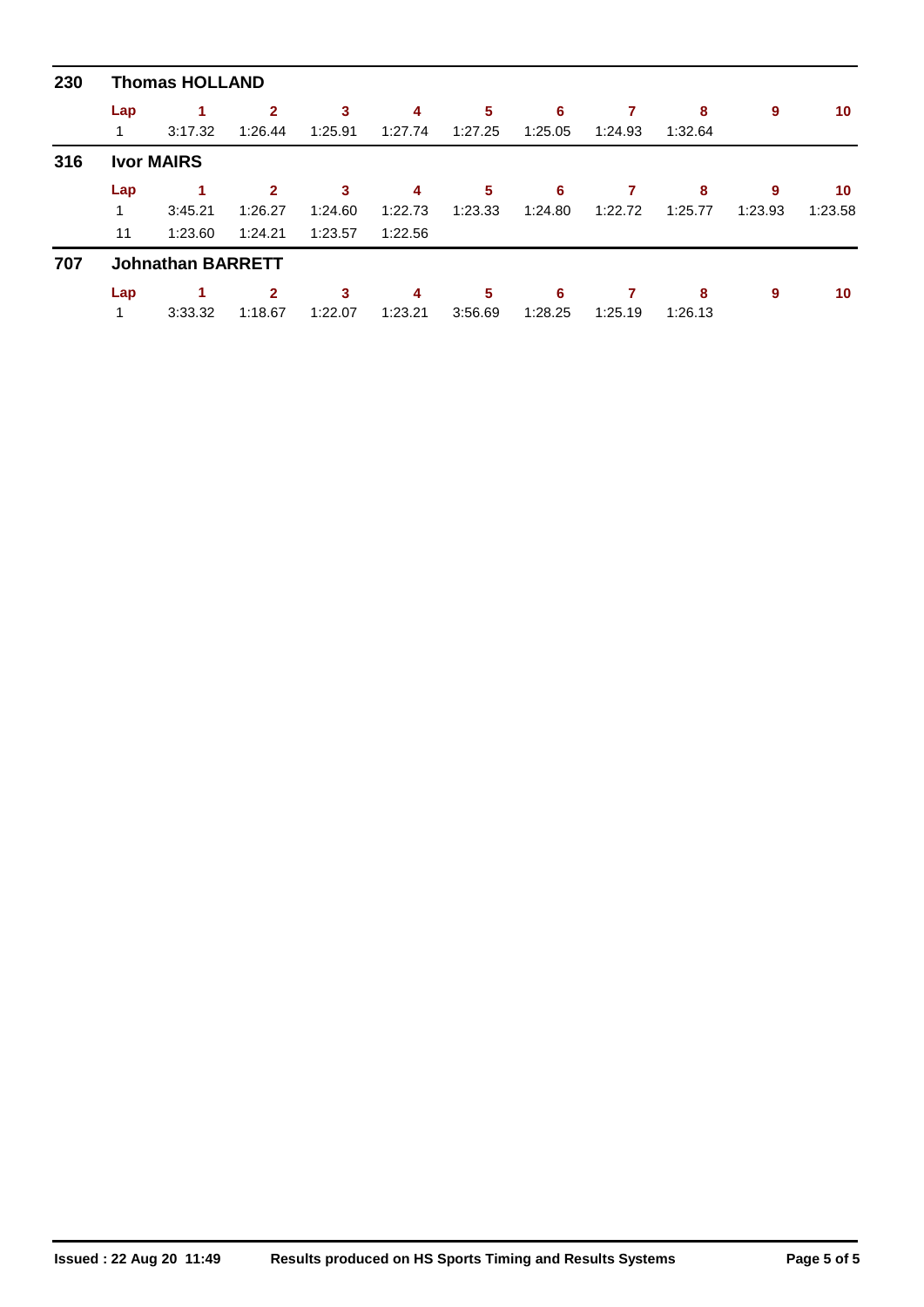| 230 | <b>Thomas HOLLAND</b> |                          |                         |              |              |              |              |         |              |         |         |
|-----|-----------------------|--------------------------|-------------------------|--------------|--------------|--------------|--------------|---------|--------------|---------|---------|
|     | Lap                   | 1                        | $\overline{2}$          | 3            | 4            | 5            | 6            |         | 8            | 9       | 10      |
|     |                       | 3:17.32                  | 1:26.44                 | 1:25.91      | 1:27.74      | 1:27.25      | 1:25.05      | 1:24.93 | 1:32.64      |         |         |
| 316 |                       | <b>Ivor MAIRS</b>        |                         |              |              |              |              |         |              |         |         |
|     | Lap                   |                          | $\mathbf{2}$            | 3            | 4            | 5            | 6            |         | 8            | 9       | 10      |
|     | 1                     | 3:45.21                  | 1:26.27                 | 1:24.60      | 1:22.73      | 1:23.33      | 1:24.80      | 1:22.72 | 1:25.77      | 1:23.93 | 1:23.58 |
|     | 11                    | 1:23.60                  | 1:24.21                 | 1:23.57      | 1:22.56      |              |              |         |              |         |         |
| 707 |                       | <b>Johnathan BARRETT</b> |                         |              |              |              |              |         |              |         |         |
|     | Lap                   | 3:33.32                  | $\mathbf{2}$<br>1:18.67 | 3<br>1:22.07 | 4<br>1:23.21 | 5<br>3:56.69 | 6<br>1:28.25 | 1:25.19 | 8<br>1:26.13 | 9       | 10      |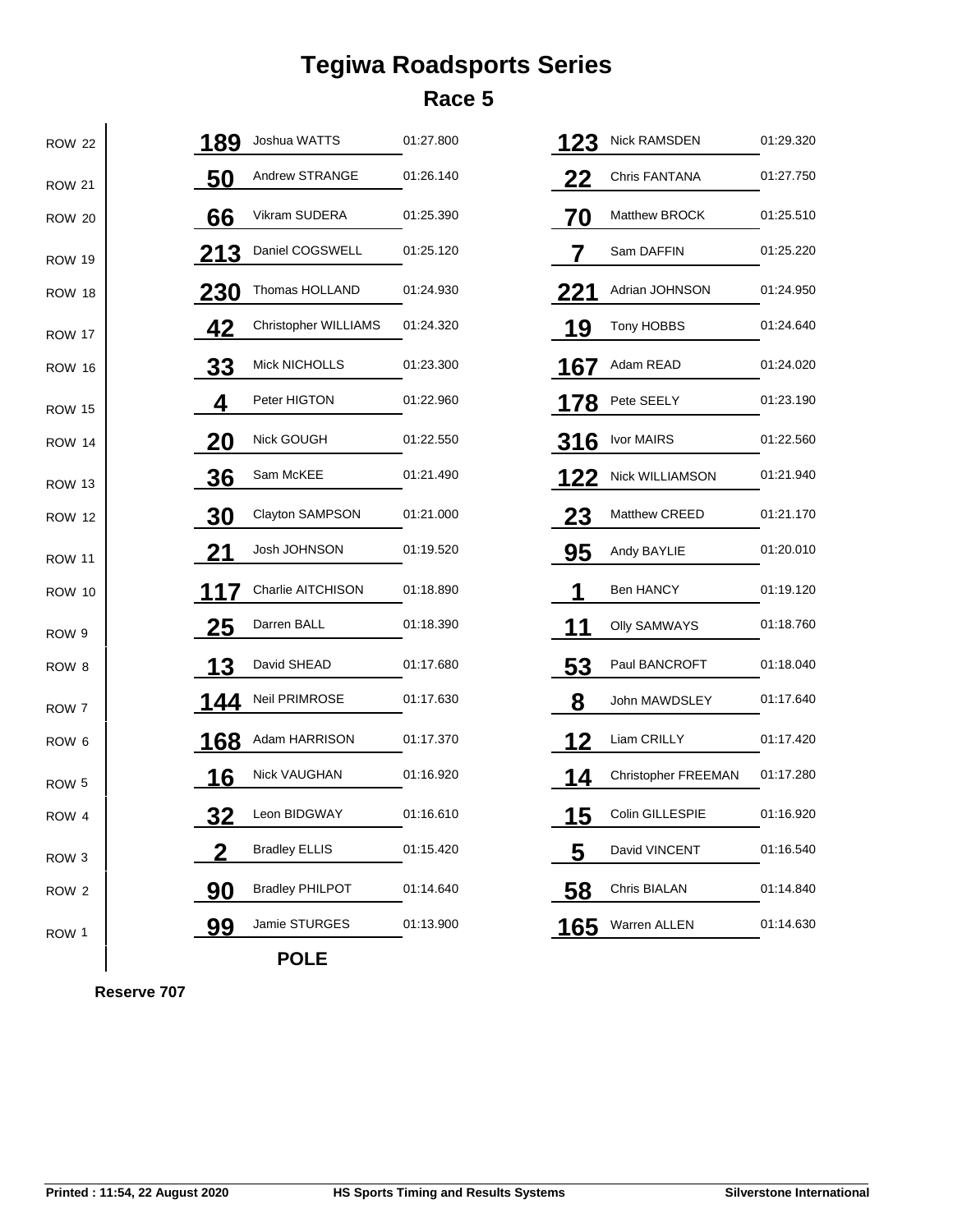## **Tegiwa Roadsports Series Race 5**

| <b>ROW 22</b>    | 189         | Joshua WATTS           | 01:27.800 | 123         | <b>Nick RAMSDEN</b>  | 01:29.320 |
|------------------|-------------|------------------------|-----------|-------------|----------------------|-----------|
| <b>ROW 21</b>    | <u>50</u>   | Andrew STRANGE         | 01:26.140 | <u>22</u>   | <b>Chris FANTANA</b> | 01:27.750 |
| <b>ROW 20</b>    | 66          | Vikram SUDERA          | 01:25.390 | 70          | Matthew BROCK        | 01:25.510 |
| <b>ROW 19</b>    | <u> 213</u> | Daniel COGSWELL        | 01:25.120 |             | Sam DAFFIN           | 01:25.220 |
| <b>ROW 18</b>    | <u> 230</u> | Thomas HOLLAND         | 01:24.930 | <b>221</b>  | Adrian JOHNSON       | 01:24.950 |
| <b>ROW 17</b>    | <u>42</u>   | Christopher WILLIAMS   | 01:24.320 | 19          | Tony HOBBS           | 01:24.640 |
| <b>ROW 16</b>    | <u>33</u>   | <b>Mick NICHOLLS</b>   | 01:23.300 | 167         | Adam READ            | 01:24.020 |
| <b>ROW 15</b>    | 4           | Peter HIGTON           | 01:22.960 | 178         | Pete SEELY           | 01:23.190 |
| <b>ROW 14</b>    | 20          | Nick GOUGH             | 01:22.550 | <u>316</u>  | Ivor MAIRS           | 01:22.560 |
| <b>ROW 13</b>    | <u>36</u>   | Sam McKEE              | 01:21.490 | <u> 122</u> | Nick WILLIAMSON      | 01:21.940 |
| <b>ROW 12</b>    | 30          | Clayton SAMPSON        | 01:21.000 | 23          | Matthew CREED        | 01:21.170 |
| <b>ROW 11</b>    | 21          | Josh JOHNSON           | 01:19.520 | 95          | Andy BAYLIE          | 01:20.010 |
| <b>ROW 10</b>    | 117         | Charlie AITCHISON      | 01:18.890 |             | Ben HANCY            | 01:19.120 |
| ROW 9            | <u> 25</u>  | Darren BALL            | 01:18.390 | 1           | <b>Olly SAMWAYS</b>  | 01:18.760 |
| ROW <sub>8</sub> | 13          | David SHEAD            | 01:17.680 | 53          | Paul BANCROFT        | 01:18.040 |
| ROW 7            | 144         | Neil PRIMROSE          | 01:17.630 | 8           | John MAWDSLEY        | 01:17.640 |
| ROW <sub>6</sub> | <u> 168</u> | Adam HARRISON          | 01:17.370 | 12          | Liam CRILLY          | 01:17.420 |
| ROW <sub>5</sub> | 16          | Nick VAUGHAN           | 01:16.920 | 14          | Christopher FREEMAN  | 01:17.280 |
| ROW 4            | 32          | Leon BIDGWAY           | 01:16.610 | 15          | Colin GILLESPIE      | 01:16.920 |
| ROW <sub>3</sub> |             | <b>Bradley ELLIS</b>   | 01:15.420 | 5           | David VINCENT        | 01:16.540 |
| ROW 2            | 90          | <b>Bradley PHILPOT</b> | 01:14.640 | 58          | Chris BIALAN         | 01:14.840 |
| ROW 1            | <u>99</u>   | Jamie STURGES          | 01:13.900 | <u> 165</u> | Warren ALLEN         | 01:14.630 |
|                  |             | <b>POLE</b>            |           |             |                      |           |

**Reserve 707**

 $\mathbf{I}$ 

 $\blacksquare$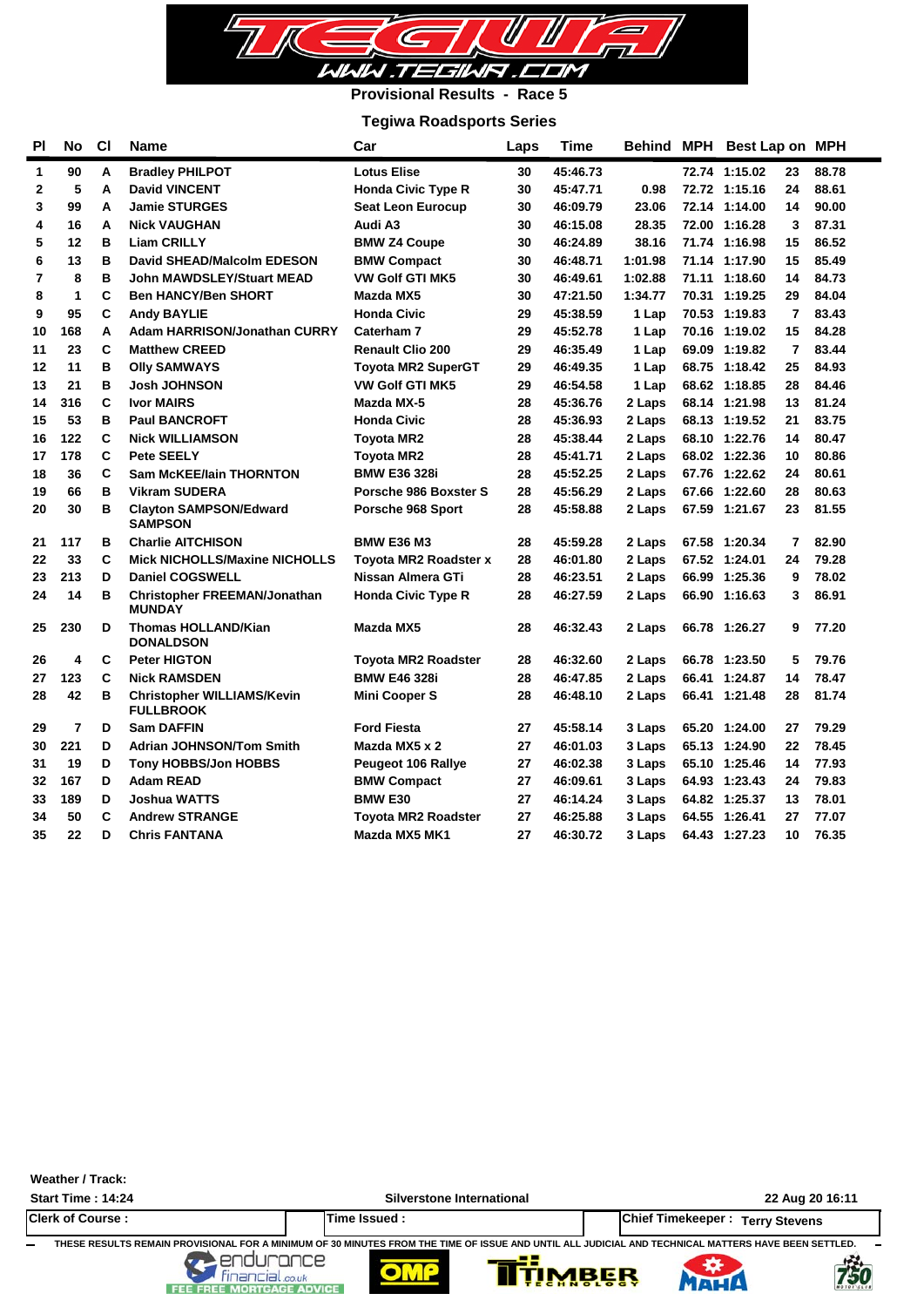

## **Provisional Results - Race 5**

## **Tegiwa Roadsports Series**

| <b>PI</b>      | <b>No</b>      | C1 | Name                                                  | Car                        | Laps | Time     | Behind MPH | Best Lap on MPH |                |       |
|----------------|----------------|----|-------------------------------------------------------|----------------------------|------|----------|------------|-----------------|----------------|-------|
| $\mathbf{1}$   | 90             | Α  | <b>Bradley PHILPOT</b>                                | <b>Lotus Elise</b>         | 30   | 45:46.73 |            | 72.74 1:15.02   | 23             | 88.78 |
| $\mathbf{2}$   | 5              | А  | <b>David VINCENT</b>                                  | <b>Honda Civic Type R</b>  | 30   | 45:47.71 | 0.98       | 72.72 1:15.16   | 24             | 88.61 |
| 3              | 99             | A  | <b>Jamie STURGES</b>                                  | Seat Leon Eurocup          | 30   | 46:09.79 | 23.06      | 72.14 1:14.00   | 14             | 90.00 |
| 4              | 16             | А  | <b>Nick VAUGHAN</b>                                   | Audi A3                    | 30   | 46:15.08 | 28.35      | 72.00 1:16.28   | 3              | 87.31 |
| 5              | 12             | B  | <b>Liam CRILLY</b>                                    | <b>BMW Z4 Coupe</b>        | 30   | 46:24.89 | 38.16      | 71.74 1:16.98   | 15             | 86.52 |
| 6              | 13             | в  | David SHEAD/Malcolm EDESON                            | <b>BMW Compact</b>         | 30   | 46:48.71 | 1:01.98    | 71.14 1:17.90   | 15             | 85.49 |
| $\overline{7}$ | 8              | B  | <b>John MAWDSLEY/Stuart MEAD</b>                      | <b>VW Golf GTI MK5</b>     | 30   | 46:49.61 | 1:02.88    | 71.11 1:18.60   | 14             | 84.73 |
| 8              | 1              | C  | <b>Ben HANCY/Ben SHORT</b>                            | Mazda MX5                  | 30   | 47:21.50 | 1:34.77    | 70.31 1:19.25   | 29             | 84.04 |
| 9              | 95             | C  | <b>Andy BAYLIE</b>                                    | <b>Honda Civic</b>         | 29   | 45:38.59 | 1 Lap      | 70.53 1:19.83   | $\overline{7}$ | 83.43 |
| 10             | 168            | Α  | <b>Adam HARRISON/Jonathan CURRY</b>                   | Caterham 7                 | 29   | 45:52.78 | 1 Lap      | 70.16 1:19.02   | 15             | 84.28 |
| 11             | 23             | C  | <b>Matthew CREED</b>                                  | <b>Renault Clio 200</b>    | 29   | 46:35.49 | 1 Lap      | 69.09 1:19.82   | 7              | 83.44 |
| 12             | 11             | в  | <b>Olly SAMWAYS</b>                                   | <b>Toyota MR2 SuperGT</b>  | 29   | 46:49.35 | 1 Lap      | 68.75 1:18.42   | 25             | 84.93 |
| 13             | 21             | в  | <b>Josh JOHNSON</b>                                   | <b>VW Golf GTI MK5</b>     | 29   | 46:54.58 | 1 Lap      | 68.62 1:18.85   | 28             | 84.46 |
| 14             | 316            | C  | <b>Ivor MAIRS</b>                                     | Mazda MX-5                 | 28   | 45:36.76 | 2 Laps     | 68.14 1:21.98   | 13             | 81.24 |
| 15             | 53             | в  | <b>Paul BANCROFT</b>                                  | <b>Honda Civic</b>         | 28   | 45:36.93 | 2 Laps     | 68.13 1:19.52   | 21             | 83.75 |
| 16             | 122            | C  | <b>Nick WILLIAMSON</b>                                | <b>Toyota MR2</b>          | 28   | 45:38.44 | 2 Laps     | 68.10 1:22.76   | 14             | 80.47 |
| 17             | 178            | C  | <b>Pete SEELY</b>                                     | <b>Toyota MR2</b>          | 28   | 45:41.71 | 2 Laps     | 68.02 1:22.36   | 10             | 80.86 |
| 18             | 36             | C  | <b>Sam McKEE/lain THORNTON</b>                        | <b>BMW E36 328i</b>        | 28   | 45:52.25 | 2 Laps     | 67.76 1:22.62   | 24             | 80.61 |
| 19             | 66             | в  | <b>Vikram SUDERA</b>                                  | Porsche 986 Boxster S      | 28   | 45:56.29 | 2 Laps     | 67.66 1:22.60   | 28             | 80.63 |
| 20             | 30             | в  | <b>Clayton SAMPSON/Edward</b><br><b>SAMPSON</b>       | Porsche 968 Sport          | 28   | 45:58.88 | 2 Laps     | 67.59 1:21.67   | 23             | 81.55 |
| 21             | 117            | в  | <b>Charlie AITCHISON</b>                              | <b>BMW E36 M3</b>          | 28   | 45:59.28 | 2 Laps     | 67.58 1:20.34   | 7              | 82.90 |
| 22             | 33             | C  | <b>Mick NICHOLLS/Maxine NICHOLLS</b>                  | Toyota MR2 Roadster x      | 28   | 46:01.80 | 2 Laps     | 67.52 1:24.01   | 24             | 79.28 |
| 23             | 213            | D  | <b>Daniel COGSWELL</b>                                | Nissan Almera GTi          | 28   | 46:23.51 | 2 Laps     | 66.99 1:25.36   | 9              | 78.02 |
| 24             | 14             | в  | <b>Christopher FREEMAN/Jonathan</b><br><b>MUNDAY</b>  | <b>Honda Civic Type R</b>  | 28   | 46:27.59 | 2 Laps     | 66.90 1:16.63   | 3              | 86.91 |
| 25             | 230            | D  | <b>Thomas HOLLAND/Kian</b><br><b>DONALDSON</b>        | Mazda MX5                  | 28   | 46:32.43 | 2 Laps     | 66.78 1:26.27   | 9              | 77.20 |
| 26             | 4              | C  | <b>Peter HIGTON</b>                                   | <b>Toyota MR2 Roadster</b> | 28   | 46:32.60 | 2 Laps     | 66.78 1:23.50   | 5              | 79.76 |
| 27             | 123            | C  | <b>Nick RAMSDEN</b>                                   | <b>BMW E46 328i</b>        | 28   | 46:47.85 | 2 Laps     | 66.41 1:24.87   | 14             | 78.47 |
| 28             | 42             | в  | <b>Christopher WILLIAMS/Kevin</b><br><b>FULLBROOK</b> | <b>Mini Cooper S</b>       | 28   | 46:48.10 | 2 Laps     | 66.41 1:21.48   | 28             | 81.74 |
| 29             | $\overline{7}$ | D  | <b>Sam DAFFIN</b>                                     | <b>Ford Fiesta</b>         | 27   | 45:58.14 | 3 Laps     | 65.20 1:24.00   | 27             | 79.29 |
| 30             | 221            | D  | <b>Adrian JOHNSON/Tom Smith</b>                       | Mazda MX5 x 2              | 27   | 46:01.03 | 3 Laps     | 65.13 1:24.90   | 22             | 78.45 |
| 31             | 19             | D  | <b>Tony HOBBS/Jon HOBBS</b>                           | Peugeot 106 Rallye         | 27   | 46:02.38 | 3 Laps     | 65.10 1:25.46   | 14             | 77.93 |
| 32             | 167            | D  | <b>Adam READ</b>                                      | <b>BMW Compact</b>         | 27   | 46:09.61 | 3 Laps     | 64.93 1:23.43   | 24             | 79.83 |
| 33             | 189            | D  | <b>Joshua WATTS</b>                                   | <b>BMW E30</b>             | 27   | 46:14.24 | 3 Laps     | 64.82 1:25.37   | 13             | 78.01 |
| 34             | 50             | C  | <b>Andrew STRANGE</b>                                 | Toyota MR2 Roadster        | 27   | 46:25.88 | 3 Laps     | 64.55 1:26.41   | 27             | 77.07 |
| 35             | 22             | D  | <b>Chris FANTANA</b>                                  | Mazda MX5 MK1              | 27   | 46:30.72 | 3 Laps     | 64.43 1:27.23   | 10             | 76.35 |

#### **Weather / Track:**

**Start Time : 14:24 Silverstone International 22 Aug 20 16:11 Clerk of Course : Time Issued : Chief Timekeeper : Terry Stevens**

**750** 

THESE RESULTS REMAIN PROVISIONAL FOR A MINIMUM OF 30 MINUTES FROM THE TIME OF ISSUE AND UNTIL ALL JUDICIAL AND TECHNICAL MATTERS HAVE BEEN SETTLED.<br>FINALLY STATE TO BE THE MODIFICAL ADVICE.

FEE FREE MORTGAGE A



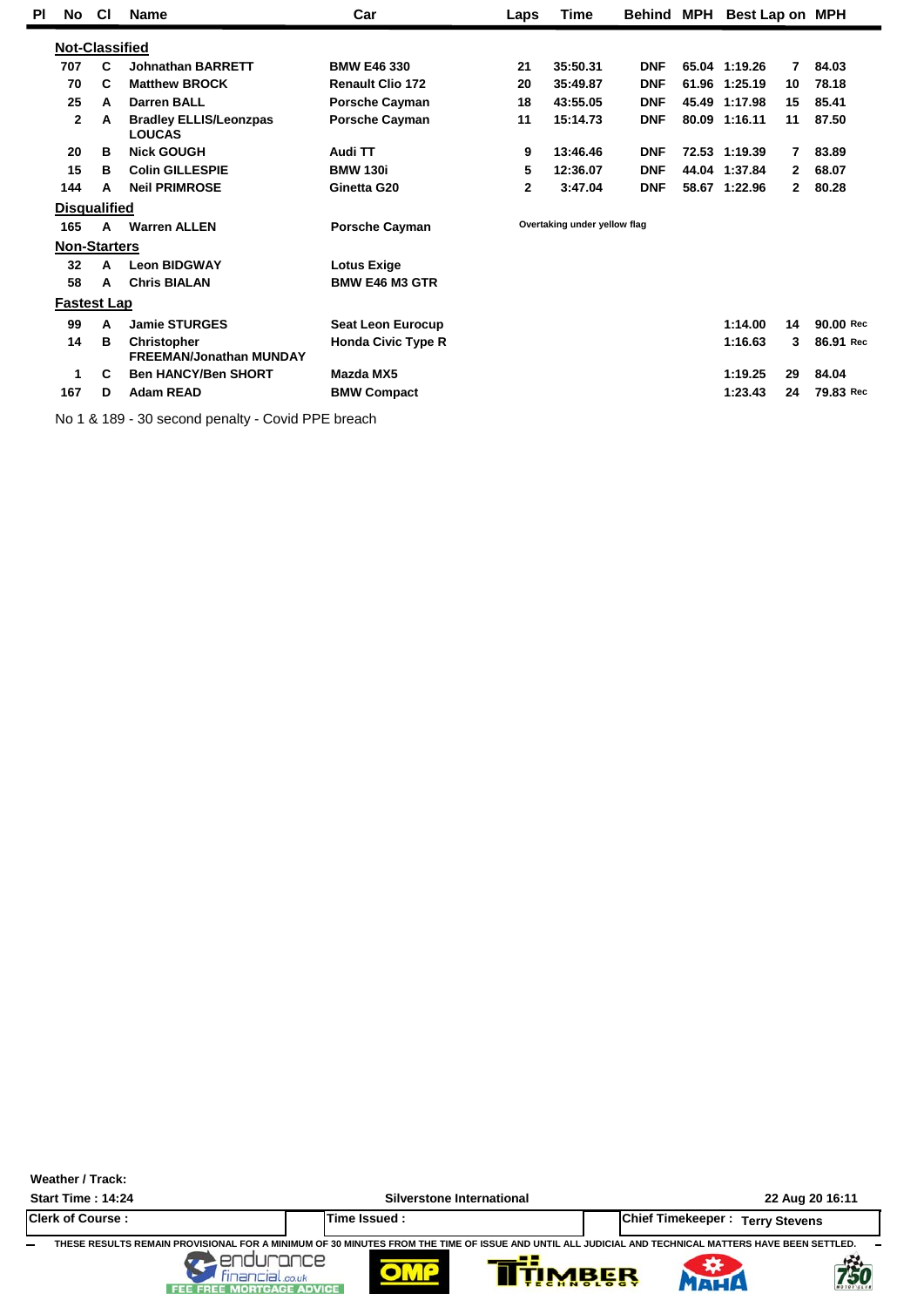| ΡI | No           | <b>CI</b>             | <b>Name</b>                                          | Car                       | Time<br>Laps |                              | Behind     | MPH |               | Best Lap on MPH |           |
|----|--------------|-----------------------|------------------------------------------------------|---------------------------|--------------|------------------------------|------------|-----|---------------|-----------------|-----------|
|    |              | <b>Not-Classified</b> |                                                      |                           |              |                              |            |     |               |                 |           |
|    | 707          | C                     | <b>Johnathan BARRETT</b>                             | <b>BMW E46 330</b>        | 21           | 35:50.31                     | <b>DNF</b> |     | 65.04 1:19.26 | 7               | 84.03     |
|    | 70           | C                     | <b>Matthew BROCK</b>                                 | <b>Renault Clio 172</b>   | 20           | 35:49.87                     | <b>DNF</b> |     | 61.96 1:25.19 | 10              | 78.18     |
|    | 25           | A                     | <b>Darren BALL</b>                                   | <b>Porsche Cayman</b>     | 18           | 43:55.05                     | <b>DNF</b> |     | 45.49 1:17.98 | 15              | 85.41     |
|    | $\mathbf{2}$ | A                     | <b>Bradley ELLIS/Leonzpas</b><br><b>LOUCAS</b>       | <b>Porsche Cayman</b>     | 11           | 15:14.73                     | <b>DNF</b> |     | 80.09 1:16.11 | 11              | 87.50     |
|    | 20           | в                     | <b>Nick GOUGH</b>                                    | Audi TT                   | 9            | 13:46.46                     | <b>DNF</b> |     | 72.53 1:19.39 | 7               | 83.89     |
|    | 15           | в                     | <b>Colin GILLESPIE</b>                               | <b>BMW 130i</b>           | 5            | 12:36.07                     | <b>DNF</b> |     | 44.04 1:37.84 | $\mathbf{2}$    | 68.07     |
|    | 144          | A                     | <b>Neil PRIMROSE</b>                                 | Ginetta G20               | 2            | 3:47.04                      | <b>DNF</b> |     | 58.67 1:22.96 | $\mathbf{2}$    | 80.28     |
|    |              | <b>Disqualified</b>   |                                                      |                           |              |                              |            |     |               |                 |           |
|    | 165          | $\mathbf{A}$          | <b>Warren ALLEN</b>                                  | <b>Porsche Cayman</b>     |              | Overtaking under yellow flag |            |     |               |                 |           |
|    |              | <b>Non-Starters</b>   |                                                      |                           |              |                              |            |     |               |                 |           |
|    | 32           | A                     | <b>Leon BIDGWAY</b>                                  | <b>Lotus Exige</b>        |              |                              |            |     |               |                 |           |
|    | 58           | A                     | <b>Chris BIALAN</b>                                  | <b>BMW E46 M3 GTR</b>     |              |                              |            |     |               |                 |           |
|    |              | <b>Fastest Lap</b>    |                                                      |                           |              |                              |            |     |               |                 |           |
|    | 99           | A                     | <b>Jamie STURGES</b>                                 | <b>Seat Leon Eurocup</b>  |              |                              |            |     | 1:14.00       | 14              | 90.00 Rec |
|    | 14           | В                     | <b>Christopher</b><br><b>FREEMAN/Jonathan MUNDAY</b> | <b>Honda Civic Type R</b> |              |                              |            |     | 1:16.63       | 3               | 86.91 Rec |
|    | 1            | C                     | <b>Ben HANCY/Ben SHORT</b>                           | Mazda MX5                 |              |                              |            |     | 1:19.25       | 29              | 84.04     |
|    | 167          | D                     | <b>Adam READ</b>                                     | <b>BMW Compact</b>        |              |                              |            |     | 1:23.43       | 24              | 79.83 Rec |

No 1 & 189 - 30 second penalty - Covid PPE breach

**Weather / Track:** 

**Start Time : 14:24 Silverstone International 22 Aug 20 16:11**

卷

**Clerk of Course : Time Issued : Chief Timekeeper : Terry Stevens** THESE RESULTS REMAIN PROVISIONAL FOR A MINIMUM OF 30 MINUTES FROM THE TIME OF ISSUE AND UNTIL ALL JUDICIAL AND TECHNICAL MATTERS HAVE BEEN SETTLED.<br>FEE FREE MORTGAGE ADVICE<br>FEE FREE MORTGAGE ADVICE



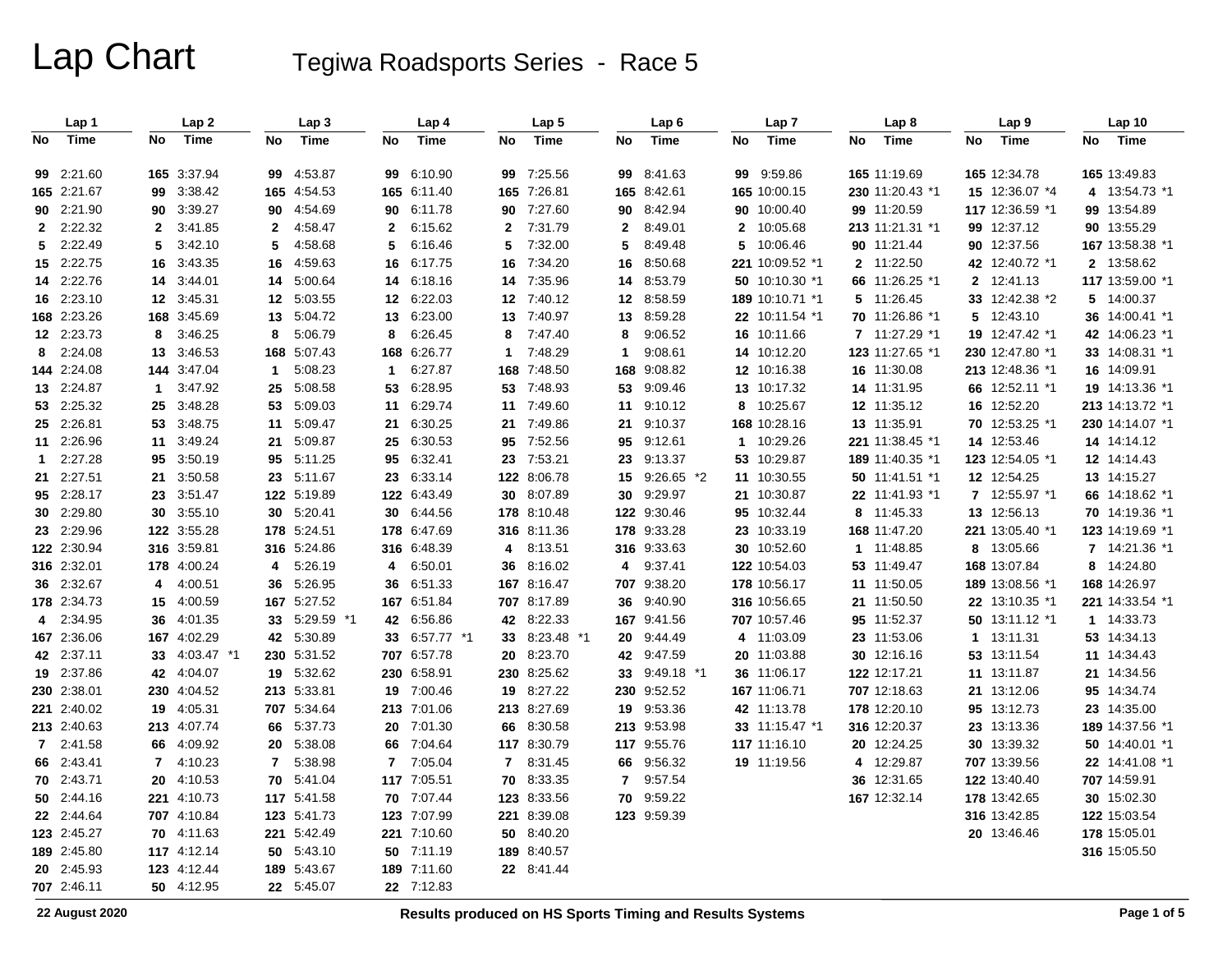# Lap Chart Tegiwa Roadsports Series - Race 5

|              | Lap 1       |              | Lap2          |                | Lap <sub>3</sub> |                  | Lap 4       |              | Lap 5         |              | Lap 6         |              | Lap <sub>7</sub> |    | Lap <sub>8</sub> |              | Lap <sub>9</sub> |    | Lap 10          |
|--------------|-------------|--------------|---------------|----------------|------------------|------------------|-------------|--------------|---------------|--------------|---------------|--------------|------------------|----|------------------|--------------|------------------|----|-----------------|
| No           | <b>Time</b> | No           | <b>Time</b>   | No             | <b>Time</b>      | No               | <b>Time</b> | No           | <b>Time</b>   | No           | <b>Time</b>   | No           | <b>Time</b>      | No | Time             | No           | Time             | No | Time            |
|              | 99 2:21.60  |              | 165 3:37.94   | 99             | 4:53.87          | 99               | 6:10.90     |              | 99 7:25.56    |              | 99 8:41.63    |              | 99 9:59.86       |    | 165 11:19.69     |              | 165 12:34.78     |    | 165 13:49.83    |
|              | 165 2:21.67 |              | 99 3:38.42    |                | 165 4:54.53      |                  | 165 6:11.40 |              | 165 7:26.81   |              | 165 8:42.61   |              | 165 10:00.15     |    | 230 11:20.43 *1  |              | 15 12:36.07 *4   |    | 4 13:54.73 *1   |
|              | 90 2:21.90  |              | 90 3:39.27    | 90             | 4:54.69          | 90               | 6:11.78     |              | 90 7:27.60    |              | 90 8:42.94    |              | 90 10:00.40      |    | 99 11:20.59      |              | 117 12:36.59 *1  |    | 99 13:54.89     |
| $\mathbf{2}$ | 2:22.32     | $\mathbf{2}$ | 3:41.85       | $\mathbf{2}$   | 4:58.47          | 2                | 6:15.62     | $\mathbf{2}$ | 7:31.79       | $\mathbf{2}$ | 8:49.01       | $\mathbf{2}$ | 10:05.68         |    | 213 11:21.31 *1  |              | 99 12:37.12      |    | 90 13:55.29     |
| 5.           | 2:22.49     | 5            | 3:42.10       | 5              | 4:58.68          | 5                | 6:16.46     | 5            | 7:32.00       | 5            | 8:49.48       |              | 5 10:06.46       |    | 90 11:21.44      |              | 90 12:37.56      |    | 167 13:58.38 *1 |
|              | 15 2:22.75  |              | 16 3:43.35    | 16             | 4:59.63          | 16               | 6:17.75     | 16           | 7:34.20       | 16           | 8:50.68       |              | 221 10:09.52 *1  |    | 2 11:22.50       |              | 42 12:40.72 *1   |    | 2 13:58.62      |
|              | 14 2:22.76  |              | 14 3:44.01    | 14             | 5:00.64          | 14               | 6:18.16     | 14           | 7:35.96       | 14           | 8:53.79       |              | 50 10:10.30 *1   |    | 66 11:26.25 *1   | $\mathbf{2}$ | 12:41.13         |    | 117 13:59.00 *1 |
|              | 16 2:23.10  |              | 12 3:45.31    |                | 12 5:03.55       | 12 <sup>12</sup> | 6:22.03     |              | 12 7:40.12    |              | 12 8:58.59    |              | 189 10:10.71 *1  |    | 5 11:26.45       |              | 33 12:42.38 *2   |    | 5 14:00.37      |
|              | 168 2:23.26 |              | 168 3:45.69   | 13             | 5:04.72          | 13               | 6:23.00     |              | 13 7:40.97    |              | 13 8:59.28    |              | 22 10:11.54 *1   |    | 70 11:26.86 *1   | 5.           | 12:43.10         |    | 36 14:00.41 *1  |
|              | 12 2:23.73  | 8            | 3:46.25       | 8              | 5:06.79          | 8                | 6:26.45     | 8            | 7:47.40       | 8            | 9:06.52       |              | 16 10:11.66      |    | 7 11:27.29 *1    |              | 19 12:47.42 *1   |    | 42 14:06.23 *1  |
| 8            | 2:24.08     |              | 13 3:46.53    |                | 168 5:07.43      | 168              | 6:26.77     | $\mathbf{1}$ | 7:48.29       | 1            | 9:08.61       |              | 14 10:12.20      |    | 123 11:27.65 *1  |              | 230 12:47.80 *1  |    | 33 14:08.31 *1  |
|              | 144 2:24.08 |              | 144 3:47.04   | $\mathbf 1$    | 5:08.23          | $\mathbf{1}$     | 6:27.87     |              | 168 7:48.50   |              | 168 9:08.82   |              | 12 10:16.38      |    | 16 11:30.08      |              | 213 12:48.36 *1  |    | 16 14:09.91     |
|              | 13 2:24.87  | 1            | 3:47.92       | 25             | 5:08.58          | 53               | 6:28.95     |              | 53 7:48.93    |              | 53 9:09.46    |              | 13 10:17.32      |    | 14 11:31.95      |              | 66 12:52.11 *1   |    | 19 14:13.36 *1  |
|              | 53 2:25.32  |              | 25 3:48.28    | 53             | 5:09.03          | 11               | 6:29.74     |              | 11 7:49.60    |              | 11 9:10.12    |              | 8 10:25.67       |    | 12 11:35.12      |              | 16 12:52.20      |    | 213 14:13.72 *1 |
|              | 25 2:26.81  |              | 53 3:48.75    |                | 11 5:09.47       | 21               | 6:30.25     |              | 21 7:49.86    |              | 21 9:10.37    |              | 168 10:28.16     |    | 13 11:35.91      |              | 70 12:53.25 *1   |    | 230 14:14.07 *1 |
|              | 11 2:26.96  |              | 11 3:49.24    |                | 21 5:09.87       | 25               | 6:30.53     |              | 95 7:52.56    |              | 95 9:12.61    |              | 1 10:29.26       |    | 221 11:38.45 *1  |              | 14 12:53.46      |    | 14 14:14.12     |
| 1            | 2:27.28     |              | 95 3:50.19    |                | 95 5:11.25       | 95               | 6:32.41     |              | 23 7:53.21    |              | 23 9:13.37    |              | 53 10:29.87      |    | 189 11:40.35 *1  |              | 123 12:54.05 *1  |    | 12 14:14.43     |
|              | 21 2:27.51  |              | 21 3:50.58    |                | 23 5:11.67       | 23               | 6:33.14     |              | 122 8:06.78   |              | 15 9:26.65 *2 |              | 11 10:30.55      |    | 50 11:41.51 *1   |              | 12 12:54.25      |    | 13 14:15.27     |
|              | 95 2:28.17  |              | 23 3:51.47    |                | 122 5:19.89      |                  | 122 6:43.49 |              | 30 8:07.89    |              | 30 9:29.97    |              | 21 10:30.87      |    | 22 11:41.93 *1   |              | 7 12:55.97 *1    |    | 66 14:18.62 *1  |
|              | 30 2:29.80  |              | 30 3:55.10    |                | 30 5:20.41       | 30               | 6:44.56     |              | 178 8:10.48   |              | 122 9:30.46   |              | 95 10:32.44      | 8  | 11:45.33         |              | 13 12:56.13      |    | 70 14:19.36 *1  |
|              | 23 2:29.96  |              | 122 3:55.28   |                | 178 5:24.51      | 178              | 6:47.69     |              | 316 8:11.36   |              | 178 9:33.28   |              | 23 10:33.19      |    | 168 11:47.20     |              | 221 13:05.40 *1  |    | 123 14:19.69 *1 |
|              | 122 2:30.94 |              | 316 3:59.81   |                | 316 5:24.86      |                  | 316 6:48.39 |              | 4 8:13.51     |              | 316 9:33.63   |              | 30 10:52.60      |    | 1 11:48.85       |              | 8 13:05.66       |    | 7 14:21.36 *1   |
|              | 316 2:32.01 |              | 178 4:00.24   | 4              | 5:26.19          | 4                | 6:50.01     |              | 36 8:16.02    |              | 4 9:37.41     |              | 122 10:54.03     |    | 53 11:49.47      |              | 168 13:07.84     |    | 8 14:24.80      |
|              | 36 2:32.67  | 4            | 4:00.51       | 36             | 5:26.95          | 36               | 6:51.33     |              | 167 8:16.47   |              | 707 9:38.20   |              | 178 10:56.17     |    | 11 11:50.05      |              | 189 13:08.56 *1  |    | 168 14:26.97    |
|              | 178 2:34.73 |              | 15 4:00.59    |                | 167 5:27.52      |                  | 167 6:51.84 |              | 707 8:17.89   |              | 36 9:40.90    |              | 316 10:56.65     |    | 21 11:50.50      |              | 22 13:10.35 *1   |    | 221 14:33.54 *1 |
| 4            | 2:34.95     |              | 36 4:01.35    | 33             | 5:29.59 *1       | 42               | 6:56.86     |              | 42 8:22.33    |              | 167 9:41.56   |              | 707 10:57.46     |    | 95 11:52.37      |              | 50 13:11.12 *1   |    | 1 14:33.73      |
|              | 167 2:36.06 |              | 167 4:02.29   |                | 42 5:30.89       | 33               | 6:57.77 *1  |              | 33 8:23.48 *1 |              | 20 9:44.49    |              | 4 11:03.09       |    | 23 11:53.06      | $\mathbf{1}$ | 13:11.31         |    | 53 14:34.13     |
|              | 42 2:37.11  |              | 33 4:03.47 *1 |                | 230 5:31.52      |                  | 707 6:57.78 | 20           | 8:23.70       |              | 42 9:47.59    |              | 20 11:03.88      |    | 30 12:16.16      |              | 53 13:11.54      |    | 11 14:34.43     |
|              | 19 2:37.86  |              | 42 4:04.07    |                | 19 5:32.62       |                  | 230 6:58.91 |              | 230 8:25.62   |              | 33 9:49.18 *1 |              | 36 11:06.17      |    | 122 12:17.21     |              | 11 13:11.87      |    | 21 14:34.56     |
|              | 230 2:38.01 |              | 230 4:04.52   |                | 213 5:33.81      | 19               | 7:00.46     |              | 19 8:27.22    |              | 230 9:52.52   |              | 167 11:06.71     |    | 707 12:18.63     |              | 21 13:12.06      |    | 95 14:34.74     |
|              | 221 2:40.02 |              | 19 4:05.31    |                | 707 5:34.64      | 213              | 7:01.06     |              | 213 8:27.69   |              | 19 9:53.36    |              | 42 11:13.78      |    | 178 12:20.10     |              | 95 13:12.73      |    | 23 14:35.00     |
|              | 213 2:40.63 |              | 213 4:07.74   |                | 66 5:37.73       |                  | 20 7:01.30  |              | 66 8:30.58    |              | 213 9:53.98   |              | 33 11:15.47 *1   |    | 316 12:20.37     |              | 23 13:13.36      |    | 189 14:37.56 *1 |
|              | 7 2:41.58   |              | 66 4:09.92    | 20             | 5:38.08          | 66               | 7:04.64     |              | 117 8:30.79   |              | 117 9:55.76   |              | 117 11:16.10     |    | 20 12:24.25      |              | 30 13:39.32      |    | 50 14:40.01 *1  |
|              | 66 2:43.41  | $\mathbf{7}$ | 4:10.23       | $\overline{7}$ | 5:38.98          | $\overline{7}$   | 7:05.04     | 7            | 8:31.45       | 66           | 9:56.32       |              | 19 11:19.56      | 4  | 12:29.87         |              | 707 13:39.56     |    | 22 14:41.08 *1  |
|              | 70 2:43.71  |              | 20 4:10.53    |                | 70 5:41.04       |                  | 117 7:05.51 | 70           | 8:33.35       |              | 7 9:57.54     |              |                  |    | 36 12:31.65      |              | 122 13:40.40     |    | 707 14:59.91    |
|              | 50 2:44.16  |              | 221 4:10.73   |                | 117 5:41.58      |                  | 70 7:07.44  |              | 123 8:33.56   |              | 70 9:59.22    |              |                  |    | 167 12:32.14     |              | 178 13:42.65     |    | 30 15:02.30     |
|              | 22 2:44.64  |              | 707 4:10.84   |                | 123 5:41.73      |                  | 123 7:07.99 |              | 221 8:39.08   |              | 123 9:59.39   |              |                  |    |                  |              | 316 13:42.85     |    | 122 15:03.54    |
|              | 123 2:45.27 |              | 70 4:11.63    |                | 221 5:42.49      |                  | 221 7:10.60 |              | 50 8:40.20    |              |               |              |                  |    |                  |              | 20 13:46.46      |    | 178 15:05.01    |
|              | 189 2:45.80 |              | 117 4:12.14   |                | 50 5:43.10       |                  | 50 7:11.19  |              | 189 8:40.57   |              |               |              |                  |    |                  |              |                  |    | 316 15:05.50    |
|              | 20 2:45.93  |              | 123 4:12.44   |                | 189 5:43.67      |                  | 189 7:11.60 |              | 22 8:41.44    |              |               |              |                  |    |                  |              |                  |    |                 |
|              | 707 2:46.11 |              | 50 4:12.95    |                | 22 5:45.07       |                  | 22 7:12.83  |              |               |              |               |              |                  |    |                  |              |                  |    |                 |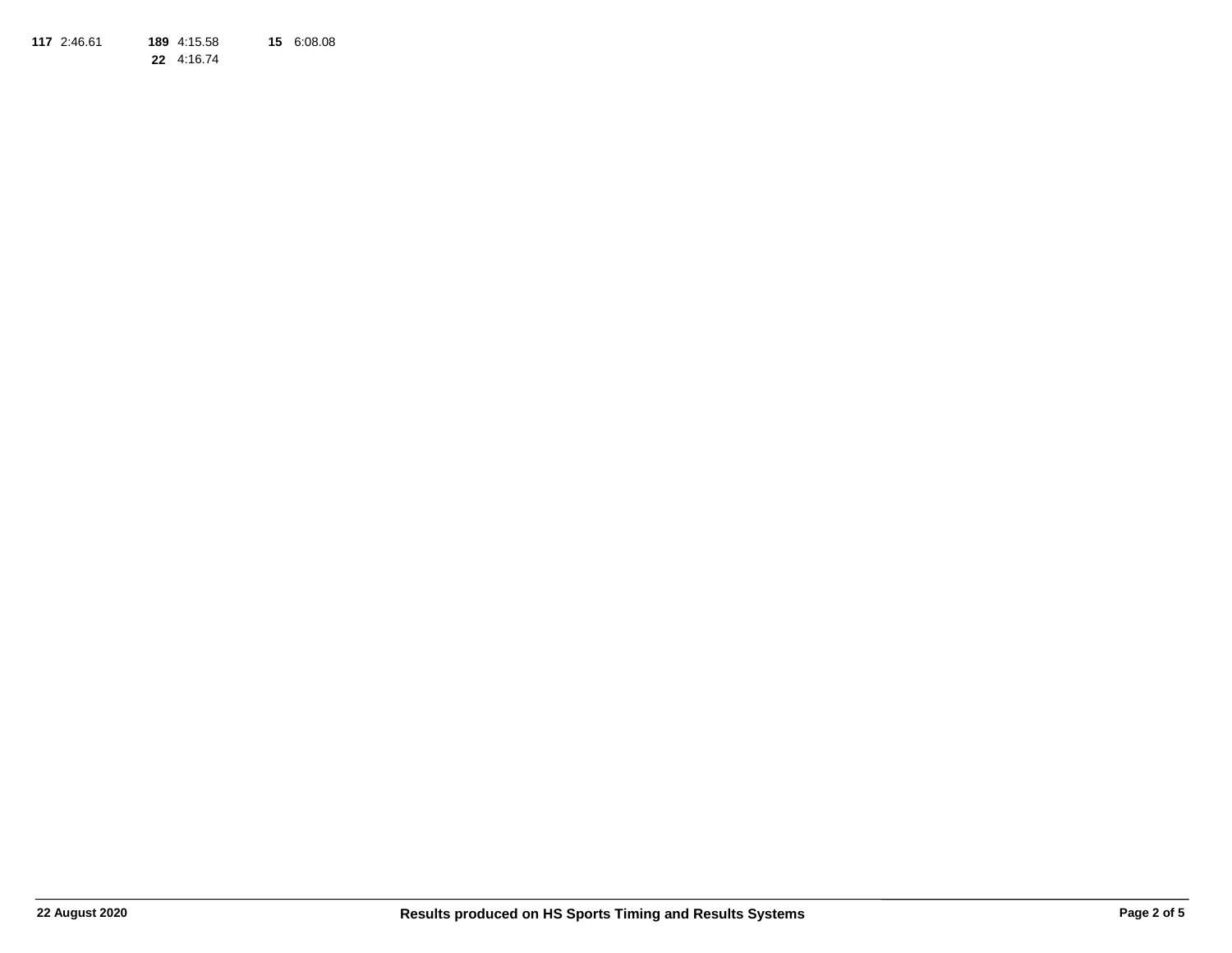**117**2:46.61 **189** 4:15.58 **15** 6:08.08

**22** 4:16.74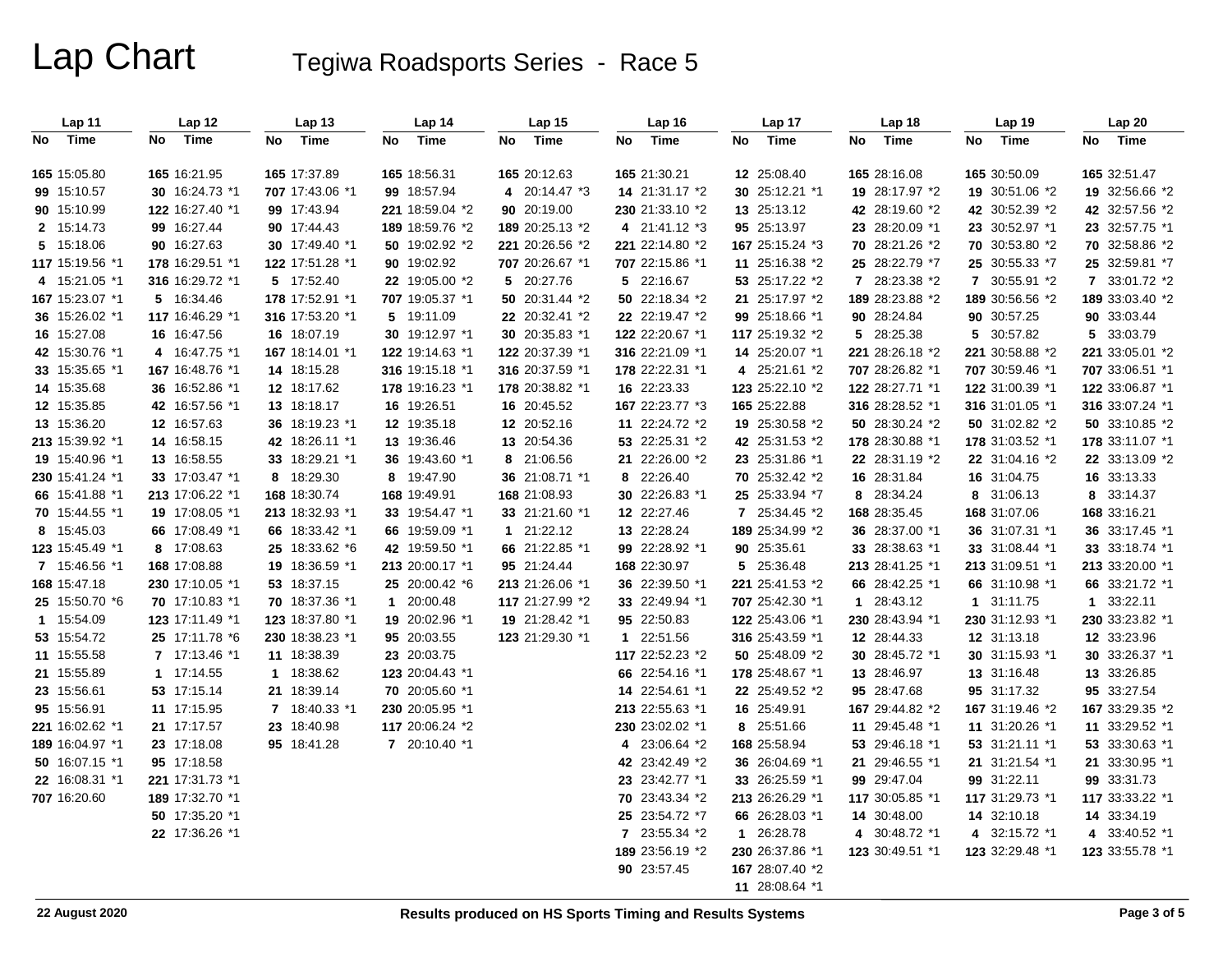# Lap Chart Tegiwa Roadsports Series - Race 5

| Lap 11          | Lap 12          | Lap 13          | Lap 14                   | Lap <sub>15</sub> | Lap 16          | Lap 17          | Lap 18          | Lap 19          | Lap 20          |
|-----------------|-----------------|-----------------|--------------------------|-------------------|-----------------|-----------------|-----------------|-----------------|-----------------|
| No Time         | Time<br>No      | Time<br>No      | No<br>Time               | No Time           | Time<br>No      | No<br>Time      | Time<br>No      | No<br>Time      | Time<br>No      |
| 165 15:05.80    | 165 16:21.95    | 165 17:37.89    | 165 18:56.31             | 165 20:12.63      | 165 21:30.21    | 12 25:08.40     | 165 28:16.08    | 165 30:50.09    | 165 32:51.47    |
| 99 15:10.57     | 30 16:24.73 *1  | 707 17:43.06 *1 | 99 18:57.94              | 4 20:14.47 *3     | 14 21:31.17 *2  | 30 25:12.21 *1  | 19 28:17.97 *2  | 19 30:51.06 *2  | 19 32:56.66 *2  |
| 90 15:10.99     | 122 16:27.40 *1 | 99 17:43.94     | 221 18:59.04 *2          | 90 20:19.00       | 230 21:33.10 *2 | 13 25:13.12     | 42 28:19.60 *2  | 42 30:52.39 *2  | 42 32:57.56 *2  |
| 2 15:14.73      | 99 16:27.44     | 90 17:44.43     | 189 18:59.76 *2          | 189 20:25.13 *2   | 4 21:41.12 *3   | 95 25:13.97     | 23 28:20.09 *1  | 23 30:52.97 *1  | 23 32:57.75 *1  |
| 5 15:18.06      | 90 16:27.63     | 30 17:49.40 *1  | 50 19:02.92 *2           | 221 20:26.56 *2   | 221 22:14.80 *2 | 167 25:15.24 *3 | 70 28:21.26 *2  | 70 30:53.80 *2  | 70 32:58.86 *2  |
| 117 15:19.56 *1 | 178 16:29.51 *1 | 122 17:51.28 *1 | 90 19:02.92              | 707 20:26.67 *1   | 707 22:15.86 *1 | 11 25:16.38 *2  | 25 28:22.79 *7  | 25 30:55.33 *7  | 25 32:59.81 *7  |
| 4 15:21.05 *1   | 316 16:29.72 *1 | 5 17:52.40      | 22 19:05.00 *2           | 5 20:27.76        | 5 22:16.67      | 53 25:17.22 *2  | 7 28:23.38 *2   | 7 30:55.91 *2   | 7 33:01.72 *2   |
| 167 15:23.07 *1 | 5 16:34.46      | 178 17:52.91 *1 | 707 19:05.37 *1          | 50 20:31.44 *2    | 50 22:18.34 *2  | 21 25:17.97 *2  | 189 28:23.88 *2 | 189 30:56.56 *2 | 189 33:03.40 *2 |
| 36 15:26.02 *1  | 117 16:46.29 *1 | 316 17:53.20 *1 | 5 19:11.09               | 22 20:32.41 *2    | 22 22:19.47 *2  | 99 25:18.66 *1  | 90 28:24.84     | 90 30:57.25     | 90 33:03.44     |
| 16 15:27.08     | 16 16:47.56     | 16 18:07.19     | 30 19:12.97 *1           | 30 20:35.83 *1    | 122 22:20.67 *1 | 117 25:19.32 *2 | 5 28:25.38      | 5 30:57.82      | 5 33:03.79      |
| 42 15:30.76 *1  | 4 16:47.75 *1   | 167 18:14.01 *1 | 122 19:14.63 *1          | 122 20:37.39 *1   | 316 22:21.09 *1 | 14 25:20.07 *1  | 221 28:26.18 *2 | 221 30:58.88 *2 | 221 33:05.01 *2 |
| 33 15:35.65 *1  | 167 16:48.76 *1 | 14 18:15.28     | 316 19:15.18 *1          | 316 20:37.59 *1   | 178 22:22.31 *1 | 4 25:21.61 *2   | 707 28:26.82 *1 | 707 30:59.46 *1 | 707 33:06.51 *1 |
| 14 15:35.68     | 36 16:52.86 *1  | 12 18:17.62     | 178 19:16.23 *1          | 178 20:38.82 *1   | 16 22:23.33     | 123 25:22.10 *2 | 122 28:27.71 *1 | 122 31:00.39 *1 | 122 33:06.87 *1 |
| 12 15:35.85     | 42 16:57.56 *1  | 13 18:18.17     | 16 19:26.51              | 16 20:45.52       | 167 22:23.77 *3 | 165 25:22.88    | 316 28:28.52 *1 | 316 31:01.05 *1 | 316 33:07.24 *1 |
| 13 15:36.20     | 12 16:57.63     | 36 18:19.23 *1  | 12 19:35.18              | 12 20:52.16       | 11 22:24.72 *2  | 19 25:30.58 *2  | 50 28:30.24 *2  | 50 31:02.82 *2  | 50 33:10.85 *2  |
| 213 15:39.92 *1 | 14 16:58.15     | 42 18:26.11 *1  | 13 19:36.46              | 13 20:54.36       | 53 22:25.31 *2  | 42 25:31.53 *2  | 178 28:30.88 *1 | 178 31:03.52 *1 | 178 33:11.07 *1 |
| 19 15:40.96 *1  | 13 16:58.55     | 33 18:29.21 *1  | 36 19:43.60 *1           | 8 21:06.56        | 21 22:26.00 *2  | 23 25:31.86 *1  | 22 28:31.19 *2  | 22 31:04.16 *2  | 22 33:13.09 *2  |
| 230 15:41.24 *1 | 33 17:03.47 *1  | 8 18:29.30      | 8 19:47.90               | 36 21:08.71 *1    | 8 22:26.40      | 70 25:32.42 *2  | 16 28:31.84     | 16 31:04.75     | 16 33:13.33     |
| 66 15:41.88 *1  | 213 17:06.22 *1 | 168 18:30.74    | 168 19:49.91             | 168 21:08.93      | 30 22:26.83 *1  | 25 25:33.94 *7  | 8 28:34.24      | 8 31:06.13      | 8 33:14.37      |
| 70 15:44.55 *1  | 19 17:08.05 *1  | 213 18:32.93 *1 | 33 19:54.47 *1           | 33 21:21.60 *1    | 12 22:27.46     | 7 25:34.45 *2   | 168 28:35.45    | 168 31:07.06    | 168 33:16.21    |
| 8 15:45.03      | 66 17:08.49 *1  | 66 18:33.42 *1  | 66 19:59.09 *1           | 1 21:22.12        | 13 22:28.24     | 189 25:34.99 *2 | 36 28:37.00 *1  | 36 31:07.31 *1  | 36 33:17.45 *1  |
| 123 15:45.49 *1 | 8 17:08.63      | 25 18:33.62 *6  | 42 19:59.50 *1           | 66 21:22.85 *1    | 99 22:28.92 *1  | 90 25:35.61     | 33 28:38.63 *1  | 33 31:08.44 *1  | 33 33:18.74 *1  |
| 7 15:46.56 *1   | 168 17:08.88    | 19 18:36.59 *1  | 213 20:00.17 *1          | 95 21:24.44       | 168 22:30.97    | 5 25:36.48      | 213 28:41.25 *1 | 213 31:09.51 *1 | 213 33:20.00 *1 |
| 168 15:47.18    | 230 17:10.05 *1 | 53 18:37.15     | 25 20:00.42 *6           | 213 21:26.06 *1   | 36 22:39.50 *1  | 221 25:41.53 *2 | 66 28:42.25 *1  | 66 31:10.98 *1  | 66 33:21.72 *1  |
| 25 15:50.70 *6  | 70 17:10.83 *1  | 70 18:37.36 *1  | 20:00.48<br>$\mathbf{1}$ | 117 21:27.99 *2   | 33 22:49.94 *1  | 707 25:42.30 *1 | 1 28:43.12      | 1 31:11.75      | 1 33:22.11      |
| 1 15:54.09      | 123 17:11.49 *1 | 123 18:37.80 *1 | 19 20:02.96 *1           | 19 21:28.42 *1    | 95 22:50.83     | 122 25:43.06 *1 | 230 28:43.94 *1 | 230 31:12.93 *1 | 230 33:23.82 *1 |
| 53 15:54.72     | 25 17:11.78 *6  | 230 18:38.23 *1 | 95 20:03.55              | 123 21:29.30 *1   | 1 22:51.56      | 316 25:43.59 *1 | 12 28:44.33     | 12 31:13.18     | 12 33:23.96     |
| 11 15:55.58     | 7 17:13.46 *1   | 11 18:38.39     | 23 20:03.75              |                   | 117 22:52.23 *2 | 50 25:48.09 *2  | 30 28:45.72 *1  | 30 31:15.93 *1  | 30 33:26.37 *1  |
| 21 15:55.89     | 1 17:14.55      | 1 18:38.62      | 123 20:04.43 *1          |                   | 66 22:54.16 *1  | 178 25:48.67 *1 | 13 28:46.97     | 13 31:16.48     | 13 33:26.85     |
| 23 15:56.61     | 53 17:15.14     | 21 18:39.14     | 70 20:05.60 *1           |                   | 14 22:54.61 *1  | 22 25:49.52 *2  | 95 28:47.68     | 95 31:17.32     | 95 33:27.54     |
| 95 15:56.91     | 11 17:15.95     | 7 18:40.33 *1   | 230 20:05.95 *1          |                   | 213 22:55.63 *1 | 16 25:49.91     | 167 29:44.82 *2 | 167 31:19.46 *2 | 167 33:29.35 *2 |
| 221 16:02.62 *1 | 21 17:17.57     | 23 18:40.98     | 117 20:06.24 *2          |                   | 230 23:02.02 *1 | 8 25:51.66      | 11 29:45.48 *1  | 11 31:20.26 *1  | 11 33:29.52 *1  |
| 189 16:04.97 *1 | 23 17:18.08     | 95 18:41.28     | 7 20:10.40 *1            |                   | 4 23:06.64 *2   | 168 25:58.94    | 53 29:46.18 *1  | 53 31:21.11 *1  | 53 33:30.63 *1  |
| 50 16:07.15 *1  | 95 17:18.58     |                 |                          |                   | 42 23:42.49 *2  | 36 26:04.69 *1  | 21 29:46.55 *1  | 21 31:21.54 *1  | 21 33:30.95 *1  |
| 22 16:08.31 *1  | 221 17:31.73 *1 |                 |                          |                   | 23 23:42.77 *1  | 33 26:25.59 *1  | 99 29:47.04     | 99 31:22.11     | 99 33:31.73     |
| 707 16:20.60    | 189 17:32.70 *1 |                 |                          |                   | 70 23:43.34 *2  | 213 26:26.29 *1 | 117 30:05.85 *1 | 117 31:29.73 *1 | 117 33:33.22 *1 |
|                 | 50 17:35.20 *1  |                 |                          |                   | 25 23:54.72 *7  | 66 26:28.03 *1  | 14 30:48.00     | 14 32:10.18     | 14 33:34.19     |
|                 | 22 17:36.26 *1  |                 |                          |                   | 7 23:55.34 *2   | 1 26:28.78      | 4 30:48.72 *1   | 4 32:15.72 *1   | 4 33:40.52 *1   |
|                 |                 |                 |                          |                   | 189 23:56.19 *2 | 230 26:37.86 *1 | 123 30:49.51 *1 | 123 32:29.48 *1 | 123 33:55.78 *1 |
|                 |                 |                 |                          |                   | 90 23:57.45     | 167 28:07.40 *2 |                 |                 |                 |
|                 |                 |                 |                          |                   |                 | 11 28:08.64 *1  |                 |                 |                 |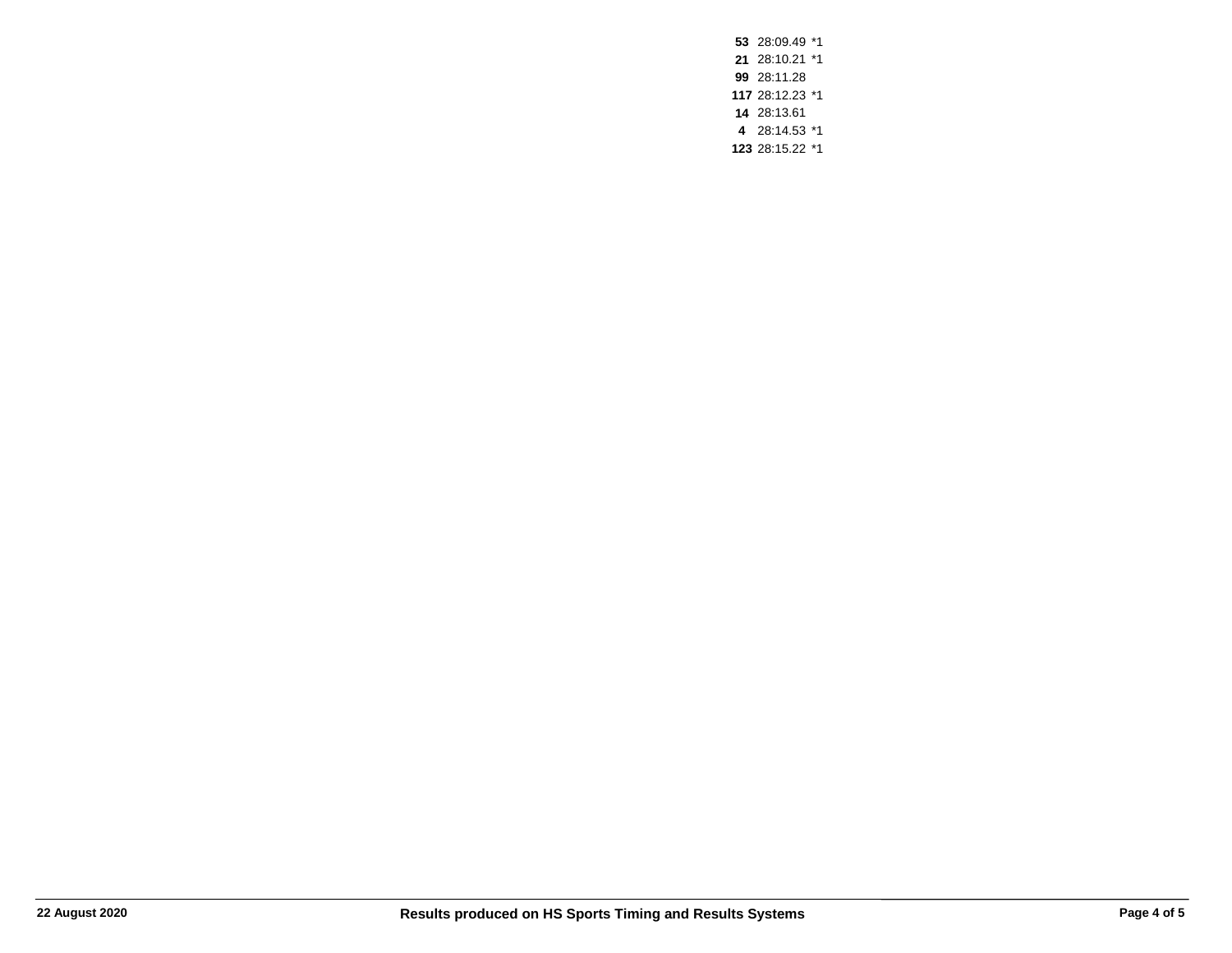28:09.49 \*1 28:10.21 \*1 28:11.28 28:12.23 \*1 28:13.61 28:14.53 \*1 28:15.22 \*1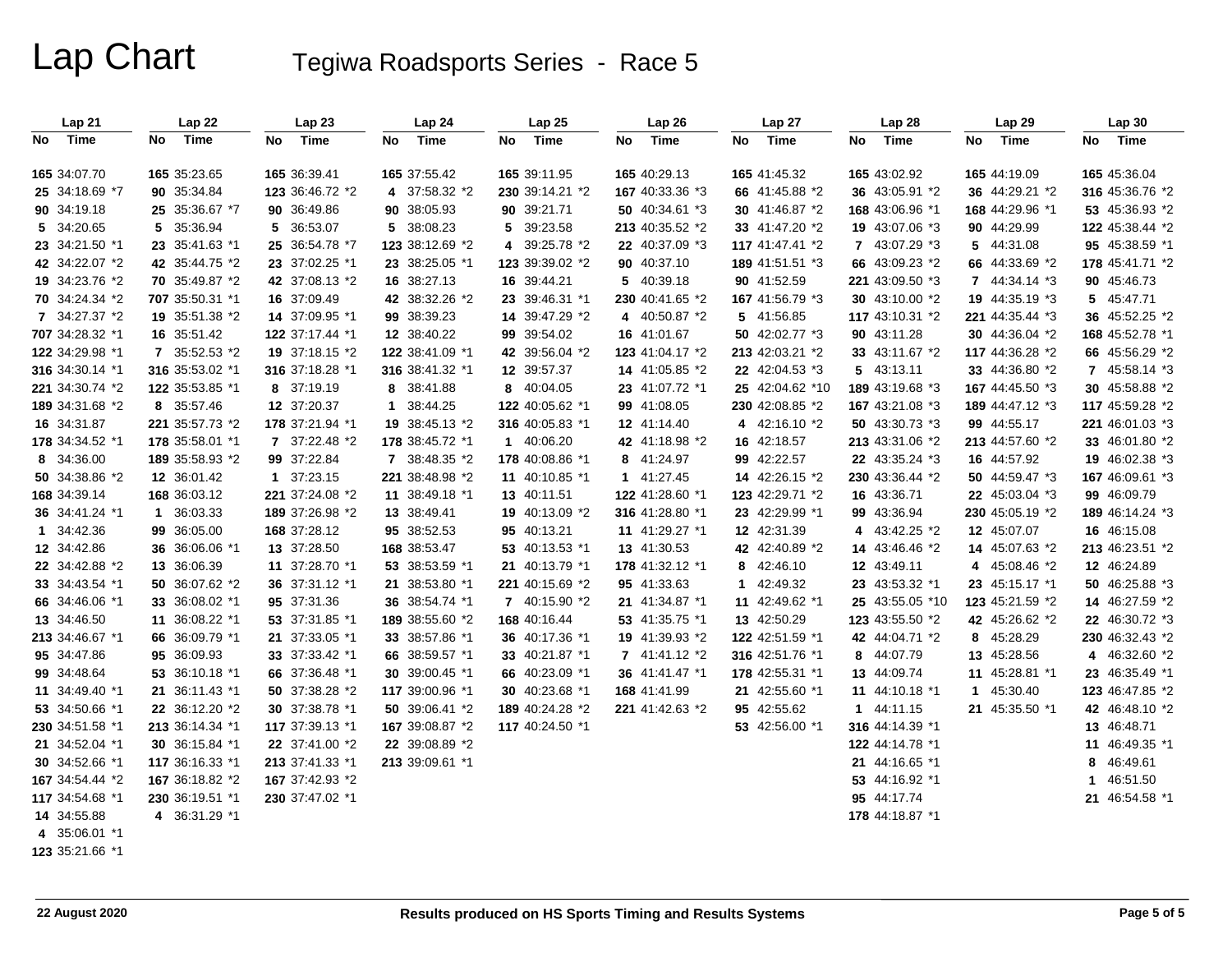# Lap Chart Tegiwa Roadsports Series - Race 5

| Lap21           | Lap 22          | Lap23           | Lap 24          | Lap 25          | Lap 26          | Lap 27          | Lap 28          | Lap 29          | Lap 30          |
|-----------------|-----------------|-----------------|-----------------|-----------------|-----------------|-----------------|-----------------|-----------------|-----------------|
| Time<br>No      | Time<br>No l    | Time<br>No      | Time<br>No      | Time<br>No      | Time<br>No      | Time<br>No      | Time<br>No      | Time<br>No      | No Time         |
| 165 34:07.70    | 165 35:23.65    | 165 36:39.41    | 165 37:55.42    | 165 39:11.95    | 165 40:29.13    | 165 41:45.32    | 165 43:02.92    | 165 44:19.09    | 165 45:36.04    |
| 25 34:18.69 *7  | 90 35:34.84     | 123 36:46.72 *2 | 4 37:58.32 *2   | 230 39:14.21 *2 | 167 40:33.36 *3 | 66 41:45.88 *2  | 36 43:05.91 *2  | 36 44:29.21 *2  | 316 45:36.76 *2 |
| 90 34:19.18     | 25 35:36.67 *7  | 90 36:49.86     | 90 38:05.93     | 90 39:21.71     | 50 40:34.61 *3  | 30 41:46.87 *2  | 168 43:06.96 *1 | 168 44:29.96 *1 | 53 45:36.93 *2  |
| 5 34:20.65      | 5 35:36.94      | 5 36:53.07      | 5 38:08.23      | 5 39:23.58      | 213 40:35.52 *2 | 33 41:47.20 *2  | 19 43:07.06 *3  | 90 44:29.99     | 122 45:38.44 *2 |
| 23 34:21.50 *1  | 23 35:41.63 *1  | 25 36:54.78 *7  | 123 38:12.69 *2 | 4 39:25.78 *2   | 22 40:37.09 *3  | 117 41:47.41 *2 | 7 43:07.29 *3   | 5 44:31.08      | 95 45:38.59 *1  |
| 42 34:22.07 *2  | 42 35:44.75 *2  | 23 37:02.25 *1  | 23 38:25.05 *1  | 123 39:39.02 *2 | 90 40:37.10     | 189 41:51.51 *3 | 66 43:09.23 *2  | 66 44:33.69 *2  | 178 45:41.71 *2 |
| 19 34:23.76 *2  | 70 35:49.87 *2  | 42 37:08.13 *2  | 16 38:27.13     | 16 39:44.21     | 5 40:39.18      | 90 41:52.59     | 221 43:09.50 *3 | 7 44:34.14 *3   | 90 45:46.73     |
| 70 34:24.34 *2  | 707 35:50.31 *1 | 16 37:09.49     | 42 38:32.26 *2  | 23 39:46.31 *1  | 230 40:41.65 *2 | 167 41:56.79 *3 | 30 43:10.00 *2  | 19 44:35.19 *3  | 5 45:47.71      |
| 7 34:27.37 *2   | 19 35:51.38 *2  | 14 37:09.95 *1  | 99 38:39.23     | 14 39:47.29 *2  | 4 40:50.87 *2   | 5 41:56.85      | 117 43:10.31 *2 | 221 44:35.44 *3 | 36 45:52.25 *2  |
| 707 34:28.32 *1 | 16 35:51.42     | 122 37:17.44 *1 | 12 38:40.22     | 99 39:54.02     | 16 41:01.67     | 50 42:02.77 *3  | 90 43:11.28     | 30 44:36.04 *2  | 168 45:52.78 *1 |
| 122 34:29.98 *1 | 7 35:52.53 *2   | 19 37:18.15 *2  | 122 38:41.09 *1 | 42 39:56.04 *2  | 123 41:04.17 *2 | 213 42:03.21 *2 | 33 43:11.67 *2  | 117 44:36.28 *2 | 66 45:56.29 *2  |
| 316 34:30.14 *1 | 316 35:53.02 *1 | 316 37:18.28 *1 | 316 38:41.32 *1 | 12 39:57.37     | 14 41:05.85 *2  | 22 42:04.53 *3  | 5 43:13.11      | 33 44:36.80 *2  | 7 45:58.14 *3   |
| 221 34:30.74 *2 | 122 35:53.85 *1 | 8 37:19.19      | 8 38:41.88      | 8 40:04.05      | 23 41:07.72 *1  | 25 42:04.62 *10 | 189 43:19.68 *3 | 167 44:45.50 *3 | 30 45:58.88 *2  |
| 189 34:31.68 *2 | 8 35:57.46      | 12 37:20.37     | 38:44.25<br>1   | 122 40:05.62 *1 | 99 41:08.05     | 230 42:08.85 *2 | 167 43:21.08 *3 | 189 44:47.12 *3 | 117 45:59.28 *2 |
| 16 34:31.87     | 221 35:57.73 *2 | 178 37:21.94 *1 | 19 38:45.13 *2  | 316 40:05.83 *1 | 12 41:14.40     | 4 42:16.10 *2   | 50 43:30.73 *3  | 99 44:55.17     | 221 46:01.03 *3 |
| 178 34:34.52 *1 | 178 35:58.01 *1 | 7 37:22.48 *2   | 178 38:45.72 *1 | 1 40:06.20      | 42 41:18.98 *2  | 16 42:18.57     | 213 43:31.06 *2 | 213 44:57.60 *2 | 33 46:01.80 *2  |
| 8 34:36.00      | 189 35:58.93 *2 | 99 37:22.84     | 7 38:48.35 *2   | 178 40:08.86 *1 | 8 41:24.97      | 99 42:22.57     | 22 43:35.24 *3  | 16 44:57.92     | 19 46:02.38 *3  |
| 50 34:38.86 *2  | 12 36:01.42     | 1 37:23.15      | 221 38:48.98 *2 | 11 40:10.85 *1  | 1 41:27.45      | 14 42:26.15 *2  | 230 43:36.44 *2 | 50 44:59.47 *3  | 167 46:09.61 *3 |
| 168 34:39.14    | 168 36:03.12    | 221 37:24.08 *2 | 11 38:49.18 *1  | 13 40:11.51     | 122 41:28.60 *1 | 123 42:29.71 *2 | 16 43:36.71     | 22 45:03.04 *3  | 99 46:09.79     |
| 36 34:41.24 *1  | 1 36:03.33      | 189 37:26.98 *2 | 13 38:49.41     | 19 40:13.09 *2  | 316 41:28.80 *1 | 23 42:29.99 *1  | 99 43:36.94     | 230 45:05.19 *2 | 189 46:14.24 *3 |
| 1 34:42.36      | 99 36:05.00     | 168 37:28.12    | 95 38:52.53     | 95 40:13.21     | 11 41:29.27 *1  | 12 42:31.39     | 4 43:42.25 *2   | 12 45:07.07     | 16 46:15.08     |
| 12 34:42.86     | 36 36:06.06 *1  | 13 37:28.50     | 168 38:53.47    | 53 40:13.53 *1  | 13 41:30.53     | 42 42:40.89 *2  | 14 43:46.46 *2  | 14 45:07.63 *2  | 213 46:23.51 *2 |
| 22 34:42.88 *2  | 13 36:06.39     | 11 37:28.70 *1  | 53 38:53.59 *1  | 21 40:13.79 *1  | 178 41:32.12 *1 | 8 42:46.10      | 12 43:49.11     | 4 45:08.46 *2   | 12 46:24.89     |
| 33 34:43.54 *1  | 50 36:07.62 *2  | 36 37:31.12 *1  | 21 38:53.80 *1  | 221 40:15.69 *2 | 95 41:33.63     | 1 42:49.32      | 23 43:53.32 *1  | 23 45:15.17 *1  | 50 46:25.88 *3  |
| 66 34:46.06 *1  | 33 36:08.02 *1  | 95 37:31.36     | 36 38:54.74 *1  | 7 40:15.90 *2   | 21 41:34.87 *1  | 11 42:49.62 *1  | 25 43:55.05 *10 | 123 45:21.59 *2 | 14 46:27.59 *2  |
| 13 34:46.50     | 11 36:08.22 *1  | 53 37:31.85 *1  | 189 38:55.60 *2 | 168 40:16.44    | 53 41:35.75 *1  | 13 42:50.29     | 123 43:55.50 *2 | 42 45:26.62 *2  | 22 46:30.72 *3  |
| 213 34:46.67 *1 | 66 36:09.79 *1  | 21 37:33.05 *1  | 33 38:57.86 *1  | 36 40:17.36 *1  | 19 41:39.93 *2  | 122 42:51.59 *1 | 42 44:04.71 *2  | 8 45:28.29      | 230 46:32.43 *2 |
| 95 34:47.86     | 95 36:09.93     | 33 37:33.42 *1  | 66 38:59.57 *1  | 33 40:21.87 *1  | 7 41:41.12 *2   | 316 42:51.76 *1 | 8 44:07.79      | 13 45:28.56     | 4 46:32.60 *2   |
| 99 34:48.64     | 53 36:10.18 *1  | 66 37:36.48 *1  | 30 39:00.45 *1  | 66 40:23.09 *1  | 36 41:41.47 *1  | 178 42:55.31 *1 | 13 44:09.74     | 11 45:28.81 *1  | 23 46:35.49 *1  |
| 11 34:49.40 *1  | 21 36:11.43 *1  | 50 37:38.28 *2  | 117 39:00.96 *1 | 30 40:23.68 *1  | 168 41:41.99    | 21 42:55.60 *1  | 11 44:10.18 *1  | 1 45:30.40      | 123 46:47.85 *2 |
| 53 34:50.66 *1  | 22 36:12.20 *2  | 30 37:38.78 *1  | 50 39:06.41 *2  | 189 40:24.28 *2 | 221 41:42.63 *2 | 95 42:55.62     | 1 44:11.15      | 21 45:35.50 *1  | 42 46:48.10 *2  |
| 230 34:51.58 *1 | 213 36:14.34 *1 | 117 37:39.13 *1 | 167 39:08.87 *2 | 117 40:24.50 *1 |                 | 53 42:56.00 *1  | 316 44:14.39 *1 |                 | 13 46:48.71     |
| 21 34:52.04 *1  | 30 36:15.84 *1  | 22 37:41.00 *2  | 22 39:08.89 *2  |                 |                 |                 | 122 44:14.78 *1 |                 | 11 46:49.35 *1  |
| 30 34:52.66 *1  | 117 36:16.33 *1 | 213 37:41.33 *1 | 213 39:09.61 *1 |                 |                 |                 | 21 44:16.65 *1  |                 | 8 46:49.61      |
| 167 34:54.44 *2 | 167 36:18.82 *2 | 167 37:42.93 *2 |                 |                 |                 |                 | 53 44:16.92 *1  |                 | 46:51.50<br>1   |
| 117 34:54.68 *1 | 230 36:19.51 *1 | 230 37:47.02 *1 |                 |                 |                 |                 | 95 44:17.74     |                 | 21 46:54.58 *1  |
| 14 34:55.88     | 4 36:31.29 *1   |                 |                 |                 |                 |                 | 178 44:18.87 *1 |                 |                 |
| 4 35:06.01 *1   |                 |                 |                 |                 |                 |                 |                 |                 |                 |
| 123 35:21.66 *1 |                 |                 |                 |                 |                 |                 |                 |                 |                 |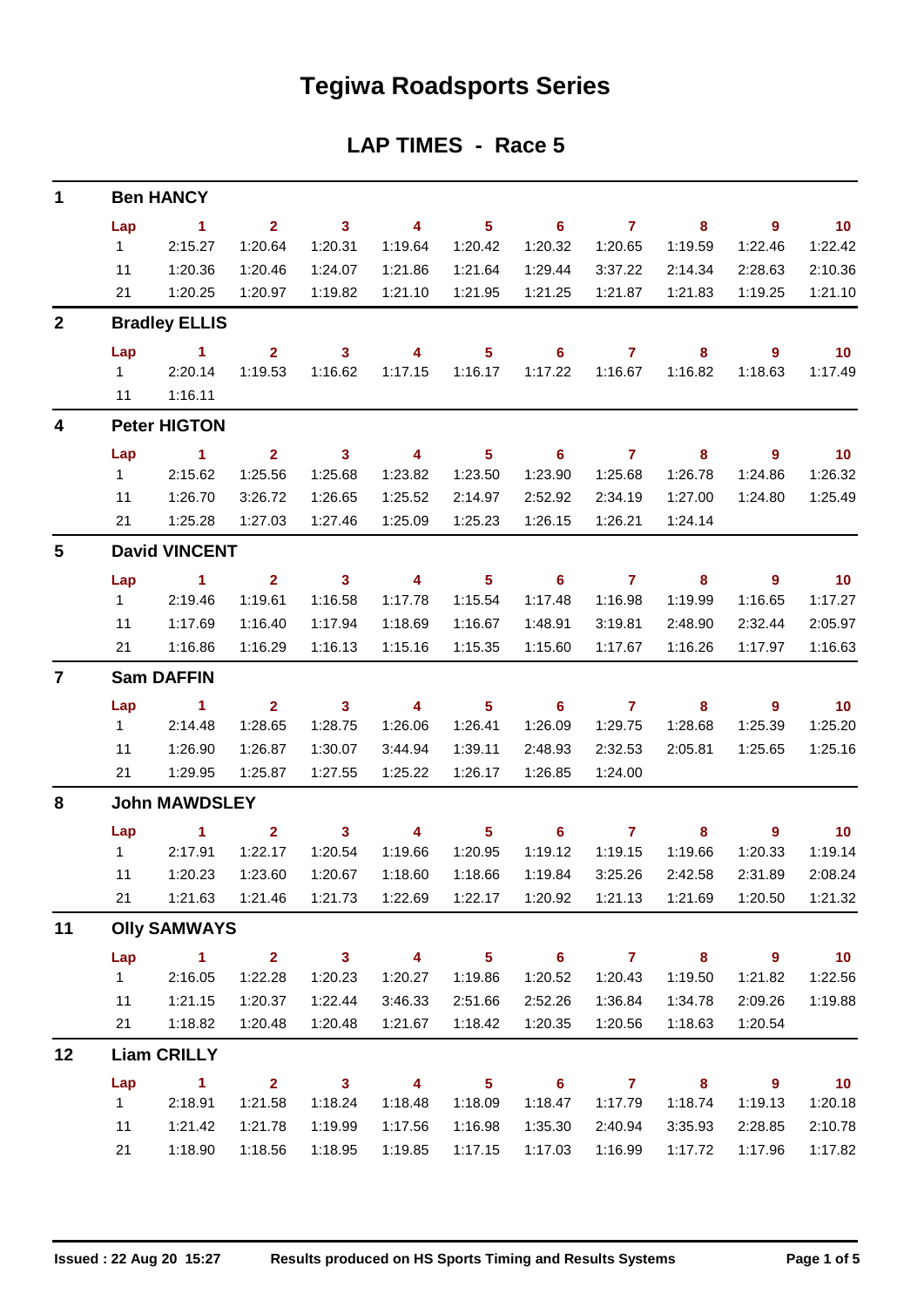## **Tegiwa Roadsports Series**

## **LAP TIMES - Race 5**

| $\mathbf 1$             |                   | <b>Ben HANCY</b>     |                           |                         |                          |                            |                                    |                |                         |                          |                          |  |  |  |
|-------------------------|-------------------|----------------------|---------------------------|-------------------------|--------------------------|----------------------------|------------------------------------|----------------|-------------------------|--------------------------|--------------------------|--|--|--|
|                         | Lap               | $\sim$ 1             | 2 <sup>1</sup>            | $\overline{\mathbf{3}}$ | $\overline{\mathbf{4}}$  | $\overline{\phantom{0}}$ 5 | $\overline{\phantom{0}}$ 6         | $\overline{7}$ | $\bf{8}$                | $\overline{\phantom{a}}$ | $\overline{10}$          |  |  |  |
|                         | $1 \quad$         | 2:15.27              | 1:20.64                   | 1:20.31                 | 1:19.64                  | 1:20.42                    | 1:20.32                            | 1:20.65        | 1:19.59                 | 1:22.46                  | 1:22.42                  |  |  |  |
|                         | 11                | 1:20.36              | 1:20.46                   | 1:24.07                 | 1:21.86                  | 1:21.64                    | 1:29.44                            | 3:37.22        | 2:14.34                 | 2:28.63                  | 2:10.36                  |  |  |  |
|                         | 21                | 1:20.25              | 1:20.97                   | 1:19.82                 | 1:21.10                  | 1:21.95                    | 1:21.25                            | 1:21.87        | 1:21.83                 | 1:19.25                  | 1:21.10                  |  |  |  |
| $\mathbf{2}$            |                   | <b>Bradley ELLIS</b> |                           |                         |                          |                            |                                    |                |                         |                          |                          |  |  |  |
|                         | Lap               | $\sim$ $\sim$ 1      | $2^{\circ}$               | $\overline{\mathbf{3}}$ | $\overline{4}$           | 5 <sup>1</sup>             | $\overline{\phantom{0}}$ 6         | $\overline{7}$ | 8                       | 9                        | $\overline{10}$          |  |  |  |
|                         |                   | 12:20.14             | 1:19.53                   | 1:16.62                 | 1:17.15                  | 1:16.17                    | 1:17.22                            | 1:16.67        | 1:16.82                 | 1:18.63                  | 1:17.49                  |  |  |  |
|                         | 11                | 1:16.11              |                           |                         |                          |                            |                                    |                |                         |                          |                          |  |  |  |
| $\overline{\mathbf{4}}$ |                   | <b>Peter HIGTON</b>  |                           |                         |                          |                            |                                    |                |                         |                          |                          |  |  |  |
|                         | Lap               | $\sim$ $\sim$ 1      | $\mathbf{2}$              | $\overline{\mathbf{3}}$ | $\overline{\mathbf{4}}$  | 5 <sub>5</sub>             | $\overline{\phantom{0}}$ 6         | $\overline{7}$ | 8                       | 9                        | $\overline{\mathbf{10}}$ |  |  |  |
|                         | $1 \quad$         | 2:15.62              | 1:25.56                   | 1:25.68                 | 1:23.82                  | 1:23.50                    | 1:23.90                            | 1:25.68        | 1:26.78                 | 1:24.86                  | 1:26.32                  |  |  |  |
|                         | 11                | 1:26.70              | 3:26.72                   | 1:26.65                 | 1:25.52                  | 2:14.97                    | 2:52.92                            | 2:34.19        | 1:27.00                 | 1:24.80                  | 1:25.49                  |  |  |  |
|                         | 21                | 1:25.28              | 1:27.03                   | 1:27.46                 | 1:25.09                  | 1:25.23                    | 1:26.15                            | 1:26.21        | 1:24.14                 |                          |                          |  |  |  |
| 5                       |                   | <b>David VINCENT</b> |                           |                         |                          |                            |                                    |                |                         |                          |                          |  |  |  |
|                         | Lap               | $\sim$ 1             | $\overline{2}$            | $\overline{\mathbf{3}}$ | $\overline{\phantom{a}}$ | $\overline{\phantom{0}}$ 5 | $\overline{\phantom{0}}$ 6         | $\overline{7}$ | $\overline{\mathbf{8}}$ | $\overline{\phantom{a}}$ | $\overline{\mathbf{10}}$ |  |  |  |
|                         | $1 -$             | 2:19.46              | 1:19.61                   | 1:16.58                 | 1:17.78                  | 1:15.54                    | 1:17.48                            | 1:16.98        | 1:19.99                 | 1:16.65                  | 1:17.27                  |  |  |  |
|                         | 11                | 1:17.69              | 1:16.40                   | 1:17.94                 | 1:18.69                  | 1:16.67                    | 1:48.91                            | 3:19.81        | 2:48.90                 | 2:32.44                  | 2:05.97                  |  |  |  |
|                         | 21                | 1:16.86              | 1:16.29                   | 1:16.13                 | 1:15.16                  | 1:15.35                    | 1:15.60                            | 1:17.67        | 1:16.26                 | 1:17.97                  | 1:16.63                  |  |  |  |
| $\overline{7}$          | <b>Sam DAFFIN</b> |                      |                           |                         |                          |                            |                                    |                |                         |                          |                          |  |  |  |
|                         | Lap               | $\sim$ $\sim$ 1      | $2^{\circ}$               | $\overline{\mathbf{3}}$ | $\overline{\mathbf{4}}$  | $\overline{\phantom{0}}$ 5 | $\overline{\phantom{a}}$ 6         | $\overline{7}$ | 8                       | $\overline{\phantom{a}}$ | $\overline{10}$          |  |  |  |
|                         | $1 \quad$         | 2:14.48              | 1:28.65                   | 1:28.75                 | 1:26.06                  | 1:26.41                    | 1:26.09                            | 1:29.75        | 1:28.68                 | 1:25.39                  | 1:25.20                  |  |  |  |
|                         | 11                | 1:26.90              | 1:26.87                   | 1:30.07                 | 3:44.94                  | 1:39.11                    | 2:48.93                            | 2:32.53        | 2:05.81                 | 1:25.65                  | 1:25.16                  |  |  |  |
|                         | 21                | 1:29.95              | 1:25.87                   | 1:27.55                 | 1:25.22                  | 1:26.17                    | 1:26.85                            | 1:24.00        |                         |                          |                          |  |  |  |
| 8                       |                   | <b>John MAWDSLEY</b> |                           |                         |                          |                            |                                    |                |                         |                          |                          |  |  |  |
|                         | Lap               | $\sim$ $\sim$ 1      | $\overline{2}$            | $\mathbf{3}$            | $\overline{4}$           | 5 <sub>1</sub>             | $\overline{\phantom{0}}$ 6         | $\overline{7}$ | 8                       | 9                        | $\blacksquare$ 10        |  |  |  |
|                         |                   | 1 2:17.91            | 1:22.17                   | 1:20.54                 | 1:19.66                  | 1:20.95                    | 1:19.12                            | 1:19.15        | 1:19.66                 | 1:20.33                  | 1:19.14                  |  |  |  |
|                         | 11                | 1:20.23              | 1:23.60                   | 1:20.67                 | 1:18.60                  | 1:18.66                    | 1:19.84                            | 3:25.26        | 2:42.58                 | 2:31.89                  | 2:08.24                  |  |  |  |
|                         | 21                |                      | 1:21.63  1:21.46  1:21.73 |                         |                          |                            | 1:22.69  1:22.17  1:20.92  1:21.13 |                | 1:21.69                 | 1:20.50                  | 1:21.32                  |  |  |  |
| 11                      |                   | <b>Olly SAMWAYS</b>  |                           |                         |                          |                            |                                    |                |                         |                          |                          |  |  |  |
|                         | Lap               | $\sim$ 1             | $2^{\circ}$               | $\overline{\mathbf{3}}$ | $\overline{\mathbf{4}}$  | 5 <sub>1</sub>             | $\overline{\phantom{0}}$ 6         | $\overline{7}$ | 8 <sup>°</sup>          | $\overline{\phantom{a}}$ | 10                       |  |  |  |
|                         | $1 \quad$         | 2:16.05              | 1:22.28                   | 1:20.23                 | 1:20.27                  | 1:19.86                    | 1:20.52                            | 1:20.43        | 1:19.50                 | 1:21.82                  | 1:22.56                  |  |  |  |
|                         | 11                | 1:21.15              | 1:20.37                   | 1:22.44                 | 3:46.33                  | 2:51.66                    | 2:52.26                            | 1:36.84        | 1:34.78                 | 2:09.26                  | 1:19.88                  |  |  |  |
|                         | 21                | 1:18.82              | 1:20.48                   | 1:20.48                 | 1:21.67                  | 1:18.42                    | 1:20.35                            | 1:20.56        | 1:18.63                 | 1:20.54                  |                          |  |  |  |
| 12                      |                   | <b>Liam CRILLY</b>   |                           |                         |                          |                            |                                    |                |                         |                          |                          |  |  |  |
|                         | Lap               | $\sim$ 1             | $2^{\circ}$               | $\overline{\mathbf{3}}$ | $\overline{4}$           | 5 <sub>5</sub>             | $\overline{\phantom{0}}$ 6         | $\overline{7}$ | 8 <sup>1</sup>          | 9                        | $\overline{\mathbf{10}}$ |  |  |  |
|                         | 1                 | 2:18.91              | 1:21.58                   | 1:18.24                 | 1:18.48                  | 1:18.09                    | 1:18.47                            | 1:17.79        | 1:18.74                 | 1:19.13                  | 1:20.18                  |  |  |  |
|                         | 11                | 1:21.42              | 1:21.78                   | 1:19.99                 | 1:17.56                  | 1:16.98                    | 1:35.30                            | 2:40.94        | 3:35.93                 | 2:28.85                  | 2:10.78                  |  |  |  |
|                         | 21                | 1:18.90              | 1:18.56                   | 1:18.95                 | 1:19.85                  | 1:17.15                    | 1:17.03                            | 1:16.99        | 1:17.72                 | 1:17.96                  | 1:17.82                  |  |  |  |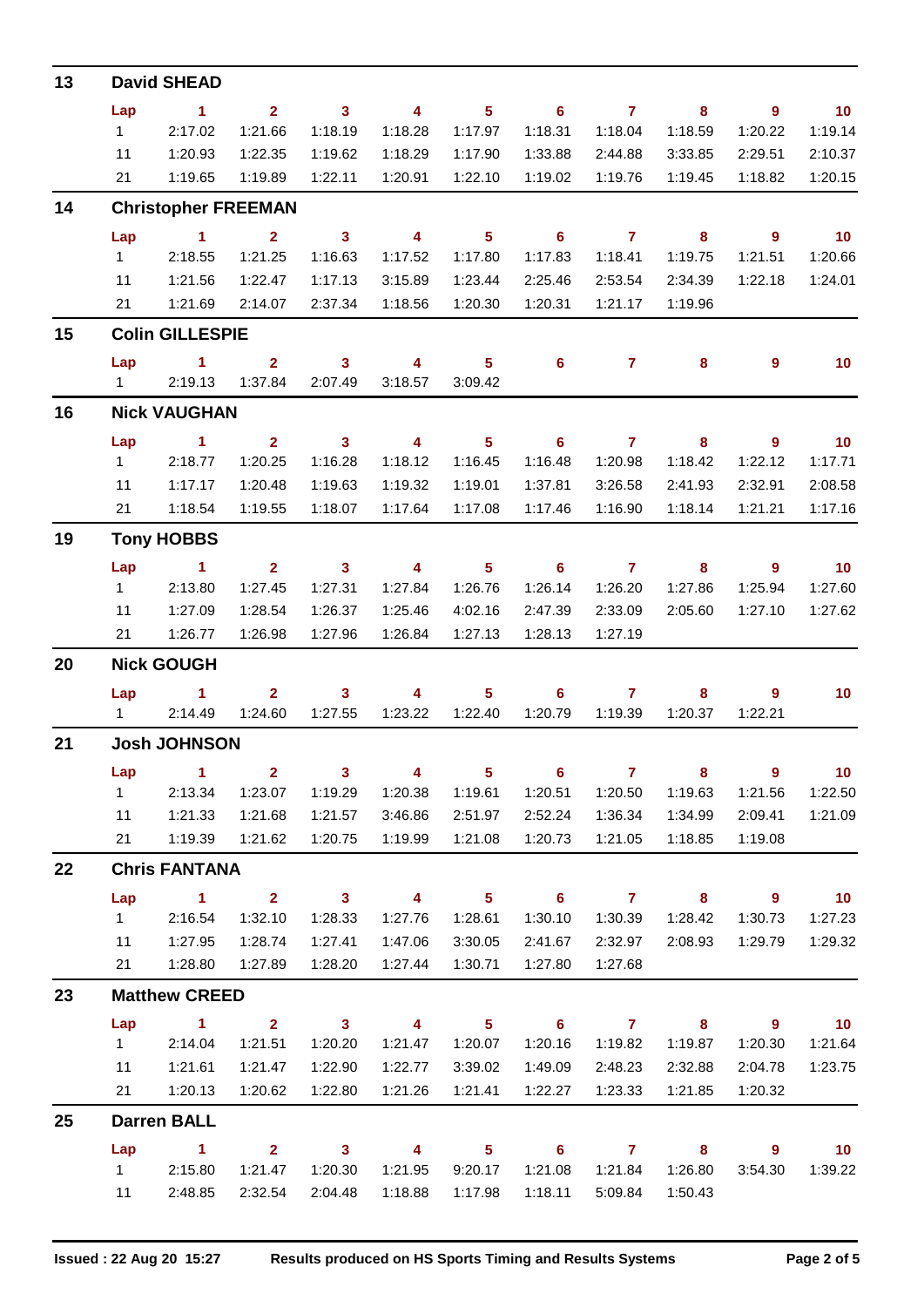| 13 |                | <b>David SHEAD</b>            |                         |                         |                         |                            |                            |                  |                         |                            |                             |
|----|----------------|-------------------------------|-------------------------|-------------------------|-------------------------|----------------------------|----------------------------|------------------|-------------------------|----------------------------|-----------------------------|
|    | Lap            | $\sim$ 1                      | $\mathbf{2}$            | $\overline{\mathbf{3}}$ | $\overline{4}$          | 5 <sup>5</sup>             | $\overline{\phantom{0}}$ 6 | $\overline{7}$   | 8                       | $\overline{9}$             | $\overline{10}$             |
|    | 1              | 2:17.02                       | 1:21.66                 | 1:18.19                 | 1:18.28                 | 1:17.97                    | 1:18.31                    | 1:18.04          | 1:18.59                 | 1:20.22                    | 1:19.14                     |
|    | 11             | 1:20.93                       | 1:22.35                 | 1:19.62                 | 1:18.29                 | 1:17.90                    | 1:33.88                    | 2:44.88          | 3:33.85                 | 2:29.51                    | 2:10.37                     |
|    | 21             | 1:19.65                       | 1:19.89                 | 1:22.11                 | 1:20.91                 | 1:22.10                    | 1:19.02                    | 1:19.76          | 1:19.45                 | 1:18.82                    | 1:20.15                     |
| 14 |                | <b>Christopher FREEMAN</b>    |                         |                         |                         |                            |                            |                  |                         |                            |                             |
|    | Lap            | $\sim$ 1                      | $\overline{2}$          | $\overline{\mathbf{3}}$ | $\overline{4}$          | 5 <sup>5</sup>             | $\overline{\phantom{0}}$ 6 | $\overline{7}$   | $\overline{\mathbf{8}}$ | $\overline{9}$             | $\blacksquare$ 10           |
|    | 1              | 2:18.55                       | 1:21.25                 | 1:16.63                 | 1:17.52                 | 1:17.80                    | 1:17.83                    | 1:18.41          | 1:19.75                 | 1:21.51                    | 1:20.66                     |
|    | 11             | 1:21.56                       | 1:22.47                 | 1:17.13                 | 3:15.89                 | 1:23.44                    | 2:25.46                    | 2:53.54          | 2:34.39                 | 1:22.18                    | 1:24.01                     |
|    | 21             | 1:21.69                       | 2:14.07                 | 2:37.34                 | 1:18.56                 | 1:20.30                    | 1:20.31                    | 1:21.17          | 1:19.96                 |                            |                             |
| 15 |                | <b>Colin GILLESPIE</b>        |                         |                         |                         |                            |                            |                  |                         |                            |                             |
|    | Lap            | $\sim$ 1                      | $\mathbf{2}$            | $\mathbf{3}$            | 4                       | 5 <sup>1</sup>             | $6\phantom{1}$             | $\mathbf{7}$     | 8                       | 9                          | 10                          |
|    |                | 1 2:19.13                     | 1:37.84                 | 2:07.49                 | 3:18.57                 | 3:09.42                    |                            |                  |                         |                            |                             |
| 16 |                | <b>Nick VAUGHAN</b>           |                         |                         |                         |                            |                            |                  |                         |                            |                             |
|    | Lap            | $\sim$ 1                      | $2^{\circ}$             | $\overline{\mathbf{3}}$ | $\overline{4}$          | 5 <sub>1</sub>             | $\overline{\phantom{0}}$ 6 | $\overline{7}$   | $\overline{\mathbf{8}}$ | $9^{\circ}$                | 10                          |
|    | $1 \quad$      | 2:18.77                       | 1:20.25                 | 1:16.28                 | 1:18.12                 | 1:16.45                    | 1:16.48                    | 1:20.98          | 1:18.42                 | 1:22.12                    | 1:17.71                     |
|    | 11             | 1:17.17                       | 1:20.48                 | 1:19.63                 | 1:19.32                 | 1:19.01                    | 1:37.81                    | 3:26.58          | 2:41.93                 | 2:32.91                    | 2:08.58                     |
|    | 21             | 1:18.54                       | 1:19.55                 | 1:18.07                 | 1:17.64                 | 1:17.08                    | 1:17.46                    | 1:16.90          | 1:18.14                 | 1:21.21                    | 1:17.16                     |
| 19 |                | <b>Tony HOBBS</b>             |                         |                         |                         |                            |                            |                  |                         |                            |                             |
|    | Lap            | $\sim$ 1                      | 2 <sup>7</sup>          | $\overline{\mathbf{3}}$ | $\overline{4}$          | 5 <sup>5</sup>             | 6                          | $\mathbf{7}$     | 8                       | $9^{\circ}$                | $\overline{10}$             |
|    | $1 \quad$      | 2:13.80                       | 1:27.45                 | 1:27.31                 | 1:27.84                 | 1:26.76                    | 1:26.14                    | 1:26.20          | 1:27.86                 | 1:25.94                    | 1:27.60                     |
|    | 11             | 1:27.09                       | 1:28.54                 | 1:26.37                 | 1:25.46                 | 4:02.16                    | 2:47.39                    | 2:33.09          | 2:05.60                 | 1:27.10                    | 1:27.62                     |
|    | 21             | 1:26.77                       | 1:26.98                 | 1:27.96                 | 1:26.84                 | 1:27.13                    | 1:28.13                    | 1:27.19          |                         |                            |                             |
| 20 |                | <b>Nick GOUGH</b>             |                         |                         |                         |                            |                            |                  |                         |                            |                             |
|    | Lap            | $\overline{1}$                | $\overline{2}$          | $\mathbf{3}$            | 4                       | 5                          | 6                          | $\overline{7}$   | 8                       | 9                          | 10                          |
|    | $1 \quad \Box$ | 2:14.49                       | 1:24.60                 | 1:27.55                 | 1:23.22                 | 1:22.40                    | 1:20.79                    | 1:19.39          | 1:20.37                 | 1:22.21                    |                             |
| 21 |                | <b>Josh JOHNSON</b>           |                         |                         |                         |                            |                            |                  |                         |                            |                             |
|    | Lap            | $\sim$ 1.                     |                         | $2 \t 3 \t 4$           |                         | $\overline{\phantom{a}}$   |                            | $6 \overline{7}$ | $\overline{\mathbf{8}}$ | $\overline{\phantom{a}}$   | $\overline{10}$             |
|    | $1 \quad$      | 2:13.34                       | 1:23.07                 | 1:19.29                 | 1:20.38                 | 1:19.61                    | 1:20.51                    | 1:20.50          | 1:19.63                 | 1:21.56                    | 1:22.50                     |
|    | 11             | 1:21.33                       | 1:21.68                 | 1:21.57                 | 3:46.86                 | 2:51.97                    | 2:52.24                    | 1:36.34          | 1:34.99                 | 2:09.41                    | 1:21.09                     |
|    |                | 21 1:19.39                    | 1:21.62                 | 1:20.75                 | 1:19.99                 | 1:21.08                    | 1:20.73                    | 1:21.05          | 1:18.85                 | 1:19.08                    |                             |
| 22 |                | <b>Chris FANTANA</b>          |                         |                         |                         |                            |                            |                  |                         |                            |                             |
|    | Lap            | $\overline{1}$ $\overline{2}$ |                         | $3 \t 4$                |                         | $\overline{\phantom{0}}$ 5 | $\overline{\phantom{0}}$ 6 | $7$ 8            |                         | $\overline{\phantom{a}}$ 9 | $\overline{\mathbf{10}}$    |
|    | $1 \quad \Box$ | 2:16.54                       | 1:32.10                 | 1:28.33                 | 1:27.76                 | 1:28.61                    | 1:30.10                    | 1:30.39          | 1:28.42                 | 1:30.73                    | 1:27.23                     |
|    | 11             | 1:27.95                       | 1:28.74                 | 1:27.41                 | 1:47.06                 | 3:30.05                    | 2:41.67                    | 2:32.97          | 2:08.93                 | 1:29.79                    | 1:29.32                     |
|    | 21             | 1:28.80                       | 1:27.89                 | 1:28.20                 | 1:27.44                 | 1:30.71                    | 1:27.80                    | 1:27.68          |                         |                            |                             |
| 23 |                | <b>Matthew CREED</b>          |                         |                         |                         |                            |                            |                  |                         |                            |                             |
|    | Lap            | $\sim$ 1                      | $2^{\circ}$             | $\overline{\mathbf{3}}$ | $\overline{4}$          | $\overline{\phantom{0}}$ 5 | $\overline{\phantom{0}}$ 6 |                  | $7 \t 8$                | $\overline{\phantom{a}}$ 9 | $\overline{10}$             |
|    | $1 \quad \Box$ | 2:14.04                       | 1:21.51                 | 1:20.20                 | 1:21.47                 | 1:20.07                    | 1:20.16                    | 1:19.82          | 1:19.87                 | 1:20.30                    | 1:21.64                     |
|    | 11             | 1:21.61                       | 1:21.47                 | 1:22.90                 | 1:22.77                 | 3:39.02                    | 1:49.09                    | 2:48.23          | 2:32.88                 | 2:04.78                    | 1:23.75                     |
|    | 21             | 1:20.13                       | 1:20.62                 | 1:22.80                 | 1:21.26                 | 1:21.41                    | 1:22.27                    | 1:23.33          | 1:21.85                 | 1:20.32                    |                             |
| 25 |                | <b>Darren BALL</b>            |                         |                         |                         |                            |                            |                  |                         |                            |                             |
|    | Lap            | $\sim$ 1                      | $\overline{\mathbf{2}}$ | $\overline{\mathbf{3}}$ | $\overline{\mathbf{4}}$ | $\overline{\phantom{0}}$ 5 | $\overline{\phantom{0}}$ 6 | $\overline{7}$   | $\overline{\mathbf{8}}$ | $\overline{\phantom{a}}$ 9 | $\overline{\phantom{0}}$ 10 |
|    |                | 12:15.80                      | 1:21.47                 | 1:20.30                 | 1:21.95                 | 9:20.17                    | 1:21.08                    | 1:21.84          | 1:26.80                 | 3:54.30                    | 1:39.22                     |
|    |                | 11 2:48.85                    | 2:32.54                 | 2:04.48                 | 1:18.88                 | 1:17.98                    | 1:18.11                    | 5:09.84          | 1:50.43                 |                            |                             |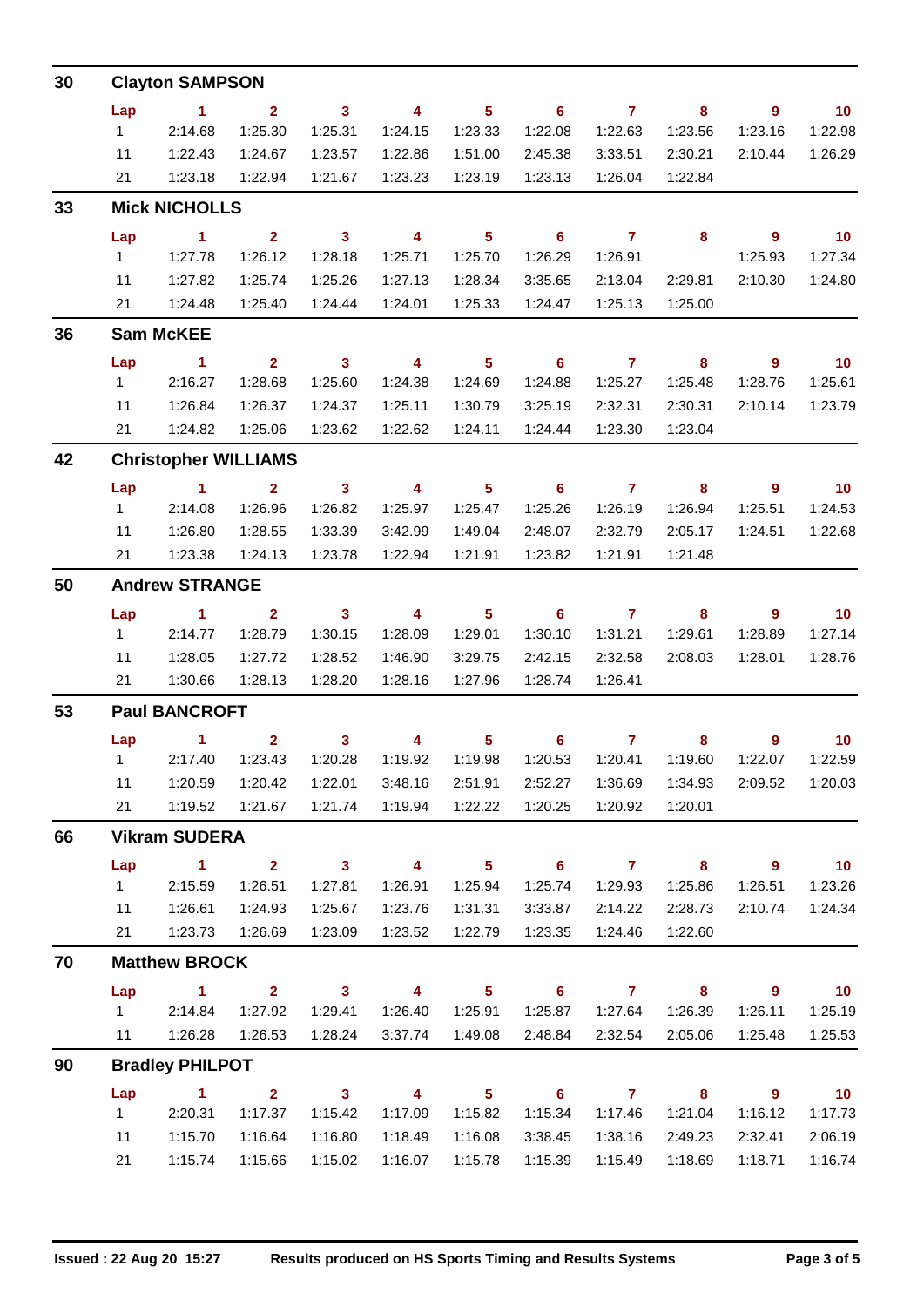| 30 |                       | <b>Clayton SAMPSON</b>      |                |                            |                         |                   |                            |                |                         |                |                 |  |  |
|----|-----------------------|-----------------------------|----------------|----------------------------|-------------------------|-------------------|----------------------------|----------------|-------------------------|----------------|-----------------|--|--|
|    | Lap                   | $\sim$ 1                    | $\overline{2}$ | $\overline{\mathbf{3}}$    | $\overline{4}$          | 5 <sub>1</sub>    | $\overline{\phantom{a}}$ 6 | $\overline{7}$ | 8                       | $9^{\circ}$    | $\overline{10}$ |  |  |
|    | 1                     | 2:14.68                     | 1:25.30        | 1:25.31                    | 1:24.15                 | 1:23.33           | 1:22.08                    | 1:22.63        | 1:23.56                 | 1:23.16        | 1:22.98         |  |  |
|    | 11                    | 1:22.43                     | 1:24.67        | 1:23.57                    | 1:22.86                 | 1:51.00           | 2:45.38                    | 3:33.51        | 2:30.21                 | 2:10.44        | 1:26.29         |  |  |
|    | 21                    | 1:23.18                     | 1:22.94        | 1:21.67                    | 1:23.23                 | 1:23.19           | 1:23.13                    | 1:26.04        | 1:22.84                 |                |                 |  |  |
| 33 |                       | <b>Mick NICHOLLS</b>        |                |                            |                         |                   |                            |                |                         |                |                 |  |  |
|    | Lap                   | $\sim$ 1                    | $2^{\circ}$    | $\overline{\mathbf{3}}$    | $\overline{\mathbf{4}}$ | 5 <sub>5</sub>    | $\overline{\phantom{0}}$ 6 | $\overline{7}$ | $\overline{\mathbf{8}}$ | $9^{\circ}$    | $\overline{10}$ |  |  |
|    | $1 -$                 | 1:27.78                     | 1:26.12        | 1:28.18                    | 1:25.71                 | 1:25.70           | 1:26.29                    | 1:26.91        |                         | 1:25.93        | 1:27.34         |  |  |
|    | 11                    | 1:27.82                     | 1:25.74        | 1:25.26                    | 1:27.13                 | 1:28.34           | 3:35.65                    | 2:13.04        | 2:29.81                 | 2:10.30        | 1:24.80         |  |  |
|    | 21                    | 1:24.48                     | 1:25.40        | 1:24.44                    | 1:24.01                 | 1:25.33           | 1:24.47                    | 1:25.13        | 1:25.00                 |                |                 |  |  |
| 36 |                       | <b>Sam McKEE</b>            |                |                            |                         |                   |                            |                |                         |                |                 |  |  |
|    | Lap                   | $\sim$ 1                    | 2 <sup>7</sup> | $\overline{\mathbf{3}}$    | $\overline{4}$          | 5 <sup>1</sup>    | $6\phantom{1}$             | $\mathbf{7}$   | 8                       | $\overline{9}$ | $\overline{10}$ |  |  |
|    | $1 \quad$             | 2:16.27                     | 1:28.68        | 1:25.60                    | 1:24.38                 | 1:24.69           | 1:24.88                    | 1:25.27        | 1:25.48                 | 1:28.76        | 1:25.61         |  |  |
|    | 11                    | 1:26.84                     | 1:26.37        | 1:24.37                    | 1:25.11                 | 1:30.79           | 3:25.19                    | 2:32.31        | 2:30.31                 | 2:10.14        | 1:23.79         |  |  |
|    | 21                    | 1:24.82                     | 1:25.06        | 1:23.62                    | 1:22.62                 | 1:24.11           | 1:24.44                    | 1:23.30        | 1:23.04                 |                |                 |  |  |
| 42 |                       | <b>Christopher WILLIAMS</b> |                |                            |                         |                   |                            |                |                         |                |                 |  |  |
|    | Lap                   | $\sim$ 1                    | $\overline{2}$ | $\overline{\mathbf{3}}$    | $\overline{4}$          | 5 <sup>1</sup>    | $\overline{\phantom{0}}$ 6 | $\overline{7}$ | $\overline{\mathbf{8}}$ | $9^{\circ}$    | 10              |  |  |
|    | 1                     | 2:14.08                     | 1:26.96        | 1:26.82                    | 1:25.97                 | 1:25.47           | 1:25.26                    | 1:26.19        | 1:26.94                 | 1:25.51        | 1:24.53         |  |  |
|    | 11                    | 1:26.80                     | 1:28.55        | 1:33.39                    | 3:42.99                 | 1:49.04           | 2:48.07                    | 2:32.79        | 2:05.17                 | 1:24.51        | 1:22.68         |  |  |
|    | 21                    | 1:23.38                     | 1:24.13        | 1:23.78                    | 1:22.94                 | 1:21.91           | 1:23.82                    | 1:21.91        | 1:21.48                 |                |                 |  |  |
| 50 | <b>Andrew STRANGE</b> |                             |                |                            |                         |                   |                            |                |                         |                |                 |  |  |
|    | Lap                   | $\sim$ 1                    | $\overline{2}$ | $\overline{\mathbf{3}}$    | $\overline{4}$          | 5 <sub>5</sub>    | $\overline{\phantom{0}}$ 6 | $\overline{7}$ | 8                       | 9              | $\overline{10}$ |  |  |
|    | 1                     | 2:14.77                     | 1:28.79        | 1:30.15                    | 1:28.09                 | 1:29.01           | 1:30.10                    | 1:31.21        | 1:29.61                 | 1:28.89        | 1:27.14         |  |  |
|    | 11                    | 1:28.05                     | 1:27.72        | 1:28.52                    | 1:46.90                 | 3:29.75           | 2:42.15                    | 2:32.58        | 2:08.03                 | 1:28.01        | 1:28.76         |  |  |
|    | 21                    | 1:30.66                     | 1:28.13        | 1:28.20                    | 1:28.16                 | 1:27.96           | 1:28.74                    | 1:26.41        |                         |                |                 |  |  |
| 53 |                       | <b>Paul BANCROFT</b>        |                |                            |                         |                   |                            |                |                         |                |                 |  |  |
|    |                       | Lap $1$ 2                   |                | $\overline{\mathbf{3}}$    |                         | $4\qquad\qquad 5$ |                            | $6\qquad 7$    | $8 -$                   | $9^{\circ}$    | $\overline{10}$ |  |  |
|    |                       | 1 2:17.40                   | 1:23.43        | 1:20.28                    | 1:19.92                 | 1:19.98           | 1:20.53                    | 1:20.41        | 1:19.60                 | 1:22.07        | 1:22.59         |  |  |
|    | 11                    | 1:20.59                     | 1:20.42        | 1:22.01                    | 3:48.16                 | 2:51.91           | 2:52.27                    | 1:36.69        | 1:34.93                 | 2:09.52        | 1:20.03         |  |  |
|    | 21                    | 1:19.52                     | 1:21.67        | 1:21.74                    | 1:19.94                 | 1:22.22           | 1:20.25                    | 1:20.92        | 1:20.01                 |                |                 |  |  |
| 66 |                       | <b>Vikram SUDERA</b>        |                |                            |                         |                   |                            |                |                         |                |                 |  |  |
|    | Lap                   | $\blacktriangleleft$        | $\mathbf{2}$   | $\overline{\mathbf{3}}$    | $\overline{\mathbf{4}}$ | 5 <sub>5</sub>    | $\overline{\phantom{0}}$ 6 | $\overline{7}$ | 8                       | 9              | 10              |  |  |
|    | 1                     | 2:15.59                     | 1:26.51        | 1:27.81                    | 1:26.91                 | 1:25.94           | 1:25.74                    | 1:29.93        | 1:25.86                 | 1:26.51        | 1:23.26         |  |  |
|    | 11                    | 1:26.61                     | 1:24.93        | 1:25.67                    | 1:23.76                 | 1:31.31           | 3:33.87                    | 2:14.22        | 2:28.73                 | 2:10.74        | 1:24.34         |  |  |
|    | 21                    | 1:23.73                     | 1:26.69        | 1:23.09                    | 1:23.52                 | 1:22.79           | 1:23.35                    | 1:24.46        | 1:22.60                 |                |                 |  |  |
| 70 |                       | <b>Matthew BROCK</b>        |                |                            |                         |                   |                            |                |                         |                |                 |  |  |
|    | Lap                   | $\sim$ 1                    | $\mathbf{2}$   | $\overline{\phantom{a}}$ 3 | $\overline{\mathbf{4}}$ | 5 <sup>5</sup>    | $\overline{\phantom{0}}$ 6 | $\overline{7}$ | 8                       | 9              | 10              |  |  |
|    | $1 \quad$             | 2:14.84                     | 1:27.92        | 1:29.41                    | 1:26.40                 | 1:25.91           | 1:25.87                    | 1:27.64        | 1:26.39                 | 1:26.11        | 1:25.19         |  |  |
|    | 11                    | 1:26.28                     | 1:26.53        | 1:28.24                    | 3:37.74                 | 1:49.08           | 2:48.84                    | 2:32.54        | 2:05.06                 | 1:25.48        | 1:25.53         |  |  |
| 90 |                       | <b>Bradley PHILPOT</b>      |                |                            |                         |                   |                            |                |                         |                |                 |  |  |
|    | Lap                   | $\mathbf 1$                 | $\overline{2}$ | $\overline{\mathbf{3}}$    | $\overline{\mathbf{4}}$ | 5 <sub>1</sub>    | $\overline{\phantom{0}}$ 6 | $\overline{7}$ | 8                       | 9              | 10              |  |  |
|    | $\mathbf{1}$          | 2:20.31                     | 1:17.37        | 1:15.42                    | 1:17.09                 | 1:15.82           | 1:15.34                    | 1:17.46        | 1:21.04                 | 1:16.12        | 1:17.73         |  |  |
|    | 11                    | 1:15.70                     | 1:16.64        | 1:16.80                    | 1:18.49                 | 1:16.08           | 3:38.45                    | 1:38.16        | 2:49.23                 | 2:32.41        | 2:06.19         |  |  |
|    | 21                    | 1:15.74                     | 1:15.66        | 1:15.02                    | 1:16.07                 | 1:15.78           | 1:15.39                    | 1:15.49        | 1:18.69                 | 1:18.71        | 1:16.74         |  |  |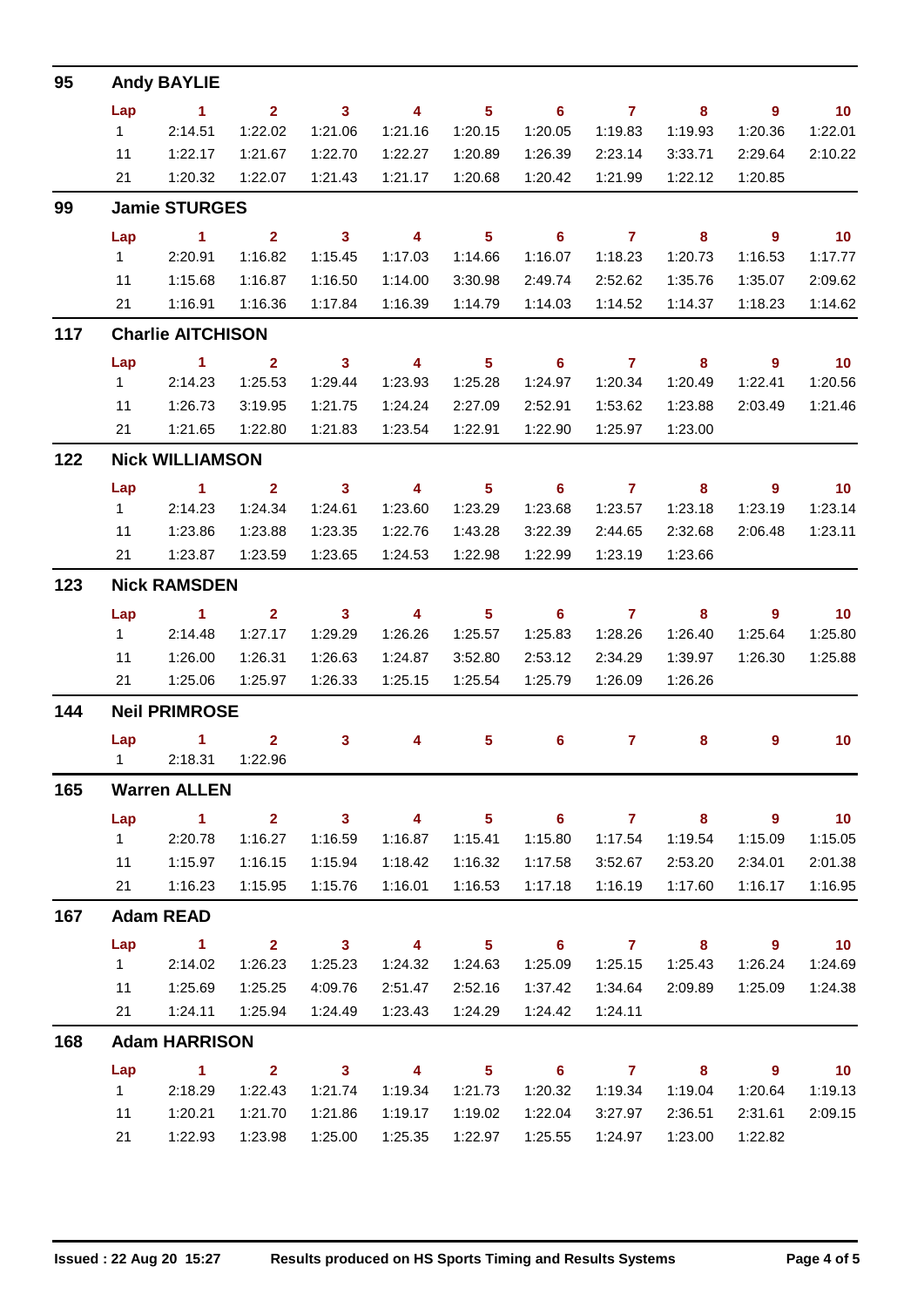| 95  |                        | <b>Andy BAYLIE</b>            |                         |                         |                         |                            |                            |                 |                         |                            |                             |  |  |  |  |
|-----|------------------------|-------------------------------|-------------------------|-------------------------|-------------------------|----------------------------|----------------------------|-----------------|-------------------------|----------------------------|-----------------------------|--|--|--|--|
|     | Lap                    | $\sim$ 1                      | $2^{\circ}$             | $\overline{\mathbf{3}}$ | $\overline{\mathbf{4}}$ | $\overline{\phantom{0}}$ 5 | $\overline{\phantom{0}}$ 6 | $7$ 8           |                         | $\overline{\phantom{a}}$ 9 | $\blacksquare$ 10           |  |  |  |  |
|     | $1 -$                  | 2:14.51                       | 1:22.02                 | 1:21.06                 | 1:21.16                 | 1:20.15                    | 1:20.05                    | 1:19.83         | 1:19.93                 | 1:20.36                    | 1:22.01                     |  |  |  |  |
|     | 11                     | 1:22.17                       | 1:21.67                 | 1:22.70                 | 1:22.27                 | 1:20.89                    | 1:26.39                    | 2:23.14         | 3:33.71                 | 2:29.64                    | 2:10.22                     |  |  |  |  |
|     |                        | 21   1:20.32                  | 1:22.07                 | 1:21.43                 | 1:21.17                 | 1:20.68                    | 1:20.42                    | 1:21.99         | 1:22.12                 | 1:20.85                    |                             |  |  |  |  |
| 99  |                        | <b>Jamie STURGES</b>          |                         |                         |                         |                            |                            |                 |                         |                            |                             |  |  |  |  |
|     | Lap                    | $\overline{1}$ $\overline{2}$ |                         | $\overline{\mathbf{3}}$ | $\overline{\mathbf{4}}$ | $\overline{\phantom{0}}$ 5 |                            | $6$ $7$ $8$     |                         | $\overline{\phantom{a}}$ 9 | $\overline{10}$             |  |  |  |  |
|     | $1 \quad \blacksquare$ | 2:20.91                       | 1:16.82                 | 1:15.45                 | 1:17.03                 | 1:14.66                    | 1:16.07                    | 1:18.23         | 1:20.73                 | 1:16.53                    | 1:17.77                     |  |  |  |  |
|     | 11                     | 1:15.68                       | 1:16.87                 | 1:16.50                 | 1:14.00                 | 3:30.98                    | 2:49.74                    | 2:52.62         | 1:35.76                 | 1:35.07                    | 2:09.62                     |  |  |  |  |
|     | 21                     | 1:16.91                       | 1:16.36                 | 1:17.84                 | 1:16.39                 | 1:14.79                    | 1:14.03                    | 1:14.52         | 1:14.37                 | 1:18.23                    | 1:14.62                     |  |  |  |  |
| 117 |                        | <b>Charlie AITCHISON</b>      |                         |                         |                         |                            |                            |                 |                         |                            |                             |  |  |  |  |
|     | Lap                    | $\sim$ $\sim$ 1.              | $\overline{2}$          | $\overline{\mathbf{3}}$ | $\overline{4}$          | $\overline{\phantom{0}}$ 5 | $\overline{\phantom{0}}$ 6 | $\overline{7}$  | $\overline{\mathbf{8}}$ | $\overline{\phantom{a}}$   | $\overline{\mathbf{10}}$    |  |  |  |  |
|     |                        | 12:14.23                      | 1:25.53                 | 1:29.44                 | 1:23.93                 | 1:25.28                    | 1:24.97                    | 1:20.34         | 1:20.49                 | 1:22.41                    | 1:20.56                     |  |  |  |  |
|     | 11                     | 1:26.73                       | 3:19.95                 | 1:21.75                 | 1:24.24                 | 2:27.09                    | 2:52.91                    | 1:53.62         | 1:23.88                 | 2:03.49                    | 1:21.46                     |  |  |  |  |
|     | 21                     | 1:21.65                       | 1:22.80                 | 1:21.83                 | 1:23.54                 | 1:22.91                    | 1:22.90                    | 1:25.97         | 1:23.00                 |                            |                             |  |  |  |  |
| 122 |                        | <b>Nick WILLIAMSON</b>        |                         |                         |                         |                            |                            |                 |                         |                            |                             |  |  |  |  |
|     | Lap                    | $\sim$ $\sim$ 1               | $\overline{\mathbf{2}}$ | $\overline{\mathbf{3}}$ | $\overline{\mathbf{4}}$ | $\overline{\phantom{0}}$ 5 | $\overline{\phantom{0}}$ 6 | $\overline{7}$  | $\overline{\mathbf{8}}$ | $9^{\circ}$                | $\overline{10}$             |  |  |  |  |
|     | $1 \quad$              | 2:14.23                       | 1:24.34                 | 1:24.61                 | 1:23.60                 | 1:23.29                    | 1:23.68                    | 1:23.57         | 1:23.18                 | 1:23.19                    | 1:23.14                     |  |  |  |  |
|     | 11                     | 1:23.86                       | 1:23.88                 | 1:23.35                 | 1:22.76                 | 1:43.28                    | 3:22.39                    | 2:44.65         | 2:32.68                 | 2:06.48                    | 1:23.11                     |  |  |  |  |
|     | 21                     | 1:23.87                       | 1:23.59                 | 1:23.65                 | 1:24.53                 | 1:22.98                    | 1:22.99                    | 1:23.19         | 1:23.66                 |                            |                             |  |  |  |  |
| 123 | <b>Nick RAMSDEN</b>    |                               |                         |                         |                         |                            |                            |                 |                         |                            |                             |  |  |  |  |
|     | Lap                    | $\sim$ 1                      | $\overline{2}$          | $\overline{\mathbf{3}}$ | $\overline{4}$          | $\overline{\phantom{0}}$ 5 | $\overline{\phantom{0}}$ 6 | $7 \t 8$        |                         | $\overline{\phantom{a}}$   | $\overline{\phantom{0}}$ 10 |  |  |  |  |
|     | $1 \quad$              | 2:14.48                       | 1:27.17                 | 1:29.29                 | 1:26.26                 | 1:25.57                    | 1:25.83                    | 1:28.26         | 1:26.40                 | 1:25.64                    | 1:25.80                     |  |  |  |  |
|     | 11                     | 1:26.00                       | 1:26.31                 | 1:26.63                 | 1:24.87                 | 3:52.80                    | 2:53.12                    | 2:34.29         | 1:39.97                 | 1:26.30                    | 1:25.88                     |  |  |  |  |
|     |                        | 21  1:25.06                   | 1:25.97                 | 1:26.33                 | 1:25.15                 | 1:25.54                    | 1:25.79                    | 1:26.09         | 1:26.26                 |                            |                             |  |  |  |  |
| 144 |                        | <b>Neil PRIMROSE</b>          |                         |                         |                         |                            |                            |                 |                         |                            |                             |  |  |  |  |
|     |                        | $Lap$ 1 2                     |                         | 3 <sup>7</sup>          | $\overline{\mathbf{4}}$ | 5                          | $6^{\circ}$                | $\sim$ 7 $\sim$ | 8                       | 9                          | 10                          |  |  |  |  |
|     |                        | 1 2:18.31 1:22.96             |                         |                         |                         |                            |                            |                 |                         |                            |                             |  |  |  |  |
| 165 |                        | <b>Warren ALLEN</b>           |                         |                         |                         |                            |                            |                 |                         |                            |                             |  |  |  |  |
|     | Lap                    | $\sim$ 1                      | 2 <sup>7</sup>          | $\overline{\mathbf{3}}$ | $\overline{\mathbf{4}}$ | $\overline{\phantom{0}}$ 5 | $\overline{\phantom{0}}$ 6 | $\overline{7}$  | $\overline{\mathbf{8}}$ | $\overline{\phantom{a}}$   | $\overline{10}$             |  |  |  |  |
|     | 1                      | 2:20.78                       | 1:16.27                 | 1:16.59                 | 1:16.87                 | 1:15.41                    | 1:15.80                    | 1:17.54         | 1:19.54                 | 1:15.09                    | 1:15.05                     |  |  |  |  |
|     | 11                     | 1:15.97                       | 1:16.15                 | 1:15.94                 | 1:18.42                 | 1:16.32                    | 1:17.58                    | 3:52.67         | 2:53.20                 | 2:34.01                    | 2:01.38                     |  |  |  |  |
|     | 21                     | 1:16.23                       | 1:15.95                 | 1:15.76                 | 1:16.01                 | 1:16.53                    | 1:17.18                    | 1:16.19         | 1:17.60                 | 1:16.17                    | 1:16.95                     |  |  |  |  |
| 167 |                        | <b>Adam READ</b>              |                         |                         |                         |                            |                            |                 |                         |                            |                             |  |  |  |  |
|     | Lap                    | $\sim$ 1                      | $\overline{\mathbf{2}}$ | $\overline{\mathbf{3}}$ | $\overline{\mathbf{4}}$ | $\overline{\phantom{0}}$ 5 | $\overline{\phantom{0}}$ 6 | $\overline{7}$  | $\overline{\mathbf{8}}$ | $\overline{\phantom{a}}$   | $\overline{\mathbf{10}}$    |  |  |  |  |
|     | $1 \quad$              | 2:14.02                       | 1:26.23                 | 1:25.23                 | 1:24.32                 | 1:24.63                    | 1:25.09                    | 1:25.15         | 1:25.43                 | 1:26.24                    | 1:24.69                     |  |  |  |  |
|     | 11                     | 1:25.69                       | 1:25.25                 | 4:09.76                 | 2:51.47                 | 2:52.16                    | 1:37.42                    | 1:34.64         | 2:09.89                 | 1:25.09                    | 1:24.38                     |  |  |  |  |
|     | 21                     | 1:24.11                       | 1:25.94                 | 1:24.49                 | 1:23.43                 | 1:24.29                    | 1:24.42                    | 1:24.11         |                         |                            |                             |  |  |  |  |
| 168 |                        | <b>Adam HARRISON</b>          |                         |                         |                         |                            |                            |                 |                         |                            |                             |  |  |  |  |
|     | Lap                    | $\sim$ 1                      | $\overline{\mathbf{2}}$ | $\overline{\mathbf{3}}$ | $\overline{\mathbf{4}}$ |                            | $5 \t\t 6 \t\t 7 \t\t 8$   |                 |                         | $\overline{\phantom{a}}$ 9 | $\overline{10}$             |  |  |  |  |
|     | 1                      | 2:18.29                       | 1:22.43                 | 1:21.74                 | 1:19.34                 | 1:21.73                    | 1:20.32                    | 1:19.34         | 1:19.04                 | 1:20.64                    | 1:19.13                     |  |  |  |  |
|     | 11                     | 1:20.21                       | 1:21.70                 | 1:21.86                 | 1:19.17                 | 1:19.02                    | 1:22.04                    | 3:27.97         | 2:36.51                 | 2:31.61                    | 2:09.15                     |  |  |  |  |
|     | 21                     | 1:22.93                       | 1:23.98                 | 1:25.00                 | 1:25.35                 | 1:22.97                    | 1:25.55                    | 1:24.97         | 1:23.00                 | 1:22.82                    |                             |  |  |  |  |